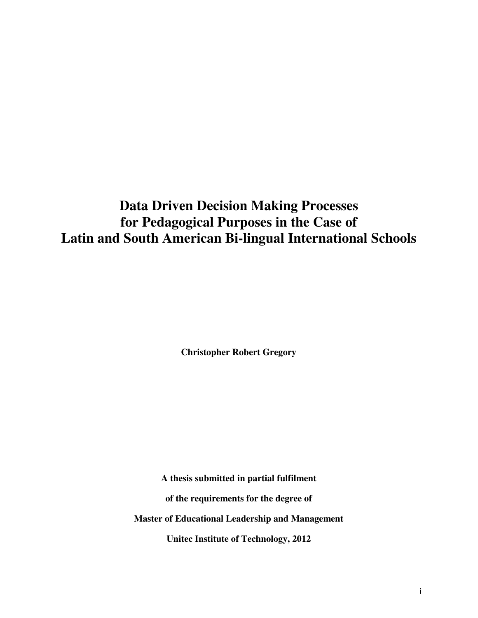# **Data Driven Decision Making Processes for Pedagogical Purposes in the Case of Latin and South American Bi-lingual International Schools**

**Christopher Robert Gregory** 

**A thesis submitted in partial fulfilment of the requirements for the degree of Master of Educational Leadership and Management** 

**Unitec Institute of Technology, 2012**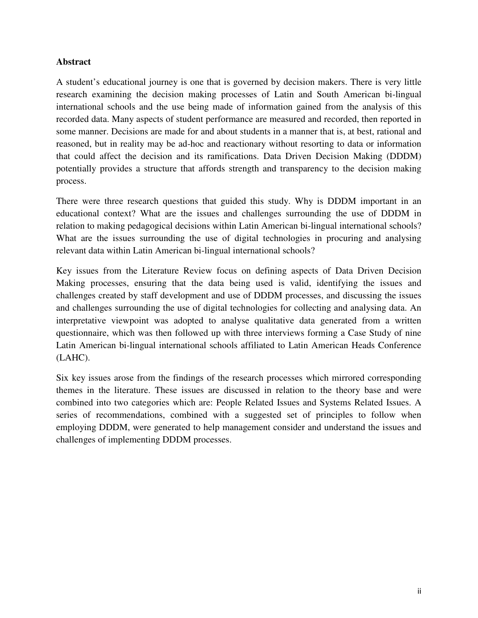## **Abstract**

A student's educational journey is one that is governed by decision makers. There is very little research examining the decision making processes of Latin and South American bi-lingual international schools and the use being made of information gained from the analysis of this recorded data. Many aspects of student performance are measured and recorded, then reported in some manner. Decisions are made for and about students in a manner that is, at best, rational and reasoned, but in reality may be ad-hoc and reactionary without resorting to data or information that could affect the decision and its ramifications. Data Driven Decision Making (DDDM) potentially provides a structure that affords strength and transparency to the decision making process.

There were three research questions that guided this study. Why is DDDM important in an educational context? What are the issues and challenges surrounding the use of DDDM in relation to making pedagogical decisions within Latin American bi-lingual international schools? What are the issues surrounding the use of digital technologies in procuring and analysing relevant data within Latin American bi-lingual international schools?

Key issues from the Literature Review focus on defining aspects of Data Driven Decision Making processes, ensuring that the data being used is valid, identifying the issues and challenges created by staff development and use of DDDM processes, and discussing the issues and challenges surrounding the use of digital technologies for collecting and analysing data. An interpretative viewpoint was adopted to analyse qualitative data generated from a written questionnaire, which was then followed up with three interviews forming a Case Study of nine Latin American bi-lingual international schools affiliated to Latin American Heads Conference (LAHC).

Six key issues arose from the findings of the research processes which mirrored corresponding themes in the literature. These issues are discussed in relation to the theory base and were combined into two categories which are: People Related Issues and Systems Related Issues. A series of recommendations, combined with a suggested set of principles to follow when employing DDDM, were generated to help management consider and understand the issues and challenges of implementing DDDM processes.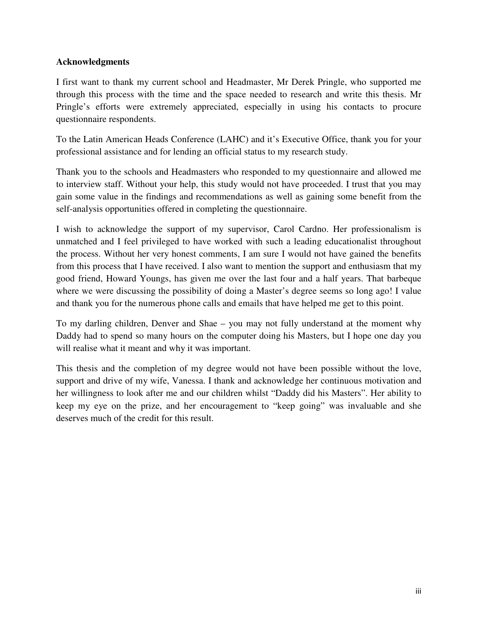# **Acknowledgments**

I first want to thank my current school and Headmaster, Mr Derek Pringle, who supported me through this process with the time and the space needed to research and write this thesis. Mr Pringle's efforts were extremely appreciated, especially in using his contacts to procure questionnaire respondents.

To the Latin American Heads Conference (LAHC) and it's Executive Office, thank you for your professional assistance and for lending an official status to my research study.

Thank you to the schools and Headmasters who responded to my questionnaire and allowed me to interview staff. Without your help, this study would not have proceeded. I trust that you may gain some value in the findings and recommendations as well as gaining some benefit from the self-analysis opportunities offered in completing the questionnaire.

I wish to acknowledge the support of my supervisor, Carol Cardno. Her professionalism is unmatched and I feel privileged to have worked with such a leading educationalist throughout the process. Without her very honest comments, I am sure I would not have gained the benefits from this process that I have received. I also want to mention the support and enthusiasm that my good friend, Howard Youngs, has given me over the last four and a half years. That barbeque where we were discussing the possibility of doing a Master's degree seems so long ago! I value and thank you for the numerous phone calls and emails that have helped me get to this point.

To my darling children, Denver and Shae – you may not fully understand at the moment why Daddy had to spend so many hours on the computer doing his Masters, but I hope one day you will realise what it meant and why it was important.

This thesis and the completion of my degree would not have been possible without the love, support and drive of my wife, Vanessa. I thank and acknowledge her continuous motivation and her willingness to look after me and our children whilst "Daddy did his Masters". Her ability to keep my eye on the prize, and her encouragement to "keep going" was invaluable and she deserves much of the credit for this result.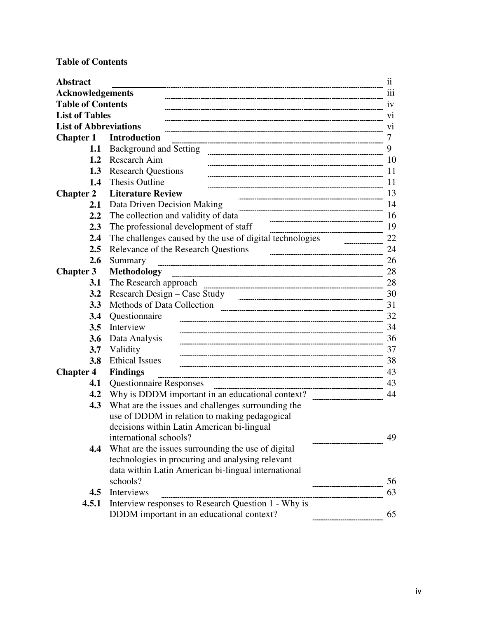# **Table of Contents**

| <b>Abstract</b>              |                                                          | 11  |
|------------------------------|----------------------------------------------------------|-----|
| <b>Acknowledgements</b>      |                                                          | 111 |
| <b>Table of Contents</b>     |                                                          | 1V  |
| <b>List of Tables</b>        |                                                          | V1  |
| <b>List of Abbreviations</b> |                                                          | V1  |
| <b>Chapter 1</b>             | <b>Introduction</b>                                      | 7   |
| 1.1                          | Background and Setting                                   | 9   |
| 1.2                          | Research Aim                                             | 10  |
|                              | <b>1.3</b> Research Questions                            | 11  |
| $1.4^{\circ}$                | <b>Thesis Outline</b>                                    | 11  |
| <b>Chapter 2</b>             | <b>Literature Review</b>                                 | 13  |
| 2.1                          | Data Driven Decision Making                              | 14  |
| 2.2                          | The collection and validity of data                      | 16  |
| 2.3                          | The professional development of staff                    | 19  |
| $2.4\phantom{0}$             | The challenges caused by the use of digital technologies | 22  |
| $2.5\,$                      | Relevance of the Research Questions                      | 24  |
| 2.6                          | Summary                                                  | 26  |
| <b>Chapter 3</b>             | <b>Methodology</b>                                       | 28  |
| 3.1                          | The Research approach                                    | 28  |
| 3.2                          | Research Design – Case Study                             | 30  |
| 3.3                          | Methods of Data Collection                               | 31  |
| 3.4                          | Questionnaire                                            | 32  |
| 3.5                          | Interview                                                | 34  |
| 3.6                          | Data Analysis                                            | 36  |
| 3.7                          | Validity                                                 | 37  |
| 3.8                          | <b>Ethical Issues</b>                                    | 38  |
| <b>Chapter 4</b>             | <b>Findings</b>                                          | 43  |
| 4.1                          | <b>Questionnaire Responses</b>                           | 43  |
| 4.2                          | Why is DDDM important in an educational context?         | 44  |
| 4.3                          | What are the issues and challenges surrounding the       |     |
|                              | use of DDDM in relation to making pedagogical            |     |
|                              | decisions within Latin American bi-lingual               |     |
|                              | international schools?                                   | 49  |
| 4.4                          | What are the issues surrounding the use of digital       |     |
|                              | technologies in procuring and analysing relevant         |     |
|                              | data within Latin American bi-lingual international      |     |
|                              | schools?                                                 | 56  |
| 4.5                          | Interviews                                               | 63  |
| 4.5.1                        | Interview responses to Research Question 1 - Why is      |     |
|                              | DDDM important in an educational context?                | 65  |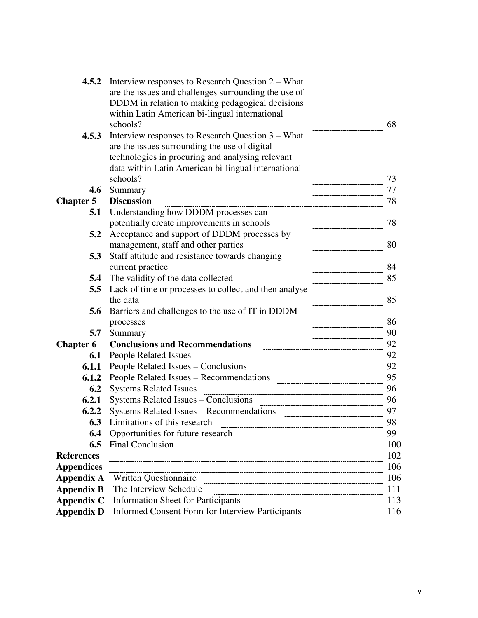| 4.5.2             | Interview responses to Research Question 2 – What<br>are the issues and challenges surrounding the use of |     |
|-------------------|-----------------------------------------------------------------------------------------------------------|-----|
|                   | DDDM in relation to making pedagogical decisions                                                          |     |
|                   | within Latin American bi-lingual international                                                            |     |
|                   | schools?                                                                                                  | 68  |
| 4.5.3             | Interview responses to Research Question 3 – What                                                         |     |
|                   | are the issues surrounding the use of digital                                                             |     |
|                   | technologies in procuring and analysing relevant                                                          |     |
|                   | data within Latin American bi-lingual international                                                       |     |
|                   | schools?                                                                                                  | 73  |
| 4.6               | Summary                                                                                                   | 77  |
| <b>Chapter 5</b>  | <b>Discussion</b>                                                                                         | 78  |
| 5.1               | Understanding how DDDM processes can                                                                      |     |
|                   | potentially create improvements in schools                                                                | 78  |
| 5.2               | Acceptance and support of DDDM processes by                                                               |     |
|                   | management, staff and other parties                                                                       | 80  |
| 5.3               | Staff attitude and resistance towards changing                                                            |     |
|                   | current practice                                                                                          | 84  |
| 5.4               | The validity of the data collected                                                                        | 85  |
| 5.5               | Lack of time or processes to collect and then analyse                                                     |     |
|                   | the data                                                                                                  | 85  |
| 5.6               | Barriers and challenges to the use of IT in DDDM                                                          |     |
|                   | processes                                                                                                 | 86  |
| 5.7               | Summary                                                                                                   | 90  |
| <b>Chapter 6</b>  | <b>Conclusions and Recommendations</b>                                                                    | 92  |
| 6.1               | <b>People Related Issues</b>                                                                              | 92  |
| 6.1.1             |                                                                                                           | 92  |
| 6.1.2             |                                                                                                           | 95  |
| 6.2               | <b>Systems Related Issues</b>                                                                             | 96  |
| 6.2.1             |                                                                                                           | 96  |
| 6.2.2             | Systems Related Issues – Recommendations<br>------------------------------------                          | 97  |
| 6.3               | Limitations of this research                                                                              | 98  |
| 6.4               | Opportunities for future research                                                                         | 99  |
| 6.5               | <b>Final Conclusion</b>                                                                                   | 100 |
| <b>References</b> |                                                                                                           | 102 |
| <b>Appendices</b> |                                                                                                           | 106 |
| <b>Appendix A</b> | <b>Written Questionnaire</b>                                                                              | 106 |
| <b>Appendix B</b> | The Interview Schedule                                                                                    | 111 |
| <b>Appendix C</b> | <b>Information Sheet for Participants</b>                                                                 | 113 |
| <b>Appendix D</b> | <b>Informed Consent Form for Interview Participants</b>                                                   | 116 |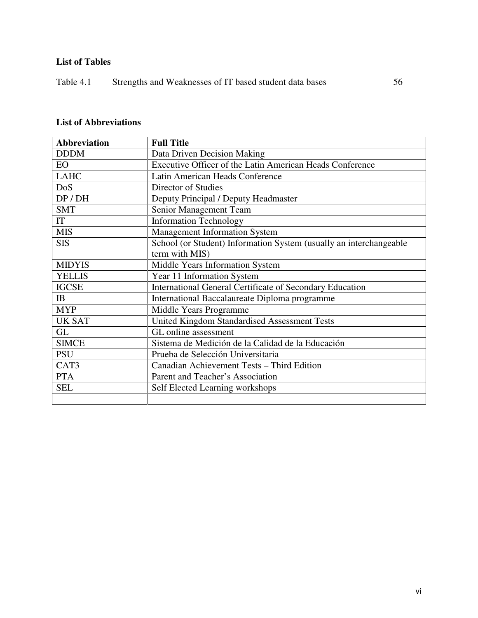# **List of Tables**

# **List of Abbreviations**

| <b>Abbreviation</b> | <b>Full Title</b>                                                  |
|---------------------|--------------------------------------------------------------------|
| <b>DDDM</b>         | Data Driven Decision Making                                        |
| <b>EO</b>           | Executive Officer of the Latin American Heads Conference           |
| <b>LAHC</b>         | Latin American Heads Conference                                    |
| DoS                 | Director of Studies                                                |
| DP / DH             | Deputy Principal / Deputy Headmaster                               |
| <b>SMT</b>          | Senior Management Team                                             |
| IT                  | <b>Information Technology</b>                                      |
| <b>MIS</b>          | <b>Management Information System</b>                               |
| <b>SIS</b>          | School (or Student) Information System (usually an interchangeable |
|                     | term with MIS)                                                     |
| <b>MIDYIS</b>       | Middle Years Information System                                    |
| <b>YELLIS</b>       | Year 11 Information System                                         |
| <b>IGCSE</b>        | <b>International General Certificate of Secondary Education</b>    |
| <b>IB</b>           | International Baccalaureate Diploma programme                      |
| <b>MYP</b>          | Middle Years Programme                                             |
| <b>UK SAT</b>       | United Kingdom Standardised Assessment Tests                       |
| GL                  | GL online assessment                                               |
| <b>SIMCE</b>        | Sistema de Medición de la Calidad de la Educación                  |
| <b>PSU</b>          | Prueba de Selección Universitaria                                  |
| CAT3                | Canadian Achievement Tests - Third Edition                         |
| <b>PTA</b>          | Parent and Teacher's Association                                   |
| <b>SEL</b>          | Self Elected Learning workshops                                    |
|                     |                                                                    |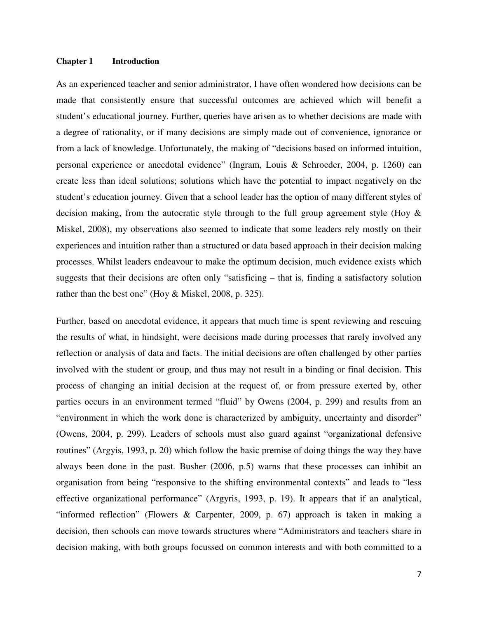#### **Chapter 1 Introduction**

As an experienced teacher and senior administrator, I have often wondered how decisions can be made that consistently ensure that successful outcomes are achieved which will benefit a student's educational journey. Further, queries have arisen as to whether decisions are made with a degree of rationality, or if many decisions are simply made out of convenience, ignorance or from a lack of knowledge. Unfortunately, the making of "decisions based on informed intuition, personal experience or anecdotal evidence" (Ingram, Louis & Schroeder, 2004, p. 1260) can create less than ideal solutions; solutions which have the potential to impact negatively on the student's education journey. Given that a school leader has the option of many different styles of decision making, from the autocratic style through to the full group agreement style (Hoy & Miskel, 2008), my observations also seemed to indicate that some leaders rely mostly on their experiences and intuition rather than a structured or data based approach in their decision making processes. Whilst leaders endeavour to make the optimum decision, much evidence exists which suggests that their decisions are often only "satisficing – that is, finding a satisfactory solution rather than the best one" (Hoy & Miskel, 2008, p. 325).

Further, based on anecdotal evidence, it appears that much time is spent reviewing and rescuing the results of what, in hindsight, were decisions made during processes that rarely involved any reflection or analysis of data and facts. The initial decisions are often challenged by other parties involved with the student or group, and thus may not result in a binding or final decision. This process of changing an initial decision at the request of, or from pressure exerted by, other parties occurs in an environment termed "fluid" by Owens (2004, p. 299) and results from an "environment in which the work done is characterized by ambiguity, uncertainty and disorder" (Owens, 2004, p. 299). Leaders of schools must also guard against "organizational defensive routines" (Argyis, 1993, p. 20) which follow the basic premise of doing things the way they have always been done in the past. Busher (2006, p.5) warns that these processes can inhibit an organisation from being "responsive to the shifting environmental contexts" and leads to "less effective organizational performance" (Argyris, 1993, p. 19). It appears that if an analytical, "informed reflection" (Flowers & Carpenter, 2009, p. 67) approach is taken in making a decision, then schools can move towards structures where "Administrators and teachers share in decision making, with both groups focussed on common interests and with both committed to a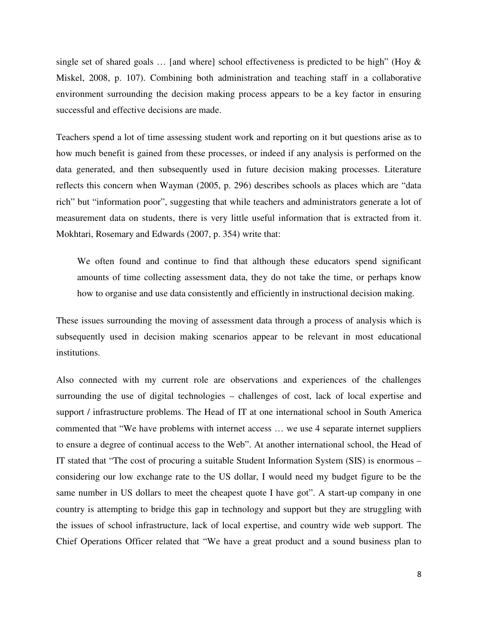single set of shared goals  $\ldots$  [and where] school effectiveness is predicted to be high" (Hoy & Miskel, 2008, p. 107). Combining both administration and teaching staff in a collaborative environment surrounding the decision making process appears to be a key factor in ensuring successful and effective decisions are made.

Teachers spend a lot of time assessing student work and reporting on it but questions arise as to how much benefit is gained from these processes, or indeed if any analysis is performed on the data generated, and then subsequently used in future decision making processes. Literature reflects this concern when Wayman (2005, p. 296) describes schools as places which are "data rich" but "information poor", suggesting that while teachers and administrators generate a lot of measurement data on students, there is very little useful information that is extracted from it. Mokhtari, Rosemary and Edwards (2007, p. 354) write that:

We often found and continue to find that although these educators spend significant amounts of time collecting assessment data, they do not take the time, or perhaps know how to organise and use data consistently and efficiently in instructional decision making.

These issues surrounding the moving of assessment data through a process of analysis which is subsequently used in decision making scenarios appear to be relevant in most educational institutions.

Also connected with my current role are observations and experiences of the challenges surrounding the use of digital technologies – challenges of cost, lack of local expertise and support / infrastructure problems. The Head of IT at one international school in South America commented that "We have problems with internet access … we use 4 separate internet suppliers to ensure a degree of continual access to the Web". At another international school, the Head of IT stated that "The cost of procuring a suitable Student Information System (SIS) is enormous – considering our low exchange rate to the US dollar, I would need my budget figure to be the same number in US dollars to meet the cheapest quote I have got". A start-up company in one country is attempting to bridge this gap in technology and support but they are struggling with the issues of school infrastructure, lack of local expertise, and country wide web support. The Chief Operations Officer related that "We have a great product and a sound business plan to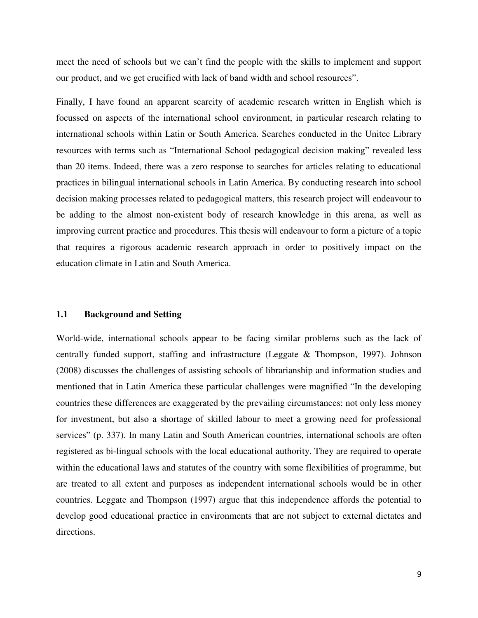meet the need of schools but we can't find the people with the skills to implement and support our product, and we get crucified with lack of band width and school resources".

Finally, I have found an apparent scarcity of academic research written in English which is focussed on aspects of the international school environment, in particular research relating to international schools within Latin or South America. Searches conducted in the Unitec Library resources with terms such as "International School pedagogical decision making" revealed less than 20 items. Indeed, there was a zero response to searches for articles relating to educational practices in bilingual international schools in Latin America. By conducting research into school decision making processes related to pedagogical matters, this research project will endeavour to be adding to the almost non-existent body of research knowledge in this arena, as well as improving current practice and procedures. This thesis will endeavour to form a picture of a topic that requires a rigorous academic research approach in order to positively impact on the education climate in Latin and South America.

#### **1.1 Background and Setting**

World-wide, international schools appear to be facing similar problems such as the lack of centrally funded support, staffing and infrastructure (Leggate & Thompson, 1997). Johnson (2008) discusses the challenges of assisting schools of librarianship and information studies and mentioned that in Latin America these particular challenges were magnified "In the developing countries these differences are exaggerated by the prevailing circumstances: not only less money for investment, but also a shortage of skilled labour to meet a growing need for professional services" (p. 337). In many Latin and South American countries, international schools are often registered as bi-lingual schools with the local educational authority. They are required to operate within the educational laws and statutes of the country with some flexibilities of programme, but are treated to all extent and purposes as independent international schools would be in other countries. Leggate and Thompson (1997) argue that this independence affords the potential to develop good educational practice in environments that are not subject to external dictates and directions.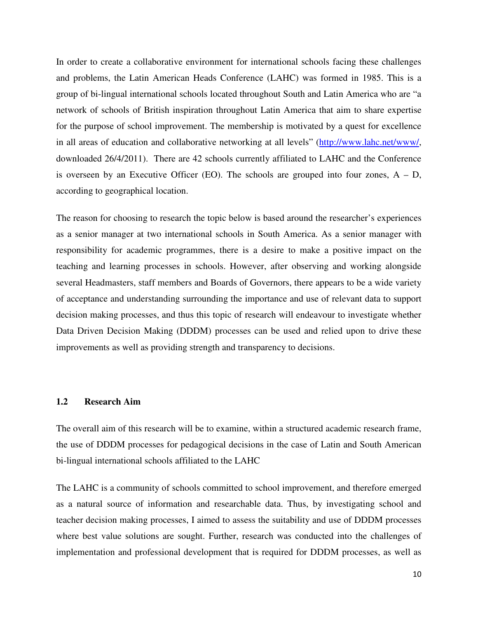In order to create a collaborative environment for international schools facing these challenges and problems, the Latin American Heads Conference (LAHC) was formed in 1985. This is a group of bi-lingual international schools located throughout South and Latin America who are "a network of schools of British inspiration throughout Latin America that aim to share expertise for the purpose of school improvement. The membership is motivated by a quest for excellence in all areas of education and collaborative networking at all levels" (http://www.lahc.net/www/, downloaded 26/4/2011). There are 42 schools currently affiliated to LAHC and the Conference is overseen by an Executive Officer (EO). The schools are grouped into four zones,  $A - D$ , according to geographical location.

The reason for choosing to research the topic below is based around the researcher's experiences as a senior manager at two international schools in South America. As a senior manager with responsibility for academic programmes, there is a desire to make a positive impact on the teaching and learning processes in schools. However, after observing and working alongside several Headmasters, staff members and Boards of Governors, there appears to be a wide variety of acceptance and understanding surrounding the importance and use of relevant data to support decision making processes, and thus this topic of research will endeavour to investigate whether Data Driven Decision Making (DDDM) processes can be used and relied upon to drive these improvements as well as providing strength and transparency to decisions.

### **1.2 Research Aim**

The overall aim of this research will be to examine, within a structured academic research frame, the use of DDDM processes for pedagogical decisions in the case of Latin and South American bi-lingual international schools affiliated to the LAHC

The LAHC is a community of schools committed to school improvement, and therefore emerged as a natural source of information and researchable data. Thus, by investigating school and teacher decision making processes, I aimed to assess the suitability and use of DDDM processes where best value solutions are sought. Further, research was conducted into the challenges of implementation and professional development that is required for DDDM processes, as well as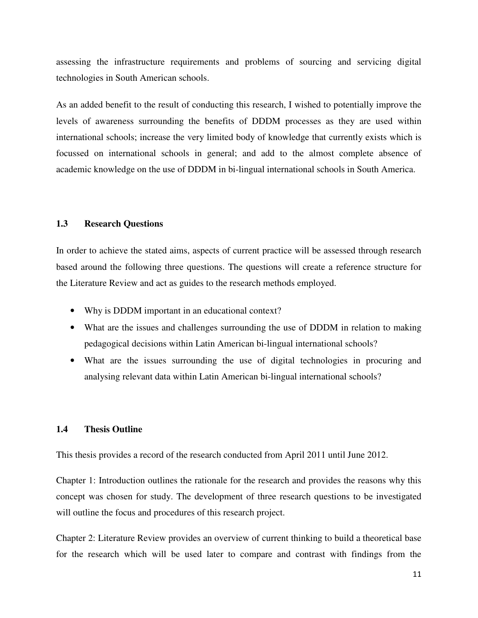assessing the infrastructure requirements and problems of sourcing and servicing digital technologies in South American schools.

As an added benefit to the result of conducting this research, I wished to potentially improve the levels of awareness surrounding the benefits of DDDM processes as they are used within international schools; increase the very limited body of knowledge that currently exists which is focussed on international schools in general; and add to the almost complete absence of academic knowledge on the use of DDDM in bi-lingual international schools in South America.

### **1.3 Research Questions**

In order to achieve the stated aims, aspects of current practice will be assessed through research based around the following three questions. The questions will create a reference structure for the Literature Review and act as guides to the research methods employed.

- Why is DDDM important in an educational context?
- What are the issues and challenges surrounding the use of DDDM in relation to making pedagogical decisions within Latin American bi-lingual international schools?
- What are the issues surrounding the use of digital technologies in procuring and analysing relevant data within Latin American bi-lingual international schools?

### **1.4 Thesis Outline**

This thesis provides a record of the research conducted from April 2011 until June 2012.

Chapter 1: Introduction outlines the rationale for the research and provides the reasons why this concept was chosen for study. The development of three research questions to be investigated will outline the focus and procedures of this research project.

Chapter 2: Literature Review provides an overview of current thinking to build a theoretical base for the research which will be used later to compare and contrast with findings from the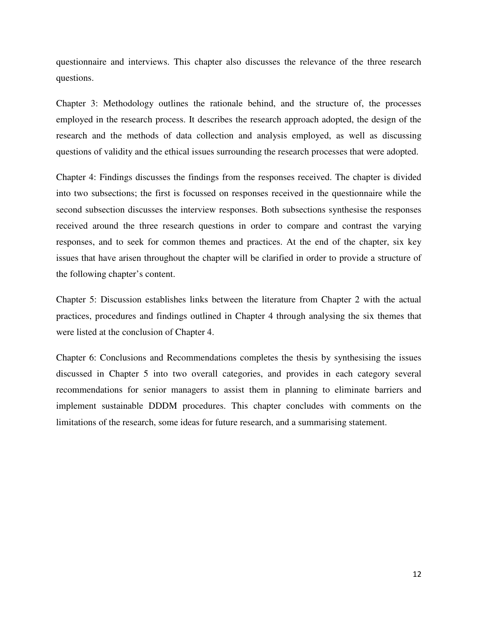questionnaire and interviews. This chapter also discusses the relevance of the three research questions.

Chapter 3: Methodology outlines the rationale behind, and the structure of, the processes employed in the research process. It describes the research approach adopted, the design of the research and the methods of data collection and analysis employed, as well as discussing questions of validity and the ethical issues surrounding the research processes that were adopted.

Chapter 4: Findings discusses the findings from the responses received. The chapter is divided into two subsections; the first is focussed on responses received in the questionnaire while the second subsection discusses the interview responses. Both subsections synthesise the responses received around the three research questions in order to compare and contrast the varying responses, and to seek for common themes and practices. At the end of the chapter, six key issues that have arisen throughout the chapter will be clarified in order to provide a structure of the following chapter's content.

Chapter 5: Discussion establishes links between the literature from Chapter 2 with the actual practices, procedures and findings outlined in Chapter 4 through analysing the six themes that were listed at the conclusion of Chapter 4.

Chapter 6: Conclusions and Recommendations completes the thesis by synthesising the issues discussed in Chapter 5 into two overall categories, and provides in each category several recommendations for senior managers to assist them in planning to eliminate barriers and implement sustainable DDDM procedures. This chapter concludes with comments on the limitations of the research, some ideas for future research, and a summarising statement.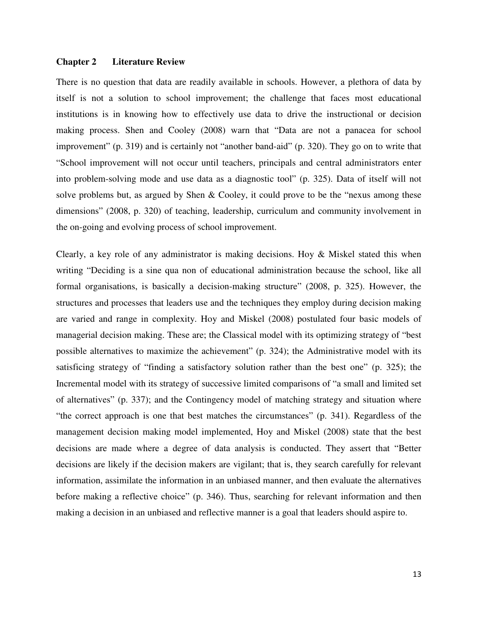#### **Chapter 2 Literature Review**

There is no question that data are readily available in schools. However, a plethora of data by itself is not a solution to school improvement; the challenge that faces most educational institutions is in knowing how to effectively use data to drive the instructional or decision making process. Shen and Cooley (2008) warn that "Data are not a panacea for school improvement" (p. 319) and is certainly not "another band-aid" (p. 320). They go on to write that "School improvement will not occur until teachers, principals and central administrators enter into problem-solving mode and use data as a diagnostic tool" (p. 325). Data of itself will not solve problems but, as argued by Shen & Cooley, it could prove to be the "nexus among these dimensions" (2008, p. 320) of teaching, leadership, curriculum and community involvement in the on-going and evolving process of school improvement.

Clearly, a key role of any administrator is making decisions. Hoy & Miskel stated this when writing "Deciding is a sine qua non of educational administration because the school, like all formal organisations, is basically a decision-making structure" (2008, p. 325). However, the structures and processes that leaders use and the techniques they employ during decision making are varied and range in complexity. Hoy and Miskel (2008) postulated four basic models of managerial decision making. These are; the Classical model with its optimizing strategy of "best possible alternatives to maximize the achievement" (p. 324); the Administrative model with its satisficing strategy of "finding a satisfactory solution rather than the best one" (p. 325); the Incremental model with its strategy of successive limited comparisons of "a small and limited set of alternatives" (p. 337); and the Contingency model of matching strategy and situation where "the correct approach is one that best matches the circumstances" (p. 341). Regardless of the management decision making model implemented, Hoy and Miskel (2008) state that the best decisions are made where a degree of data analysis is conducted. They assert that "Better decisions are likely if the decision makers are vigilant; that is, they search carefully for relevant information, assimilate the information in an unbiased manner, and then evaluate the alternatives before making a reflective choice" (p. 346). Thus, searching for relevant information and then making a decision in an unbiased and reflective manner is a goal that leaders should aspire to.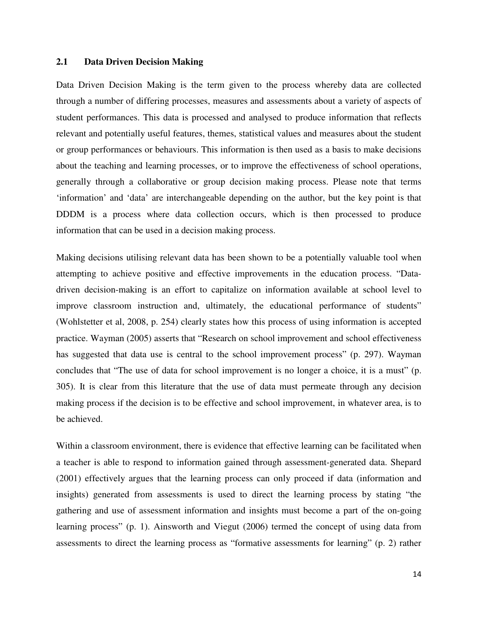#### **2.1 Data Driven Decision Making**

Data Driven Decision Making is the term given to the process whereby data are collected through a number of differing processes, measures and assessments about a variety of aspects of student performances. This data is processed and analysed to produce information that reflects relevant and potentially useful features, themes, statistical values and measures about the student or group performances or behaviours. This information is then used as a basis to make decisions about the teaching and learning processes, or to improve the effectiveness of school operations, generally through a collaborative or group decision making process. Please note that terms 'information' and 'data' are interchangeable depending on the author, but the key point is that DDDM is a process where data collection occurs, which is then processed to produce information that can be used in a decision making process.

Making decisions utilising relevant data has been shown to be a potentially valuable tool when attempting to achieve positive and effective improvements in the education process. "Datadriven decision-making is an effort to capitalize on information available at school level to improve classroom instruction and, ultimately, the educational performance of students" (Wohlstetter et al, 2008, p. 254) clearly states how this process of using information is accepted practice. Wayman (2005) asserts that "Research on school improvement and school effectiveness has suggested that data use is central to the school improvement process" (p. 297). Wayman concludes that "The use of data for school improvement is no longer a choice, it is a must" (p. 305). It is clear from this literature that the use of data must permeate through any decision making process if the decision is to be effective and school improvement, in whatever area, is to be achieved.

Within a classroom environment, there is evidence that effective learning can be facilitated when a teacher is able to respond to information gained through assessment-generated data. Shepard (2001) effectively argues that the learning process can only proceed if data (information and insights) generated from assessments is used to direct the learning process by stating "the gathering and use of assessment information and insights must become a part of the on-going learning process" (p. 1). Ainsworth and Viegut (2006) termed the concept of using data from assessments to direct the learning process as "formative assessments for learning" (p. 2) rather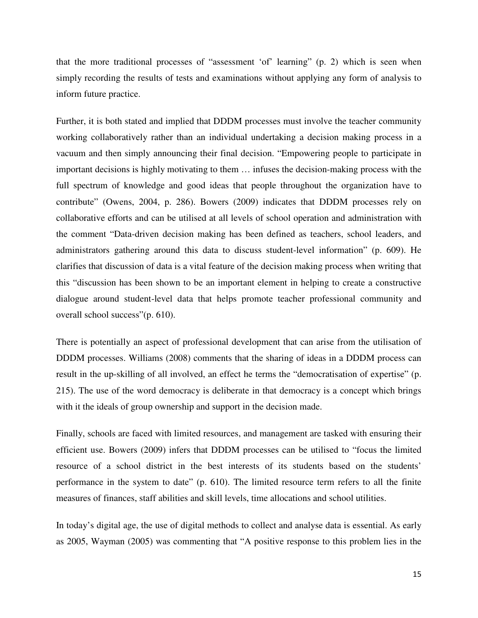that the more traditional processes of "assessment 'of' learning" (p. 2) which is seen when simply recording the results of tests and examinations without applying any form of analysis to inform future practice.

Further, it is both stated and implied that DDDM processes must involve the teacher community working collaboratively rather than an individual undertaking a decision making process in a vacuum and then simply announcing their final decision. "Empowering people to participate in important decisions is highly motivating to them … infuses the decision-making process with the full spectrum of knowledge and good ideas that people throughout the organization have to contribute" (Owens, 2004, p. 286). Bowers (2009) indicates that DDDM processes rely on collaborative efforts and can be utilised at all levels of school operation and administration with the comment "Data-driven decision making has been defined as teachers, school leaders, and administrators gathering around this data to discuss student-level information" (p. 609). He clarifies that discussion of data is a vital feature of the decision making process when writing that this "discussion has been shown to be an important element in helping to create a constructive dialogue around student-level data that helps promote teacher professional community and overall school success"(p. 610).

There is potentially an aspect of professional development that can arise from the utilisation of DDDM processes. Williams (2008) comments that the sharing of ideas in a DDDM process can result in the up-skilling of all involved, an effect he terms the "democratisation of expertise" (p. 215). The use of the word democracy is deliberate in that democracy is a concept which brings with it the ideals of group ownership and support in the decision made.

Finally, schools are faced with limited resources, and management are tasked with ensuring their efficient use. Bowers (2009) infers that DDDM processes can be utilised to "focus the limited resource of a school district in the best interests of its students based on the students' performance in the system to date" (p. 610). The limited resource term refers to all the finite measures of finances, staff abilities and skill levels, time allocations and school utilities.

In today's digital age, the use of digital methods to collect and analyse data is essential. As early as 2005, Wayman (2005) was commenting that "A positive response to this problem lies in the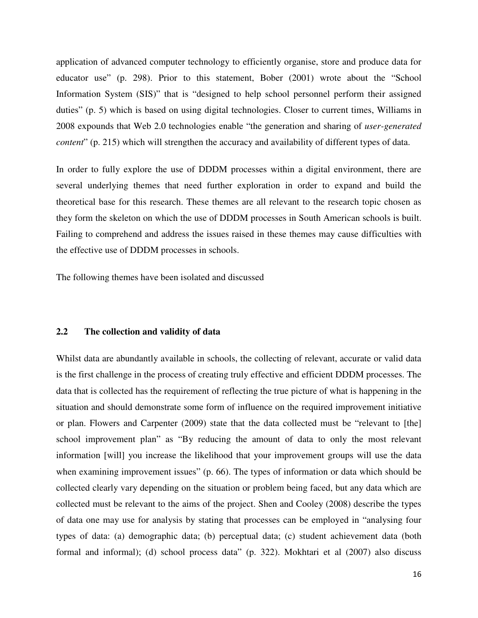application of advanced computer technology to efficiently organise, store and produce data for educator use" (p. 298). Prior to this statement, Bober (2001) wrote about the "School Information System (SIS)" that is "designed to help school personnel perform their assigned duties" (p. 5) which is based on using digital technologies. Closer to current times, Williams in 2008 expounds that Web 2.0 technologies enable "the generation and sharing of *user-generated content*" (p. 215) which will strengthen the accuracy and availability of different types of data.

In order to fully explore the use of DDDM processes within a digital environment, there are several underlying themes that need further exploration in order to expand and build the theoretical base for this research. These themes are all relevant to the research topic chosen as they form the skeleton on which the use of DDDM processes in South American schools is built. Failing to comprehend and address the issues raised in these themes may cause difficulties with the effective use of DDDM processes in schools.

The following themes have been isolated and discussed

#### **2.2 The collection and validity of data**

Whilst data are abundantly available in schools, the collecting of relevant, accurate or valid data is the first challenge in the process of creating truly effective and efficient DDDM processes. The data that is collected has the requirement of reflecting the true picture of what is happening in the situation and should demonstrate some form of influence on the required improvement initiative or plan. Flowers and Carpenter (2009) state that the data collected must be "relevant to [the] school improvement plan" as "By reducing the amount of data to only the most relevant information [will] you increase the likelihood that your improvement groups will use the data when examining improvement issues" (p. 66). The types of information or data which should be collected clearly vary depending on the situation or problem being faced, but any data which are collected must be relevant to the aims of the project. Shen and Cooley (2008) describe the types of data one may use for analysis by stating that processes can be employed in "analysing four types of data: (a) demographic data; (b) perceptual data; (c) student achievement data (both formal and informal); (d) school process data" (p. 322). Mokhtari et al (2007) also discuss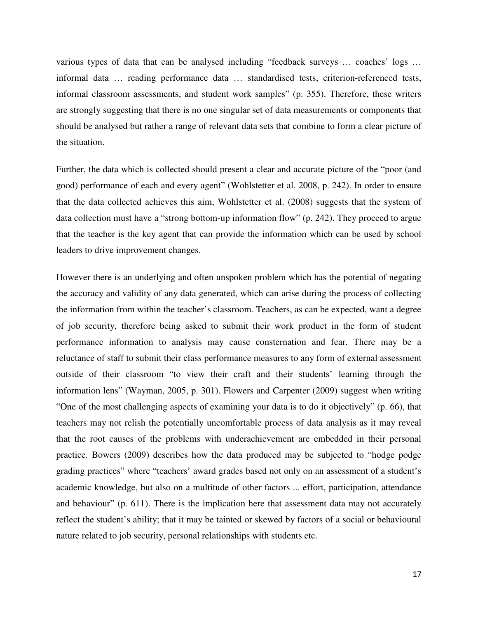various types of data that can be analysed including "feedback surveys … coaches' logs … informal data … reading performance data … standardised tests, criterion-referenced tests, informal classroom assessments, and student work samples" (p. 355). Therefore, these writers are strongly suggesting that there is no one singular set of data measurements or components that should be analysed but rather a range of relevant data sets that combine to form a clear picture of the situation.

Further, the data which is collected should present a clear and accurate picture of the "poor (and good) performance of each and every agent" (Wohlstetter et al. 2008, p. 242). In order to ensure that the data collected achieves this aim, Wohlstetter et al. (2008) suggests that the system of data collection must have a "strong bottom-up information flow" (p. 242). They proceed to argue that the teacher is the key agent that can provide the information which can be used by school leaders to drive improvement changes.

However there is an underlying and often unspoken problem which has the potential of negating the accuracy and validity of any data generated, which can arise during the process of collecting the information from within the teacher's classroom. Teachers, as can be expected, want a degree of job security, therefore being asked to submit their work product in the form of student performance information to analysis may cause consternation and fear. There may be a reluctance of staff to submit their class performance measures to any form of external assessment outside of their classroom "to view their craft and their students' learning through the information lens" (Wayman, 2005, p. 301). Flowers and Carpenter (2009) suggest when writing "One of the most challenging aspects of examining your data is to do it objectively" (p. 66), that teachers may not relish the potentially uncomfortable process of data analysis as it may reveal that the root causes of the problems with underachievement are embedded in their personal practice. Bowers (2009) describes how the data produced may be subjected to "hodge podge grading practices" where "teachers' award grades based not only on an assessment of a student's academic knowledge, but also on a multitude of other factors ... effort, participation, attendance and behaviour" (p. 611). There is the implication here that assessment data may not accurately reflect the student's ability; that it may be tainted or skewed by factors of a social or behavioural nature related to job security, personal relationships with students etc.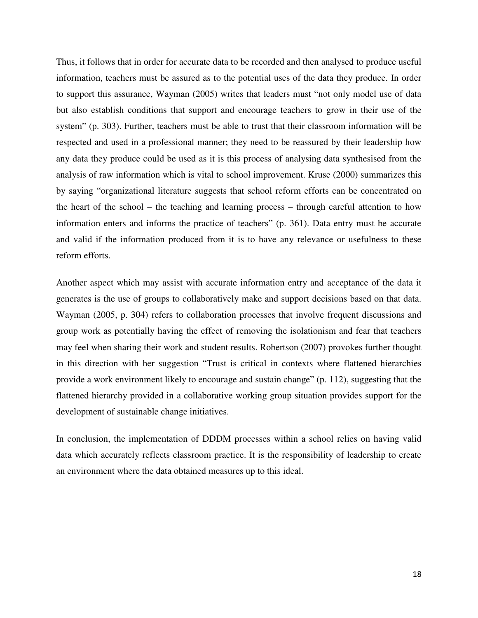Thus, it follows that in order for accurate data to be recorded and then analysed to produce useful information, teachers must be assured as to the potential uses of the data they produce. In order to support this assurance, Wayman (2005) writes that leaders must "not only model use of data but also establish conditions that support and encourage teachers to grow in their use of the system" (p. 303). Further, teachers must be able to trust that their classroom information will be respected and used in a professional manner; they need to be reassured by their leadership how any data they produce could be used as it is this process of analysing data synthesised from the analysis of raw information which is vital to school improvement. Kruse (2000) summarizes this by saying "organizational literature suggests that school reform efforts can be concentrated on the heart of the school – the teaching and learning process – through careful attention to how information enters and informs the practice of teachers" (p. 361). Data entry must be accurate and valid if the information produced from it is to have any relevance or usefulness to these reform efforts.

Another aspect which may assist with accurate information entry and acceptance of the data it generates is the use of groups to collaboratively make and support decisions based on that data. Wayman (2005, p. 304) refers to collaboration processes that involve frequent discussions and group work as potentially having the effect of removing the isolationism and fear that teachers may feel when sharing their work and student results. Robertson (2007) provokes further thought in this direction with her suggestion "Trust is critical in contexts where flattened hierarchies provide a work environment likely to encourage and sustain change" (p. 112), suggesting that the flattened hierarchy provided in a collaborative working group situation provides support for the development of sustainable change initiatives.

In conclusion, the implementation of DDDM processes within a school relies on having valid data which accurately reflects classroom practice. It is the responsibility of leadership to create an environment where the data obtained measures up to this ideal.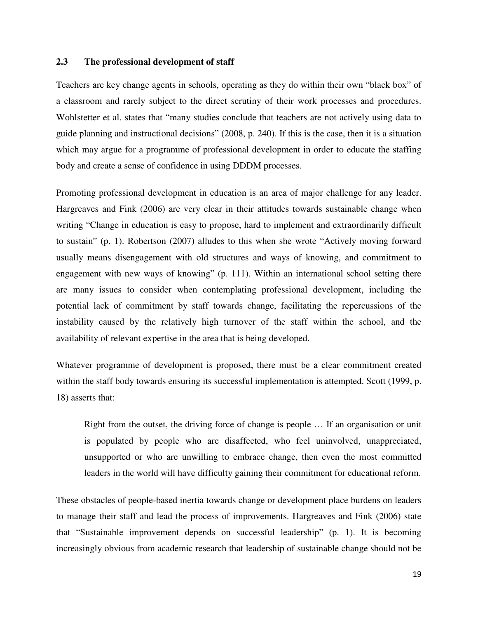### **2.3 The professional development of staff**

Teachers are key change agents in schools, operating as they do within their own "black box" of a classroom and rarely subject to the direct scrutiny of their work processes and procedures. Wohlstetter et al. states that "many studies conclude that teachers are not actively using data to guide planning and instructional decisions" (2008, p. 240). If this is the case, then it is a situation which may argue for a programme of professional development in order to educate the staffing body and create a sense of confidence in using DDDM processes.

Promoting professional development in education is an area of major challenge for any leader. Hargreaves and Fink (2006) are very clear in their attitudes towards sustainable change when writing "Change in education is easy to propose, hard to implement and extraordinarily difficult to sustain" (p. 1). Robertson (2007) alludes to this when she wrote "Actively moving forward usually means disengagement with old structures and ways of knowing, and commitment to engagement with new ways of knowing" (p. 111). Within an international school setting there are many issues to consider when contemplating professional development, including the potential lack of commitment by staff towards change, facilitating the repercussions of the instability caused by the relatively high turnover of the staff within the school, and the availability of relevant expertise in the area that is being developed.

Whatever programme of development is proposed, there must be a clear commitment created within the staff body towards ensuring its successful implementation is attempted. Scott (1999, p. 18) asserts that:

Right from the outset, the driving force of change is people … If an organisation or unit is populated by people who are disaffected, who feel uninvolved, unappreciated, unsupported or who are unwilling to embrace change, then even the most committed leaders in the world will have difficulty gaining their commitment for educational reform.

These obstacles of people-based inertia towards change or development place burdens on leaders to manage their staff and lead the process of improvements. Hargreaves and Fink (2006) state that "Sustainable improvement depends on successful leadership" (p. 1). It is becoming increasingly obvious from academic research that leadership of sustainable change should not be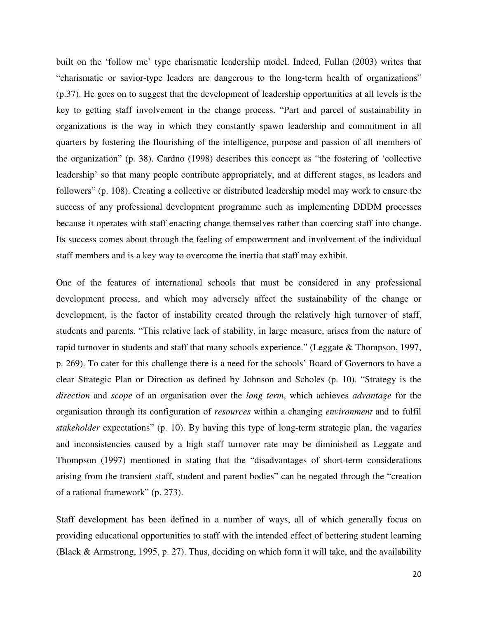built on the 'follow me' type charismatic leadership model. Indeed, Fullan (2003) writes that "charismatic or savior-type leaders are dangerous to the long-term health of organizations" (p.37). He goes on to suggest that the development of leadership opportunities at all levels is the key to getting staff involvement in the change process. "Part and parcel of sustainability in organizations is the way in which they constantly spawn leadership and commitment in all quarters by fostering the flourishing of the intelligence, purpose and passion of all members of the organization" (p. 38). Cardno (1998) describes this concept as "the fostering of 'collective leadership' so that many people contribute appropriately, and at different stages, as leaders and followers" (p. 108). Creating a collective or distributed leadership model may work to ensure the success of any professional development programme such as implementing DDDM processes because it operates with staff enacting change themselves rather than coercing staff into change. Its success comes about through the feeling of empowerment and involvement of the individual staff members and is a key way to overcome the inertia that staff may exhibit.

One of the features of international schools that must be considered in any professional development process, and which may adversely affect the sustainability of the change or development, is the factor of instability created through the relatively high turnover of staff, students and parents. "This relative lack of stability, in large measure, arises from the nature of rapid turnover in students and staff that many schools experience." (Leggate & Thompson, 1997, p. 269). To cater for this challenge there is a need for the schools' Board of Governors to have a clear Strategic Plan or Direction as defined by Johnson and Scholes (p. 10). "Strategy is the *direction* and *scope* of an organisation over the *long term*, which achieves *advantage* for the organisation through its configuration of *resources* within a changing *environment* and to fulfil *stakeholder* expectations" (p. 10). By having this type of long-term strategic plan, the vagaries and inconsistencies caused by a high staff turnover rate may be diminished as Leggate and Thompson (1997) mentioned in stating that the "disadvantages of short-term considerations arising from the transient staff, student and parent bodies" can be negated through the "creation of a rational framework" (p. 273).

Staff development has been defined in a number of ways, all of which generally focus on providing educational opportunities to staff with the intended effect of bettering student learning (Black & Armstrong, 1995, p. 27). Thus, deciding on which form it will take, and the availability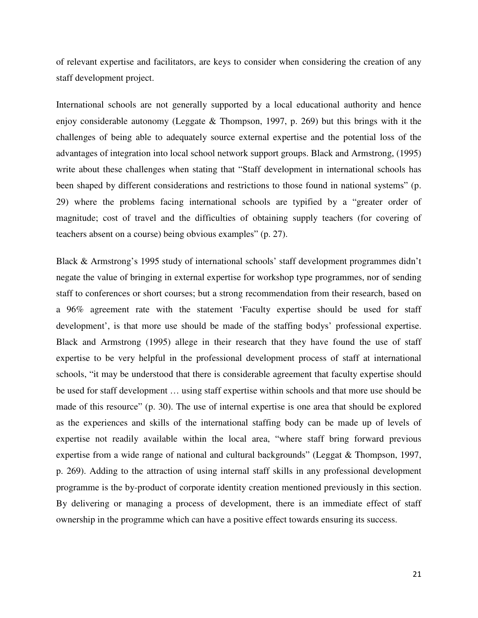of relevant expertise and facilitators, are keys to consider when considering the creation of any staff development project.

International schools are not generally supported by a local educational authority and hence enjoy considerable autonomy (Leggate  $\&$  Thompson, 1997, p. 269) but this brings with it the challenges of being able to adequately source external expertise and the potential loss of the advantages of integration into local school network support groups. Black and Armstrong, (1995) write about these challenges when stating that "Staff development in international schools has been shaped by different considerations and restrictions to those found in national systems" (p. 29) where the problems facing international schools are typified by a "greater order of magnitude; cost of travel and the difficulties of obtaining supply teachers (for covering of teachers absent on a course) being obvious examples" (p. 27).

Black & Armstrong's 1995 study of international schools' staff development programmes didn't negate the value of bringing in external expertise for workshop type programmes, nor of sending staff to conferences or short courses; but a strong recommendation from their research, based on a 96% agreement rate with the statement 'Faculty expertise should be used for staff development', is that more use should be made of the staffing bodys' professional expertise. Black and Armstrong (1995) allege in their research that they have found the use of staff expertise to be very helpful in the professional development process of staff at international schools, "it may be understood that there is considerable agreement that faculty expertise should be used for staff development … using staff expertise within schools and that more use should be made of this resource" (p. 30). The use of internal expertise is one area that should be explored as the experiences and skills of the international staffing body can be made up of levels of expertise not readily available within the local area, "where staff bring forward previous expertise from a wide range of national and cultural backgrounds" (Leggat & Thompson, 1997, p. 269). Adding to the attraction of using internal staff skills in any professional development programme is the by-product of corporate identity creation mentioned previously in this section. By delivering or managing a process of development, there is an immediate effect of staff ownership in the programme which can have a positive effect towards ensuring its success.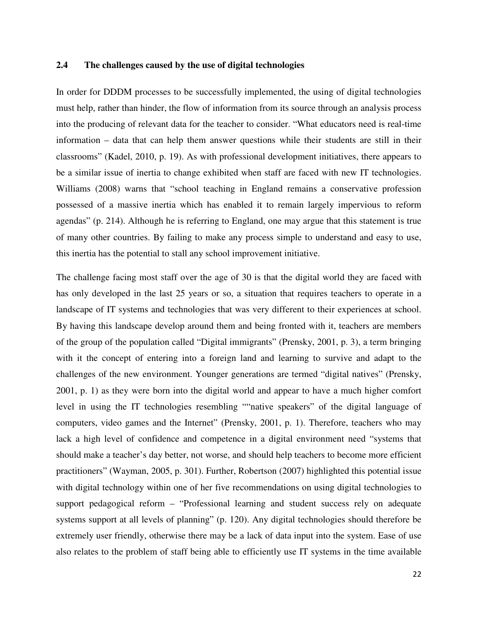### **2.4 The challenges caused by the use of digital technologies**

In order for DDDM processes to be successfully implemented, the using of digital technologies must help, rather than hinder, the flow of information from its source through an analysis process into the producing of relevant data for the teacher to consider. "What educators need is real-time information – data that can help them answer questions while their students are still in their classrooms" (Kadel, 2010, p. 19). As with professional development initiatives, there appears to be a similar issue of inertia to change exhibited when staff are faced with new IT technologies. Williams (2008) warns that "school teaching in England remains a conservative profession possessed of a massive inertia which has enabled it to remain largely impervious to reform agendas" (p. 214). Although he is referring to England, one may argue that this statement is true of many other countries. By failing to make any process simple to understand and easy to use, this inertia has the potential to stall any school improvement initiative.

The challenge facing most staff over the age of 30 is that the digital world they are faced with has only developed in the last 25 years or so, a situation that requires teachers to operate in a landscape of IT systems and technologies that was very different to their experiences at school. By having this landscape develop around them and being fronted with it, teachers are members of the group of the population called "Digital immigrants" (Prensky, 2001, p. 3), a term bringing with it the concept of entering into a foreign land and learning to survive and adapt to the challenges of the new environment. Younger generations are termed "digital natives" (Prensky, 2001, p. 1) as they were born into the digital world and appear to have a much higher comfort level in using the IT technologies resembling ""native speakers" of the digital language of computers, video games and the Internet" (Prensky, 2001, p. 1). Therefore, teachers who may lack a high level of confidence and competence in a digital environment need "systems that should make a teacher's day better, not worse, and should help teachers to become more efficient practitioners" (Wayman, 2005, p. 301). Further, Robertson (2007) highlighted this potential issue with digital technology within one of her five recommendations on using digital technologies to support pedagogical reform – "Professional learning and student success rely on adequate systems support at all levels of planning" (p. 120). Any digital technologies should therefore be extremely user friendly, otherwise there may be a lack of data input into the system. Ease of use also relates to the problem of staff being able to efficiently use IT systems in the time available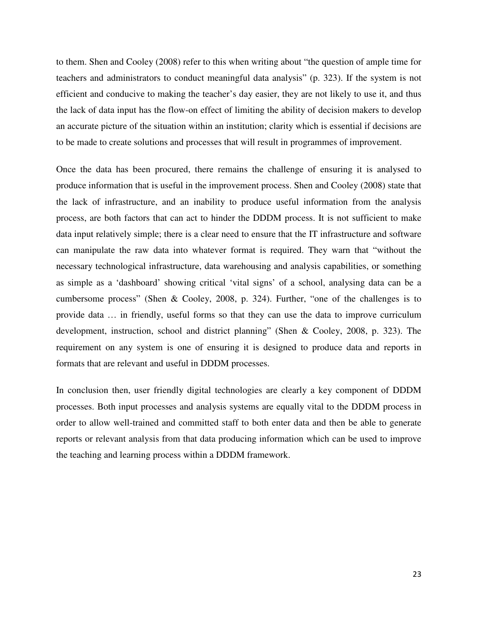to them. Shen and Cooley (2008) refer to this when writing about "the question of ample time for teachers and administrators to conduct meaningful data analysis" (p. 323). If the system is not efficient and conducive to making the teacher's day easier, they are not likely to use it, and thus the lack of data input has the flow-on effect of limiting the ability of decision makers to develop an accurate picture of the situation within an institution; clarity which is essential if decisions are to be made to create solutions and processes that will result in programmes of improvement.

Once the data has been procured, there remains the challenge of ensuring it is analysed to produce information that is useful in the improvement process. Shen and Cooley (2008) state that the lack of infrastructure, and an inability to produce useful information from the analysis process, are both factors that can act to hinder the DDDM process. It is not sufficient to make data input relatively simple; there is a clear need to ensure that the IT infrastructure and software can manipulate the raw data into whatever format is required. They warn that "without the necessary technological infrastructure, data warehousing and analysis capabilities, or something as simple as a 'dashboard' showing critical 'vital signs' of a school, analysing data can be a cumbersome process" (Shen & Cooley, 2008, p. 324). Further, "one of the challenges is to provide data … in friendly, useful forms so that they can use the data to improve curriculum development, instruction, school and district planning" (Shen & Cooley, 2008, p. 323). The requirement on any system is one of ensuring it is designed to produce data and reports in formats that are relevant and useful in DDDM processes.

In conclusion then, user friendly digital technologies are clearly a key component of DDDM processes. Both input processes and analysis systems are equally vital to the DDDM process in order to allow well-trained and committed staff to both enter data and then be able to generate reports or relevant analysis from that data producing information which can be used to improve the teaching and learning process within a DDDM framework.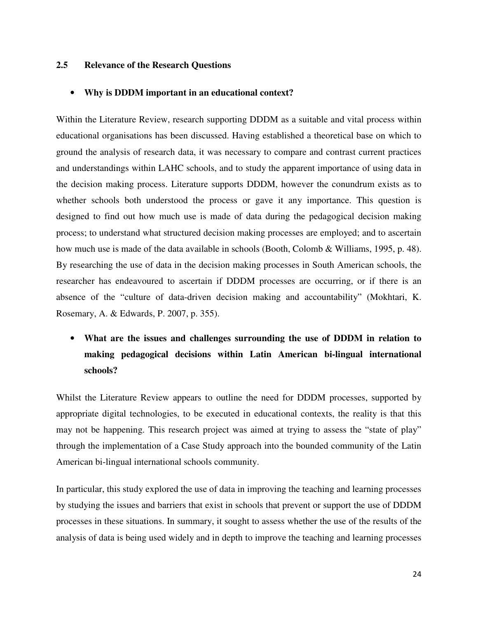### **2.5 Relevance of the Research Questions**

#### • **Why is DDDM important in an educational context?**

Within the Literature Review, research supporting DDDM as a suitable and vital process within educational organisations has been discussed. Having established a theoretical base on which to ground the analysis of research data, it was necessary to compare and contrast current practices and understandings within LAHC schools, and to study the apparent importance of using data in the decision making process. Literature supports DDDM, however the conundrum exists as to whether schools both understood the process or gave it any importance. This question is designed to find out how much use is made of data during the pedagogical decision making process; to understand what structured decision making processes are employed; and to ascertain how much use is made of the data available in schools (Booth, Colomb & Williams, 1995, p. 48). By researching the use of data in the decision making processes in South American schools, the researcher has endeavoured to ascertain if DDDM processes are occurring, or if there is an absence of the "culture of data-driven decision making and accountability" (Mokhtari, K. Rosemary, A. & Edwards, P. 2007, p. 355).

# • **What are the issues and challenges surrounding the use of DDDM in relation to making pedagogical decisions within Latin American bi-lingual international schools?**

Whilst the Literature Review appears to outline the need for DDDM processes, supported by appropriate digital technologies, to be executed in educational contexts, the reality is that this may not be happening. This research project was aimed at trying to assess the "state of play" through the implementation of a Case Study approach into the bounded community of the Latin American bi-lingual international schools community.

In particular, this study explored the use of data in improving the teaching and learning processes by studying the issues and barriers that exist in schools that prevent or support the use of DDDM processes in these situations. In summary, it sought to assess whether the use of the results of the analysis of data is being used widely and in depth to improve the teaching and learning processes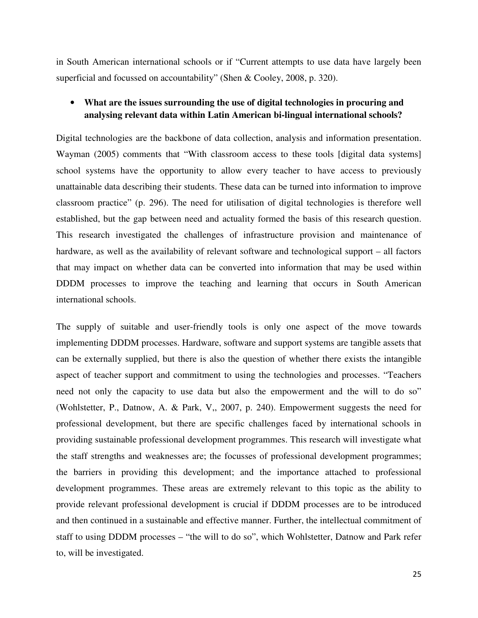in South American international schools or if "Current attempts to use data have largely been superficial and focussed on accountability" (Shen & Cooley, 2008, p. 320).

# • **What are the issues surrounding the use of digital technologies in procuring and analysing relevant data within Latin American bi-lingual international schools?**

Digital technologies are the backbone of data collection, analysis and information presentation. Wayman (2005) comments that "With classroom access to these tools [digital data systems] school systems have the opportunity to allow every teacher to have access to previously unattainable data describing their students. These data can be turned into information to improve classroom practice" (p. 296). The need for utilisation of digital technologies is therefore well established, but the gap between need and actuality formed the basis of this research question. This research investigated the challenges of infrastructure provision and maintenance of hardware, as well as the availability of relevant software and technological support – all factors that may impact on whether data can be converted into information that may be used within DDDM processes to improve the teaching and learning that occurs in South American international schools.

The supply of suitable and user-friendly tools is only one aspect of the move towards implementing DDDM processes. Hardware, software and support systems are tangible assets that can be externally supplied, but there is also the question of whether there exists the intangible aspect of teacher support and commitment to using the technologies and processes. "Teachers need not only the capacity to use data but also the empowerment and the will to do so" (Wohlstetter, P., Datnow, A. & Park, V,, 2007, p. 240). Empowerment suggests the need for professional development, but there are specific challenges faced by international schools in providing sustainable professional development programmes. This research will investigate what the staff strengths and weaknesses are; the focusses of professional development programmes; the barriers in providing this development; and the importance attached to professional development programmes. These areas are extremely relevant to this topic as the ability to provide relevant professional development is crucial if DDDM processes are to be introduced and then continued in a sustainable and effective manner. Further, the intellectual commitment of staff to using DDDM processes – "the will to do so", which Wohlstetter, Datnow and Park refer to, will be investigated.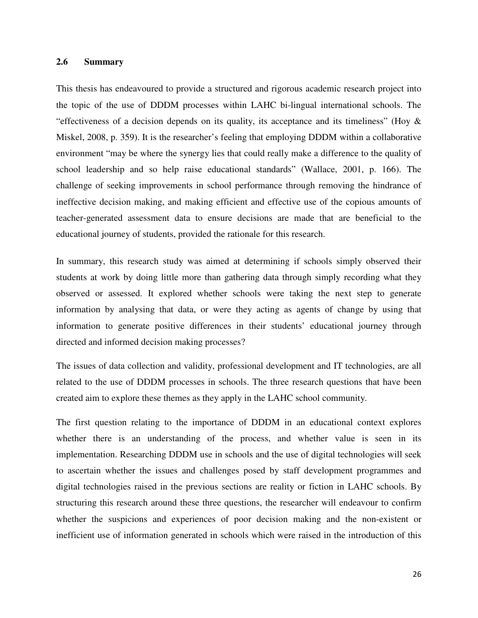### **2.6 Summary**

This thesis has endeavoured to provide a structured and rigorous academic research project into the topic of the use of DDDM processes within LAHC bi-lingual international schools. The "effectiveness of a decision depends on its quality, its acceptance and its timeliness" (Hoy & Miskel, 2008, p. 359). It is the researcher's feeling that employing DDDM within a collaborative environment "may be where the synergy lies that could really make a difference to the quality of school leadership and so help raise educational standards" (Wallace, 2001, p. 166). The challenge of seeking improvements in school performance through removing the hindrance of ineffective decision making, and making efficient and effective use of the copious amounts of teacher-generated assessment data to ensure decisions are made that are beneficial to the educational journey of students, provided the rationale for this research.

In summary, this research study was aimed at determining if schools simply observed their students at work by doing little more than gathering data through simply recording what they observed or assessed. It explored whether schools were taking the next step to generate information by analysing that data, or were they acting as agents of change by using that information to generate positive differences in their students' educational journey through directed and informed decision making processes?

The issues of data collection and validity, professional development and IT technologies, are all related to the use of DDDM processes in schools. The three research questions that have been created aim to explore these themes as they apply in the LAHC school community.

The first question relating to the importance of DDDM in an educational context explores whether there is an understanding of the process, and whether value is seen in its implementation. Researching DDDM use in schools and the use of digital technologies will seek to ascertain whether the issues and challenges posed by staff development programmes and digital technologies raised in the previous sections are reality or fiction in LAHC schools. By structuring this research around these three questions, the researcher will endeavour to confirm whether the suspicions and experiences of poor decision making and the non-existent or inefficient use of information generated in schools which were raised in the introduction of this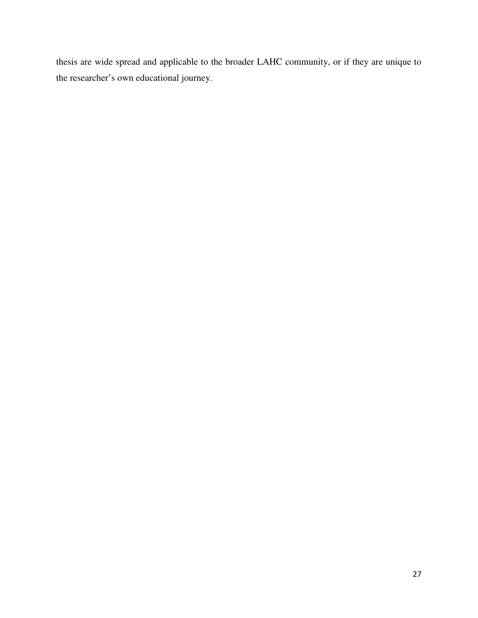thesis are wide spread and applicable to the broader LAHC community, or if they are unique to the researcher's own educational journey.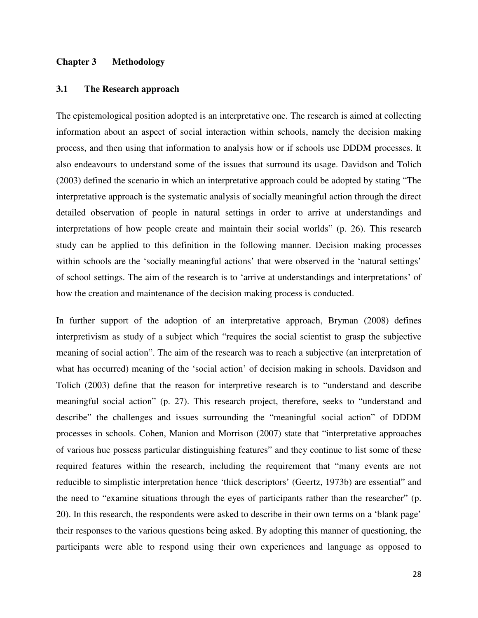#### **Chapter 3 Methodology**

#### **3.1 The Research approach**

The epistemological position adopted is an interpretative one. The research is aimed at collecting information about an aspect of social interaction within schools, namely the decision making process, and then using that information to analysis how or if schools use DDDM processes. It also endeavours to understand some of the issues that surround its usage. Davidson and Tolich (2003) defined the scenario in which an interpretative approach could be adopted by stating "The interpretative approach is the systematic analysis of socially meaningful action through the direct detailed observation of people in natural settings in order to arrive at understandings and interpretations of how people create and maintain their social worlds" (p. 26). This research study can be applied to this definition in the following manner. Decision making processes within schools are the 'socially meaningful actions' that were observed in the 'natural settings' of school settings. The aim of the research is to 'arrive at understandings and interpretations' of how the creation and maintenance of the decision making process is conducted.

In further support of the adoption of an interpretative approach, Bryman (2008) defines interpretivism as study of a subject which "requires the social scientist to grasp the subjective meaning of social action". The aim of the research was to reach a subjective (an interpretation of what has occurred) meaning of the 'social action' of decision making in schools. Davidson and Tolich (2003) define that the reason for interpretive research is to "understand and describe meaningful social action" (p. 27). This research project, therefore, seeks to "understand and describe" the challenges and issues surrounding the "meaningful social action" of DDDM processes in schools. Cohen, Manion and Morrison (2007) state that "interpretative approaches of various hue possess particular distinguishing features" and they continue to list some of these required features within the research, including the requirement that "many events are not reducible to simplistic interpretation hence 'thick descriptors' (Geertz, 1973b) are essential" and the need to "examine situations through the eyes of participants rather than the researcher" (p. 20). In this research, the respondents were asked to describe in their own terms on a 'blank page' their responses to the various questions being asked. By adopting this manner of questioning, the participants were able to respond using their own experiences and language as opposed to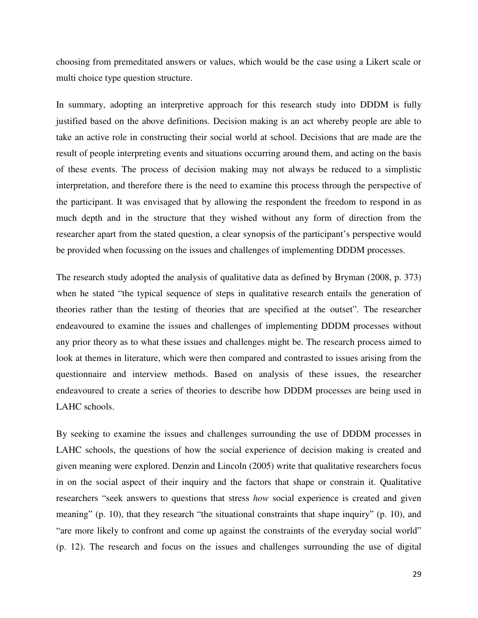choosing from premeditated answers or values, which would be the case using a Likert scale or multi choice type question structure.

In summary, adopting an interpretive approach for this research study into DDDM is fully justified based on the above definitions. Decision making is an act whereby people are able to take an active role in constructing their social world at school. Decisions that are made are the result of people interpreting events and situations occurring around them, and acting on the basis of these events. The process of decision making may not always be reduced to a simplistic interpretation, and therefore there is the need to examine this process through the perspective of the participant. It was envisaged that by allowing the respondent the freedom to respond in as much depth and in the structure that they wished without any form of direction from the researcher apart from the stated question, a clear synopsis of the participant's perspective would be provided when focussing on the issues and challenges of implementing DDDM processes.

The research study adopted the analysis of qualitative data as defined by Bryman (2008, p. 373) when he stated "the typical sequence of steps in qualitative research entails the generation of theories rather than the testing of theories that are specified at the outset". The researcher endeavoured to examine the issues and challenges of implementing DDDM processes without any prior theory as to what these issues and challenges might be. The research process aimed to look at themes in literature, which were then compared and contrasted to issues arising from the questionnaire and interview methods. Based on analysis of these issues, the researcher endeavoured to create a series of theories to describe how DDDM processes are being used in LAHC schools.

By seeking to examine the issues and challenges surrounding the use of DDDM processes in LAHC schools, the questions of how the social experience of decision making is created and given meaning were explored. Denzin and Lincoln (2005) write that qualitative researchers focus in on the social aspect of their inquiry and the factors that shape or constrain it. Qualitative researchers "seek answers to questions that stress *how* social experience is created and given meaning" (p. 10), that they research "the situational constraints that shape inquiry" (p. 10), and "are more likely to confront and come up against the constraints of the everyday social world" (p. 12). The research and focus on the issues and challenges surrounding the use of digital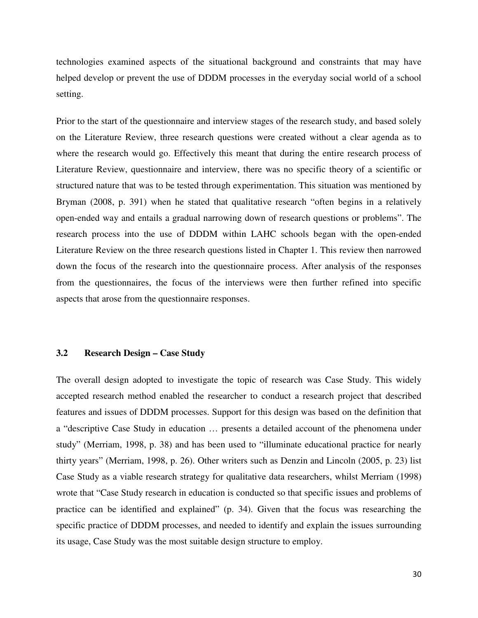technologies examined aspects of the situational background and constraints that may have helped develop or prevent the use of DDDM processes in the everyday social world of a school setting.

Prior to the start of the questionnaire and interview stages of the research study, and based solely on the Literature Review, three research questions were created without a clear agenda as to where the research would go. Effectively this meant that during the entire research process of Literature Review, questionnaire and interview, there was no specific theory of a scientific or structured nature that was to be tested through experimentation. This situation was mentioned by Bryman (2008, p. 391) when he stated that qualitative research "often begins in a relatively open-ended way and entails a gradual narrowing down of research questions or problems". The research process into the use of DDDM within LAHC schools began with the open-ended Literature Review on the three research questions listed in Chapter 1. This review then narrowed down the focus of the research into the questionnaire process. After analysis of the responses from the questionnaires, the focus of the interviews were then further refined into specific aspects that arose from the questionnaire responses.

### **3.2 Research Design – Case Study**

The overall design adopted to investigate the topic of research was Case Study. This widely accepted research method enabled the researcher to conduct a research project that described features and issues of DDDM processes. Support for this design was based on the definition that a "descriptive Case Study in education … presents a detailed account of the phenomena under study" (Merriam, 1998, p. 38) and has been used to "illuminate educational practice for nearly thirty years" (Merriam, 1998, p. 26). Other writers such as Denzin and Lincoln (2005, p. 23) list Case Study as a viable research strategy for qualitative data researchers, whilst Merriam (1998) wrote that "Case Study research in education is conducted so that specific issues and problems of practice can be identified and explained" (p. 34). Given that the focus was researching the specific practice of DDDM processes, and needed to identify and explain the issues surrounding its usage, Case Study was the most suitable design structure to employ.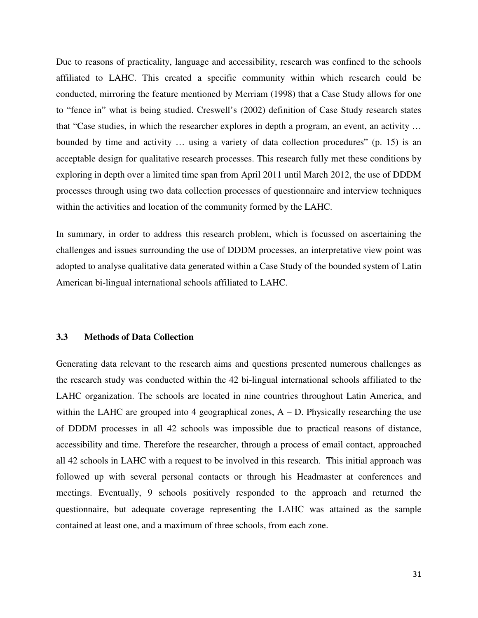Due to reasons of practicality, language and accessibility, research was confined to the schools affiliated to LAHC. This created a specific community within which research could be conducted, mirroring the feature mentioned by Merriam (1998) that a Case Study allows for one to "fence in" what is being studied. Creswell's (2002) definition of Case Study research states that "Case studies, in which the researcher explores in depth a program, an event, an activity … bounded by time and activity … using a variety of data collection procedures" (p. 15) is an acceptable design for qualitative research processes. This research fully met these conditions by exploring in depth over a limited time span from April 2011 until March 2012, the use of DDDM processes through using two data collection processes of questionnaire and interview techniques within the activities and location of the community formed by the LAHC.

In summary, in order to address this research problem, which is focussed on ascertaining the challenges and issues surrounding the use of DDDM processes, an interpretative view point was adopted to analyse qualitative data generated within a Case Study of the bounded system of Latin American bi-lingual international schools affiliated to LAHC.

### **3.3 Methods of Data Collection**

Generating data relevant to the research aims and questions presented numerous challenges as the research study was conducted within the 42 bi-lingual international schools affiliated to the LAHC organization. The schools are located in nine countries throughout Latin America, and within the LAHC are grouped into 4 geographical zones,  $A - D$ . Physically researching the use of DDDM processes in all 42 schools was impossible due to practical reasons of distance, accessibility and time. Therefore the researcher, through a process of email contact, approached all 42 schools in LAHC with a request to be involved in this research. This initial approach was followed up with several personal contacts or through his Headmaster at conferences and meetings. Eventually, 9 schools positively responded to the approach and returned the questionnaire, but adequate coverage representing the LAHC was attained as the sample contained at least one, and a maximum of three schools, from each zone.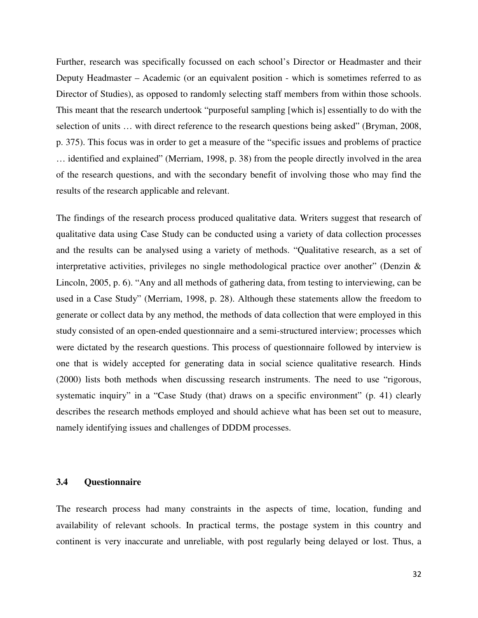Further, research was specifically focussed on each school's Director or Headmaster and their Deputy Headmaster – Academic (or an equivalent position - which is sometimes referred to as Director of Studies), as opposed to randomly selecting staff members from within those schools. This meant that the research undertook "purposeful sampling [which is] essentially to do with the selection of units … with direct reference to the research questions being asked" (Bryman, 2008, p. 375). This focus was in order to get a measure of the "specific issues and problems of practice … identified and explained" (Merriam, 1998, p. 38) from the people directly involved in the area of the research questions, and with the secondary benefit of involving those who may find the results of the research applicable and relevant.

The findings of the research process produced qualitative data. Writers suggest that research of qualitative data using Case Study can be conducted using a variety of data collection processes and the results can be analysed using a variety of methods. "Qualitative research, as a set of interpretative activities, privileges no single methodological practice over another" (Denzin & Lincoln, 2005, p. 6). "Any and all methods of gathering data, from testing to interviewing, can be used in a Case Study" (Merriam, 1998, p. 28). Although these statements allow the freedom to generate or collect data by any method, the methods of data collection that were employed in this study consisted of an open-ended questionnaire and a semi-structured interview; processes which were dictated by the research questions. This process of questionnaire followed by interview is one that is widely accepted for generating data in social science qualitative research. Hinds (2000) lists both methods when discussing research instruments. The need to use "rigorous, systematic inquiry" in a "Case Study (that) draws on a specific environment" (p. 41) clearly describes the research methods employed and should achieve what has been set out to measure, namely identifying issues and challenges of DDDM processes.

#### **3.4 Questionnaire**

The research process had many constraints in the aspects of time, location, funding and availability of relevant schools. In practical terms, the postage system in this country and continent is very inaccurate and unreliable, with post regularly being delayed or lost. Thus, a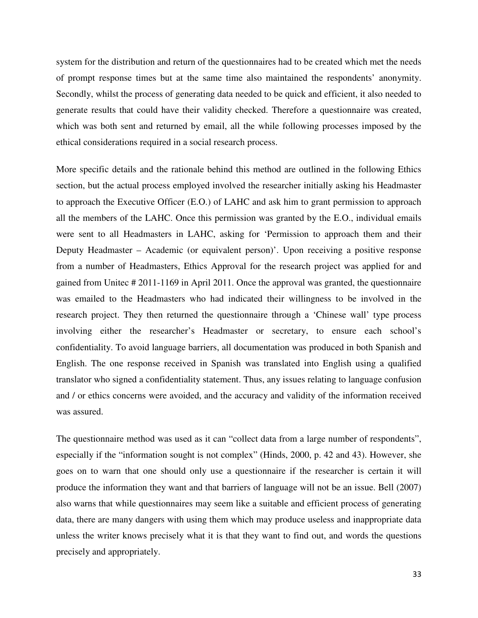system for the distribution and return of the questionnaires had to be created which met the needs of prompt response times but at the same time also maintained the respondents' anonymity. Secondly, whilst the process of generating data needed to be quick and efficient, it also needed to generate results that could have their validity checked. Therefore a questionnaire was created, which was both sent and returned by email, all the while following processes imposed by the ethical considerations required in a social research process.

More specific details and the rationale behind this method are outlined in the following Ethics section, but the actual process employed involved the researcher initially asking his Headmaster to approach the Executive Officer (E.O.) of LAHC and ask him to grant permission to approach all the members of the LAHC. Once this permission was granted by the E.O., individual emails were sent to all Headmasters in LAHC, asking for 'Permission to approach them and their Deputy Headmaster – Academic (or equivalent person)'. Upon receiving a positive response from a number of Headmasters, Ethics Approval for the research project was applied for and gained from Unitec # 2011-1169 in April 2011. Once the approval was granted, the questionnaire was emailed to the Headmasters who had indicated their willingness to be involved in the research project. They then returned the questionnaire through a 'Chinese wall' type process involving either the researcher's Headmaster or secretary, to ensure each school's confidentiality. To avoid language barriers, all documentation was produced in both Spanish and English. The one response received in Spanish was translated into English using a qualified translator who signed a confidentiality statement. Thus, any issues relating to language confusion and / or ethics concerns were avoided, and the accuracy and validity of the information received was assured.

The questionnaire method was used as it can "collect data from a large number of respondents", especially if the "information sought is not complex" (Hinds, 2000, p. 42 and 43). However, she goes on to warn that one should only use a questionnaire if the researcher is certain it will produce the information they want and that barriers of language will not be an issue. Bell (2007) also warns that while questionnaires may seem like a suitable and efficient process of generating data, there are many dangers with using them which may produce useless and inappropriate data unless the writer knows precisely what it is that they want to find out, and words the questions precisely and appropriately.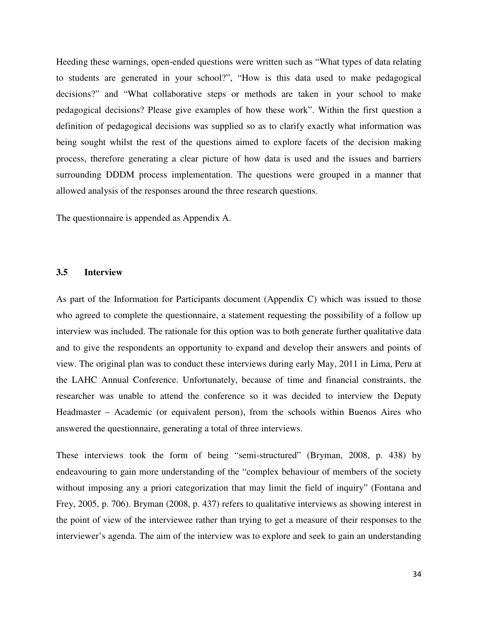Heeding these warnings, open-ended questions were written such as "What types of data relating to students are generated in your school?", "How is this data used to make pedagogical decisions?" and "What collaborative steps or methods are taken in your school to make pedagogical decisions? Please give examples of how these work". Within the first question a definition of pedagogical decisions was supplied so as to clarify exactly what information was being sought whilst the rest of the questions aimed to explore facets of the decision making process, therefore generating a clear picture of how data is used and the issues and barriers surrounding DDDM process implementation. The questions were grouped in a manner that allowed analysis of the responses around the three research questions.

The questionnaire is appended as Appendix A.

#### **3.5 Interview**

As part of the Information for Participants document (Appendix C) which was issued to those who agreed to complete the questionnaire, a statement requesting the possibility of a follow up interview was included. The rationale for this option was to both generate further qualitative data and to give the respondents an opportunity to expand and develop their answers and points of view. The original plan was to conduct these interviews during early May, 2011 in Lima, Peru at the LAHC Annual Conference. Unfortunately, because of time and financial constraints, the researcher was unable to attend the conference so it was decided to interview the Deputy Headmaster – Academic (or equivalent person), from the schools within Buenos Aires who answered the questionnaire, generating a total of three interviews.

These interviews took the form of being "semi-structured" (Bryman, 2008, p. 438) by endeavouring to gain more understanding of the "complex behaviour of members of the society without imposing any a priori categorization that may limit the field of inquiry" (Fontana and Frey, 2005, p. 706). Bryman (2008, p. 437) refers to qualitative interviews as showing interest in the point of view of the interviewee rather than trying to get a measure of their responses to the interviewer's agenda. The aim of the interview was to explore and seek to gain an understanding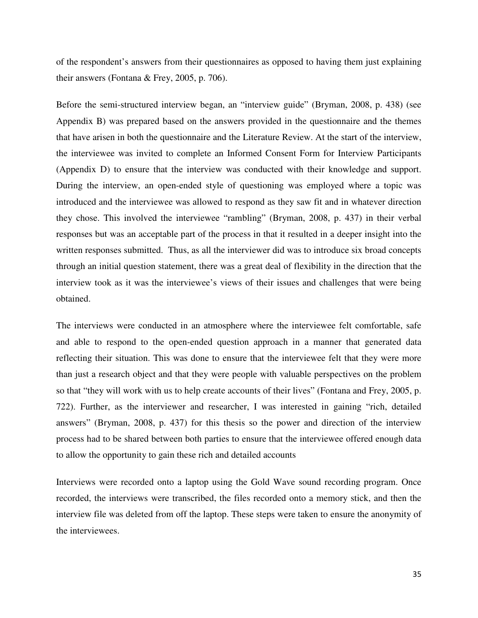of the respondent's answers from their questionnaires as opposed to having them just explaining their answers (Fontana & Frey, 2005, p. 706).

Before the semi-structured interview began, an "interview guide" (Bryman, 2008, p. 438) (see Appendix B) was prepared based on the answers provided in the questionnaire and the themes that have arisen in both the questionnaire and the Literature Review. At the start of the interview, the interviewee was invited to complete an Informed Consent Form for Interview Participants (Appendix D) to ensure that the interview was conducted with their knowledge and support. During the interview, an open-ended style of questioning was employed where a topic was introduced and the interviewee was allowed to respond as they saw fit and in whatever direction they chose. This involved the interviewee "rambling" (Bryman, 2008, p. 437) in their verbal responses but was an acceptable part of the process in that it resulted in a deeper insight into the written responses submitted. Thus, as all the interviewer did was to introduce six broad concepts through an initial question statement, there was a great deal of flexibility in the direction that the interview took as it was the interviewee's views of their issues and challenges that were being obtained.

The interviews were conducted in an atmosphere where the interviewee felt comfortable, safe and able to respond to the open-ended question approach in a manner that generated data reflecting their situation. This was done to ensure that the interviewee felt that they were more than just a research object and that they were people with valuable perspectives on the problem so that "they will work with us to help create accounts of their lives" (Fontana and Frey, 2005, p. 722). Further, as the interviewer and researcher, I was interested in gaining "rich, detailed answers" (Bryman, 2008, p. 437) for this thesis so the power and direction of the interview process had to be shared between both parties to ensure that the interviewee offered enough data to allow the opportunity to gain these rich and detailed accounts

Interviews were recorded onto a laptop using the Gold Wave sound recording program. Once recorded, the interviews were transcribed, the files recorded onto a memory stick, and then the interview file was deleted from off the laptop. These steps were taken to ensure the anonymity of the interviewees.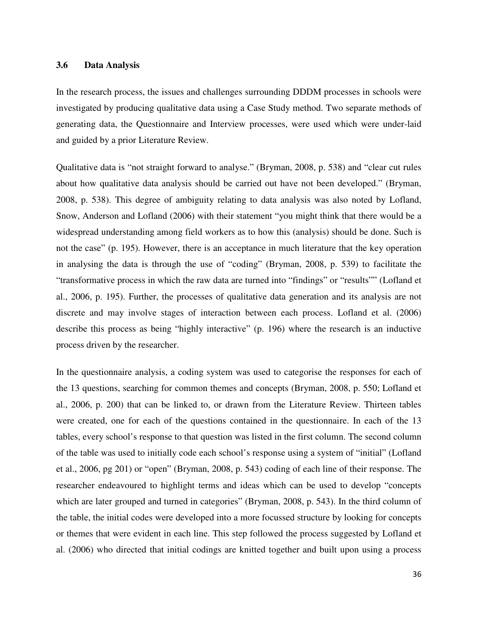### **3.6 Data Analysis**

In the research process, the issues and challenges surrounding DDDM processes in schools were investigated by producing qualitative data using a Case Study method. Two separate methods of generating data, the Questionnaire and Interview processes, were used which were under-laid and guided by a prior Literature Review.

Qualitative data is "not straight forward to analyse." (Bryman, 2008, p. 538) and "clear cut rules about how qualitative data analysis should be carried out have not been developed." (Bryman, 2008, p. 538). This degree of ambiguity relating to data analysis was also noted by Lofland, Snow, Anderson and Lofland (2006) with their statement "you might think that there would be a widespread understanding among field workers as to how this (analysis) should be done. Such is not the case" (p. 195). However, there is an acceptance in much literature that the key operation in analysing the data is through the use of "coding" (Bryman, 2008, p. 539) to facilitate the "transformative process in which the raw data are turned into "findings" or "results"" (Lofland et al., 2006, p. 195). Further, the processes of qualitative data generation and its analysis are not discrete and may involve stages of interaction between each process. Lofland et al. (2006) describe this process as being "highly interactive" (p. 196) where the research is an inductive process driven by the researcher.

In the questionnaire analysis, a coding system was used to categorise the responses for each of the 13 questions, searching for common themes and concepts (Bryman, 2008, p. 550; Lofland et al., 2006, p. 200) that can be linked to, or drawn from the Literature Review. Thirteen tables were created, one for each of the questions contained in the questionnaire. In each of the 13 tables, every school's response to that question was listed in the first column. The second column of the table was used to initially code each school's response using a system of "initial" (Lofland et al., 2006, pg 201) or "open" (Bryman, 2008, p. 543) coding of each line of their response. The researcher endeavoured to highlight terms and ideas which can be used to develop "concepts which are later grouped and turned in categories" (Bryman, 2008, p. 543). In the third column of the table, the initial codes were developed into a more focussed structure by looking for concepts or themes that were evident in each line. This step followed the process suggested by Lofland et al. (2006) who directed that initial codings are knitted together and built upon using a process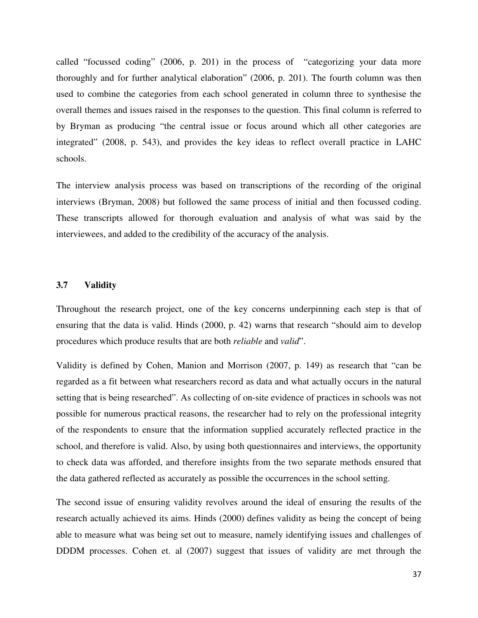called "focussed coding" (2006, p. 201) in the process of "categorizing your data more thoroughly and for further analytical elaboration" (2006, p. 201). The fourth column was then used to combine the categories from each school generated in column three to synthesise the overall themes and issues raised in the responses to the question. This final column is referred to by Bryman as producing "the central issue or focus around which all other categories are integrated" (2008, p. 543), and provides the key ideas to reflect overall practice in LAHC schools.

The interview analysis process was based on transcriptions of the recording of the original interviews (Bryman, 2008) but followed the same process of initial and then focussed coding. These transcripts allowed for thorough evaluation and analysis of what was said by the interviewees, and added to the credibility of the accuracy of the analysis.

### **3.7 Validity**

Throughout the research project, one of the key concerns underpinning each step is that of ensuring that the data is valid. Hinds (2000, p. 42) warns that research "should aim to develop procedures which produce results that are both *reliable* and *valid*".

Validity is defined by Cohen, Manion and Morrison (2007, p. 149) as research that "can be regarded as a fit between what researchers record as data and what actually occurs in the natural setting that is being researched". As collecting of on-site evidence of practices in schools was not possible for numerous practical reasons, the researcher had to rely on the professional integrity of the respondents to ensure that the information supplied accurately reflected practice in the school, and therefore is valid. Also, by using both questionnaires and interviews, the opportunity to check data was afforded, and therefore insights from the two separate methods ensured that the data gathered reflected as accurately as possible the occurrences in the school setting.

The second issue of ensuring validity revolves around the ideal of ensuring the results of the research actually achieved its aims. Hinds (2000) defines validity as being the concept of being able to measure what was being set out to measure, namely identifying issues and challenges of DDDM processes. Cohen et. al (2007) suggest that issues of validity are met through the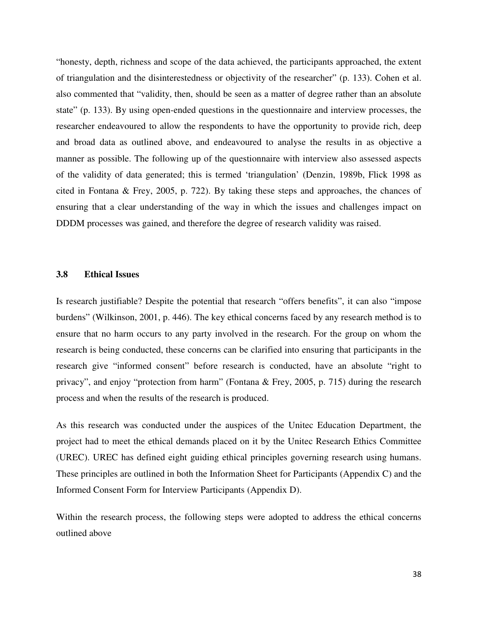"honesty, depth, richness and scope of the data achieved, the participants approached, the extent of triangulation and the disinterestedness or objectivity of the researcher" (p. 133). Cohen et al. also commented that "validity, then, should be seen as a matter of degree rather than an absolute state" (p. 133). By using open-ended questions in the questionnaire and interview processes, the researcher endeavoured to allow the respondents to have the opportunity to provide rich, deep and broad data as outlined above, and endeavoured to analyse the results in as objective a manner as possible. The following up of the questionnaire with interview also assessed aspects of the validity of data generated; this is termed 'triangulation' (Denzin, 1989b, Flick 1998 as cited in Fontana & Frey, 2005, p. 722). By taking these steps and approaches, the chances of ensuring that a clear understanding of the way in which the issues and challenges impact on DDDM processes was gained, and therefore the degree of research validity was raised.

### **3.8 Ethical Issues**

Is research justifiable? Despite the potential that research "offers benefits", it can also "impose burdens" (Wilkinson, 2001, p. 446). The key ethical concerns faced by any research method is to ensure that no harm occurs to any party involved in the research. For the group on whom the research is being conducted, these concerns can be clarified into ensuring that participants in the research give "informed consent" before research is conducted, have an absolute "right to privacy", and enjoy "protection from harm" (Fontana & Frey, 2005, p. 715) during the research process and when the results of the research is produced.

As this research was conducted under the auspices of the Unitec Education Department, the project had to meet the ethical demands placed on it by the Unitec Research Ethics Committee (UREC). UREC has defined eight guiding ethical principles governing research using humans. These principles are outlined in both the Information Sheet for Participants (Appendix C) and the Informed Consent Form for Interview Participants (Appendix D).

Within the research process, the following steps were adopted to address the ethical concerns outlined above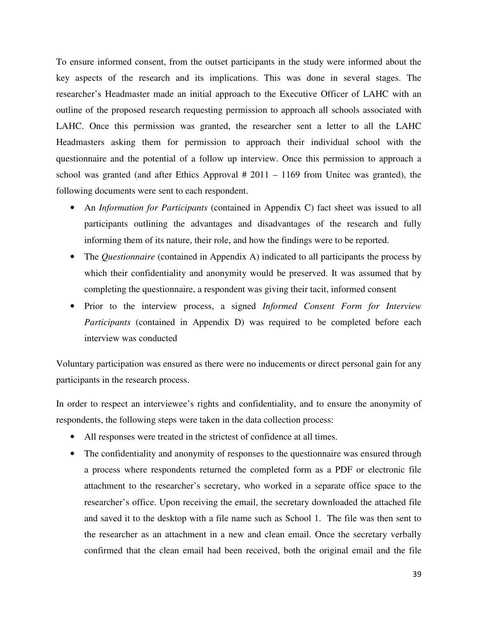To ensure informed consent, from the outset participants in the study were informed about the key aspects of the research and its implications. This was done in several stages. The researcher's Headmaster made an initial approach to the Executive Officer of LAHC with an outline of the proposed research requesting permission to approach all schools associated with LAHC. Once this permission was granted, the researcher sent a letter to all the LAHC Headmasters asking them for permission to approach their individual school with the questionnaire and the potential of a follow up interview. Once this permission to approach a school was granted (and after Ethics Approval  $#2011 - 1169$  from Unitec was granted), the following documents were sent to each respondent.

- An *Information for Participants* (contained in Appendix C) fact sheet was issued to all participants outlining the advantages and disadvantages of the research and fully informing them of its nature, their role, and how the findings were to be reported.
- The *Questionnaire* (contained in Appendix A) indicated to all participants the process by which their confidentiality and anonymity would be preserved. It was assumed that by completing the questionnaire, a respondent was giving their tacit, informed consent
- Prior to the interview process, a signed *Informed Consent Form for Interview Participants* (contained in Appendix D) was required to be completed before each interview was conducted

Voluntary participation was ensured as there were no inducements or direct personal gain for any participants in the research process.

In order to respect an interviewee's rights and confidentiality, and to ensure the anonymity of respondents, the following steps were taken in the data collection process:

- All responses were treated in the strictest of confidence at all times.
- The confidentiality and anonymity of responses to the questionnaire was ensured through a process where respondents returned the completed form as a PDF or electronic file attachment to the researcher's secretary, who worked in a separate office space to the researcher's office. Upon receiving the email, the secretary downloaded the attached file and saved it to the desktop with a file name such as School 1. The file was then sent to the researcher as an attachment in a new and clean email. Once the secretary verbally confirmed that the clean email had been received, both the original email and the file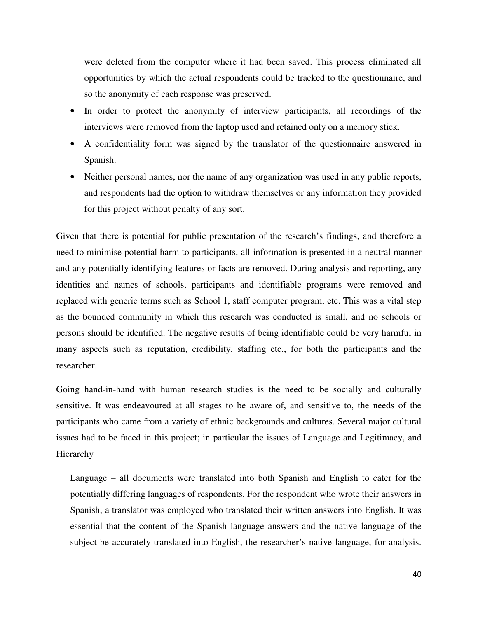were deleted from the computer where it had been saved. This process eliminated all opportunities by which the actual respondents could be tracked to the questionnaire, and so the anonymity of each response was preserved.

- In order to protect the anonymity of interview participants, all recordings of the interviews were removed from the laptop used and retained only on a memory stick.
- A confidentiality form was signed by the translator of the questionnaire answered in Spanish.
- Neither personal names, nor the name of any organization was used in any public reports, and respondents had the option to withdraw themselves or any information they provided for this project without penalty of any sort.

Given that there is potential for public presentation of the research's findings, and therefore a need to minimise potential harm to participants, all information is presented in a neutral manner and any potentially identifying features or facts are removed. During analysis and reporting, any identities and names of schools, participants and identifiable programs were removed and replaced with generic terms such as School 1, staff computer program, etc. This was a vital step as the bounded community in which this research was conducted is small, and no schools or persons should be identified. The negative results of being identifiable could be very harmful in many aspects such as reputation, credibility, staffing etc., for both the participants and the researcher.

Going hand-in-hand with human research studies is the need to be socially and culturally sensitive. It was endeavoured at all stages to be aware of, and sensitive to, the needs of the participants who came from a variety of ethnic backgrounds and cultures. Several major cultural issues had to be faced in this project; in particular the issues of Language and Legitimacy, and Hierarchy

Language – all documents were translated into both Spanish and English to cater for the potentially differing languages of respondents. For the respondent who wrote their answers in Spanish, a translator was employed who translated their written answers into English. It was essential that the content of the Spanish language answers and the native language of the subject be accurately translated into English, the researcher's native language, for analysis.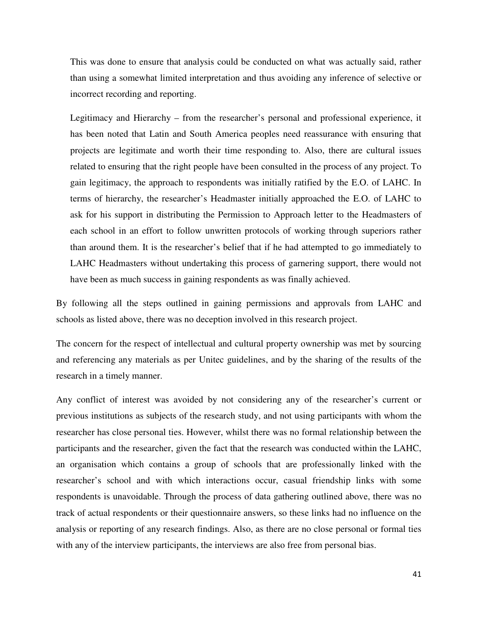This was done to ensure that analysis could be conducted on what was actually said, rather than using a somewhat limited interpretation and thus avoiding any inference of selective or incorrect recording and reporting.

Legitimacy and Hierarchy – from the researcher's personal and professional experience, it has been noted that Latin and South America peoples need reassurance with ensuring that projects are legitimate and worth their time responding to. Also, there are cultural issues related to ensuring that the right people have been consulted in the process of any project. To gain legitimacy, the approach to respondents was initially ratified by the E.O. of LAHC. In terms of hierarchy, the researcher's Headmaster initially approached the E.O. of LAHC to ask for his support in distributing the Permission to Approach letter to the Headmasters of each school in an effort to follow unwritten protocols of working through superiors rather than around them. It is the researcher's belief that if he had attempted to go immediately to LAHC Headmasters without undertaking this process of garnering support, there would not have been as much success in gaining respondents as was finally achieved.

By following all the steps outlined in gaining permissions and approvals from LAHC and schools as listed above, there was no deception involved in this research project.

The concern for the respect of intellectual and cultural property ownership was met by sourcing and referencing any materials as per Unitec guidelines, and by the sharing of the results of the research in a timely manner.

Any conflict of interest was avoided by not considering any of the researcher's current or previous institutions as subjects of the research study, and not using participants with whom the researcher has close personal ties. However, whilst there was no formal relationship between the participants and the researcher, given the fact that the research was conducted within the LAHC, an organisation which contains a group of schools that are professionally linked with the researcher's school and with which interactions occur, casual friendship links with some respondents is unavoidable. Through the process of data gathering outlined above, there was no track of actual respondents or their questionnaire answers, so these links had no influence on the analysis or reporting of any research findings. Also, as there are no close personal or formal ties with any of the interview participants, the interviews are also free from personal bias.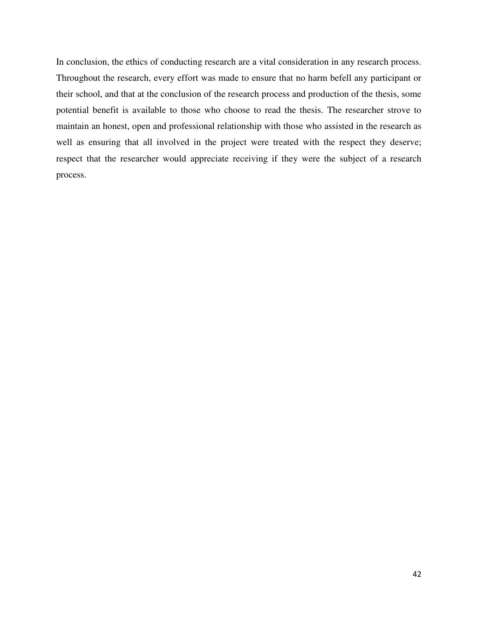In conclusion, the ethics of conducting research are a vital consideration in any research process. Throughout the research, every effort was made to ensure that no harm befell any participant or their school, and that at the conclusion of the research process and production of the thesis, some potential benefit is available to those who choose to read the thesis. The researcher strove to maintain an honest, open and professional relationship with those who assisted in the research as well as ensuring that all involved in the project were treated with the respect they deserve; respect that the researcher would appreciate receiving if they were the subject of a research process.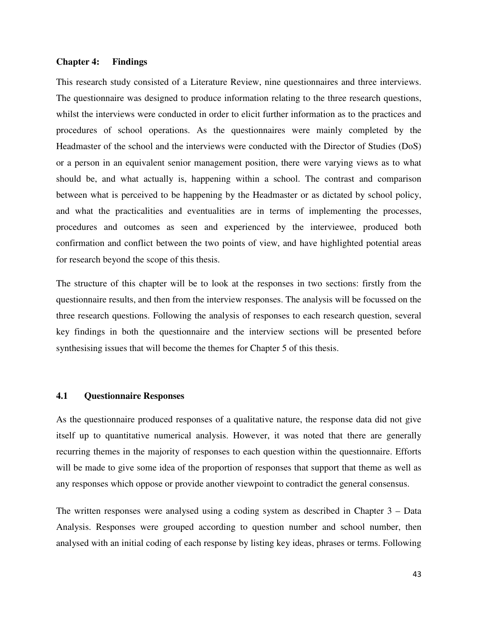#### **Chapter 4: Findings**

This research study consisted of a Literature Review, nine questionnaires and three interviews. The questionnaire was designed to produce information relating to the three research questions, whilst the interviews were conducted in order to elicit further information as to the practices and procedures of school operations. As the questionnaires were mainly completed by the Headmaster of the school and the interviews were conducted with the Director of Studies (DoS) or a person in an equivalent senior management position, there were varying views as to what should be, and what actually is, happening within a school. The contrast and comparison between what is perceived to be happening by the Headmaster or as dictated by school policy, and what the practicalities and eventualities are in terms of implementing the processes, procedures and outcomes as seen and experienced by the interviewee, produced both confirmation and conflict between the two points of view, and have highlighted potential areas for research beyond the scope of this thesis.

The structure of this chapter will be to look at the responses in two sections: firstly from the questionnaire results, and then from the interview responses. The analysis will be focussed on the three research questions. Following the analysis of responses to each research question, several key findings in both the questionnaire and the interview sections will be presented before synthesising issues that will become the themes for Chapter 5 of this thesis.

### **4.1 Questionnaire Responses**

As the questionnaire produced responses of a qualitative nature, the response data did not give itself up to quantitative numerical analysis. However, it was noted that there are generally recurring themes in the majority of responses to each question within the questionnaire. Efforts will be made to give some idea of the proportion of responses that support that theme as well as any responses which oppose or provide another viewpoint to contradict the general consensus.

The written responses were analysed using a coding system as described in Chapter 3 – Data Analysis. Responses were grouped according to question number and school number, then analysed with an initial coding of each response by listing key ideas, phrases or terms. Following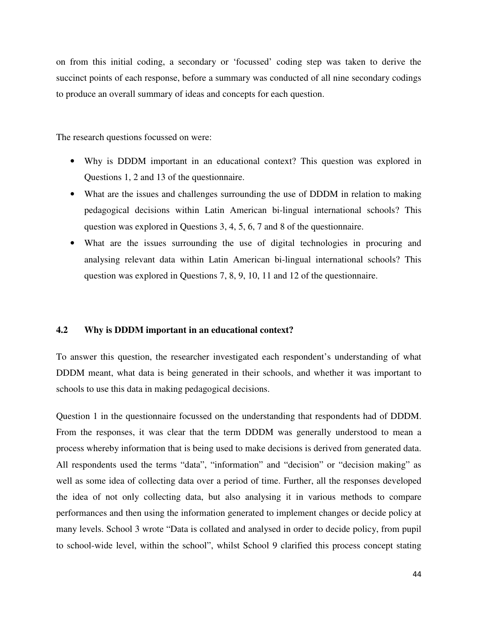on from this initial coding, a secondary or 'focussed' coding step was taken to derive the succinct points of each response, before a summary was conducted of all nine secondary codings to produce an overall summary of ideas and concepts for each question.

The research questions focussed on were:

- Why is DDDM important in an educational context? This question was explored in Questions 1, 2 and 13 of the questionnaire.
- What are the issues and challenges surrounding the use of DDDM in relation to making pedagogical decisions within Latin American bi-lingual international schools? This question was explored in Questions 3, 4, 5, 6, 7 and 8 of the questionnaire.
- What are the issues surrounding the use of digital technologies in procuring and analysing relevant data within Latin American bi-lingual international schools? This question was explored in Questions 7, 8, 9, 10, 11 and 12 of the questionnaire.

#### **4.2 Why is DDDM important in an educational context?**

To answer this question, the researcher investigated each respondent's understanding of what DDDM meant, what data is being generated in their schools, and whether it was important to schools to use this data in making pedagogical decisions.

Question 1 in the questionnaire focussed on the understanding that respondents had of DDDM. From the responses, it was clear that the term DDDM was generally understood to mean a process whereby information that is being used to make decisions is derived from generated data. All respondents used the terms "data", "information" and "decision" or "decision making" as well as some idea of collecting data over a period of time. Further, all the responses developed the idea of not only collecting data, but also analysing it in various methods to compare performances and then using the information generated to implement changes or decide policy at many levels. School 3 wrote "Data is collated and analysed in order to decide policy, from pupil to school-wide level, within the school", whilst School 9 clarified this process concept stating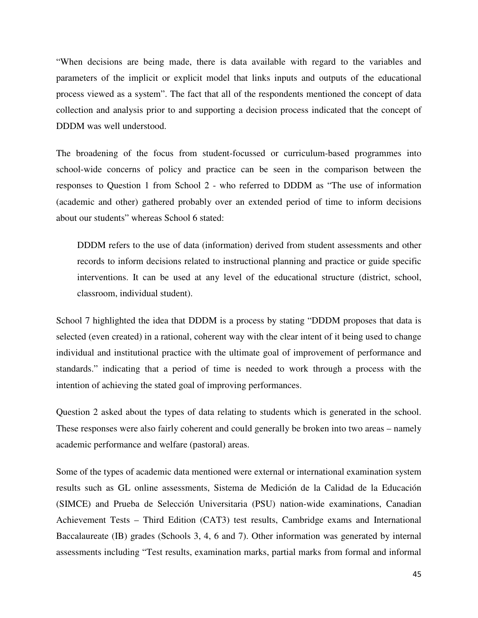"When decisions are being made, there is data available with regard to the variables and parameters of the implicit or explicit model that links inputs and outputs of the educational process viewed as a system". The fact that all of the respondents mentioned the concept of data collection and analysis prior to and supporting a decision process indicated that the concept of DDDM was well understood.

The broadening of the focus from student-focussed or curriculum-based programmes into school-wide concerns of policy and practice can be seen in the comparison between the responses to Question 1 from School 2 - who referred to DDDM as "The use of information (academic and other) gathered probably over an extended period of time to inform decisions about our students" whereas School 6 stated:

DDDM refers to the use of data (information) derived from student assessments and other records to inform decisions related to instructional planning and practice or guide specific interventions. It can be used at any level of the educational structure (district, school, classroom, individual student).

School 7 highlighted the idea that DDDM is a process by stating "DDDM proposes that data is selected (even created) in a rational, coherent way with the clear intent of it being used to change individual and institutional practice with the ultimate goal of improvement of performance and standards." indicating that a period of time is needed to work through a process with the intention of achieving the stated goal of improving performances.

Question 2 asked about the types of data relating to students which is generated in the school. These responses were also fairly coherent and could generally be broken into two areas – namely academic performance and welfare (pastoral) areas.

Some of the types of academic data mentioned were external or international examination system results such as GL online assessments, Sistema de Medición de la Calidad de la Educación (SIMCE) and Prueba de Selección Universitaria (PSU) nation-wide examinations, Canadian Achievement Tests – Third Edition (CAT3) test results, Cambridge exams and International Baccalaureate (IB) grades (Schools 3, 4, 6 and 7). Other information was generated by internal assessments including "Test results, examination marks, partial marks from formal and informal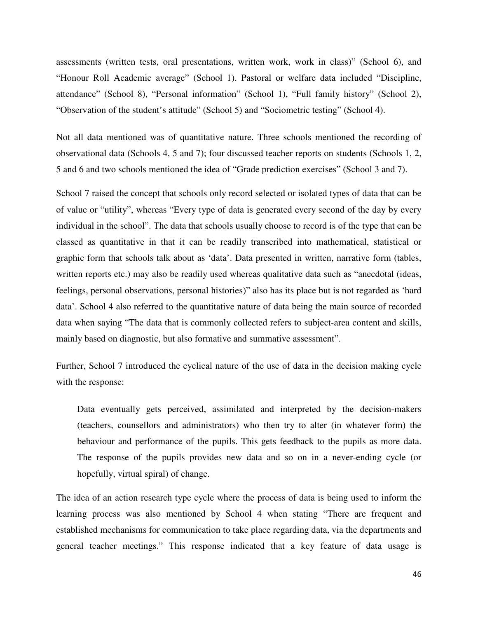assessments (written tests, oral presentations, written work, work in class)" (School 6), and "Honour Roll Academic average" (School 1). Pastoral or welfare data included "Discipline, attendance" (School 8), "Personal information" (School 1), "Full family history" (School 2), "Observation of the student's attitude" (School 5) and "Sociometric testing" (School 4).

Not all data mentioned was of quantitative nature. Three schools mentioned the recording of observational data (Schools 4, 5 and 7); four discussed teacher reports on students (Schools 1, 2, 5 and 6 and two schools mentioned the idea of "Grade prediction exercises" (School 3 and 7).

School 7 raised the concept that schools only record selected or isolated types of data that can be of value or "utility", whereas "Every type of data is generated every second of the day by every individual in the school". The data that schools usually choose to record is of the type that can be classed as quantitative in that it can be readily transcribed into mathematical, statistical or graphic form that schools talk about as 'data'. Data presented in written, narrative form (tables, written reports etc.) may also be readily used whereas qualitative data such as "anecdotal (ideas, feelings, personal observations, personal histories)" also has its place but is not regarded as 'hard data'. School 4 also referred to the quantitative nature of data being the main source of recorded data when saying "The data that is commonly collected refers to subject-area content and skills, mainly based on diagnostic, but also formative and summative assessment".

Further, School 7 introduced the cyclical nature of the use of data in the decision making cycle with the response:

Data eventually gets perceived, assimilated and interpreted by the decision-makers (teachers, counsellors and administrators) who then try to alter (in whatever form) the behaviour and performance of the pupils. This gets feedback to the pupils as more data. The response of the pupils provides new data and so on in a never-ending cycle (or hopefully, virtual spiral) of change.

The idea of an action research type cycle where the process of data is being used to inform the learning process was also mentioned by School 4 when stating "There are frequent and established mechanisms for communication to take place regarding data, via the departments and general teacher meetings." This response indicated that a key feature of data usage is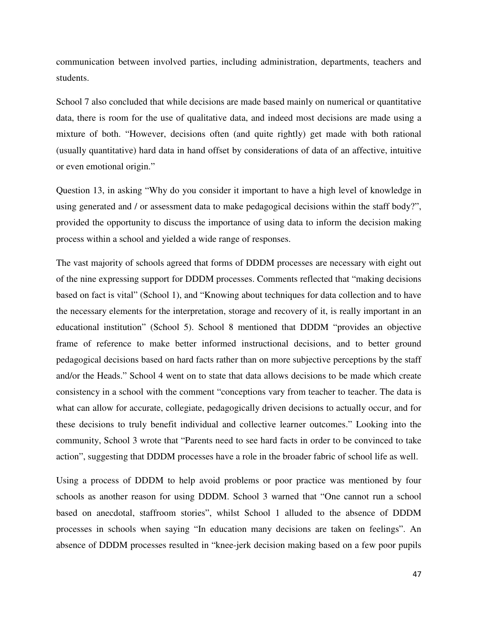communication between involved parties, including administration, departments, teachers and students.

School 7 also concluded that while decisions are made based mainly on numerical or quantitative data, there is room for the use of qualitative data, and indeed most decisions are made using a mixture of both. "However, decisions often (and quite rightly) get made with both rational (usually quantitative) hard data in hand offset by considerations of data of an affective, intuitive or even emotional origin."

Question 13, in asking "Why do you consider it important to have a high level of knowledge in using generated and / or assessment data to make pedagogical decisions within the staff body?", provided the opportunity to discuss the importance of using data to inform the decision making process within a school and yielded a wide range of responses.

The vast majority of schools agreed that forms of DDDM processes are necessary with eight out of the nine expressing support for DDDM processes. Comments reflected that "making decisions based on fact is vital" (School 1), and "Knowing about techniques for data collection and to have the necessary elements for the interpretation, storage and recovery of it, is really important in an educational institution" (School 5). School 8 mentioned that DDDM "provides an objective frame of reference to make better informed instructional decisions, and to better ground pedagogical decisions based on hard facts rather than on more subjective perceptions by the staff and/or the Heads." School 4 went on to state that data allows decisions to be made which create consistency in a school with the comment "conceptions vary from teacher to teacher. The data is what can allow for accurate, collegiate, pedagogically driven decisions to actually occur, and for these decisions to truly benefit individual and collective learner outcomes." Looking into the community, School 3 wrote that "Parents need to see hard facts in order to be convinced to take action", suggesting that DDDM processes have a role in the broader fabric of school life as well.

Using a process of DDDM to help avoid problems or poor practice was mentioned by four schools as another reason for using DDDM. School 3 warned that "One cannot run a school based on anecdotal, staffroom stories", whilst School 1 alluded to the absence of DDDM processes in schools when saying "In education many decisions are taken on feelings". An absence of DDDM processes resulted in "knee-jerk decision making based on a few poor pupils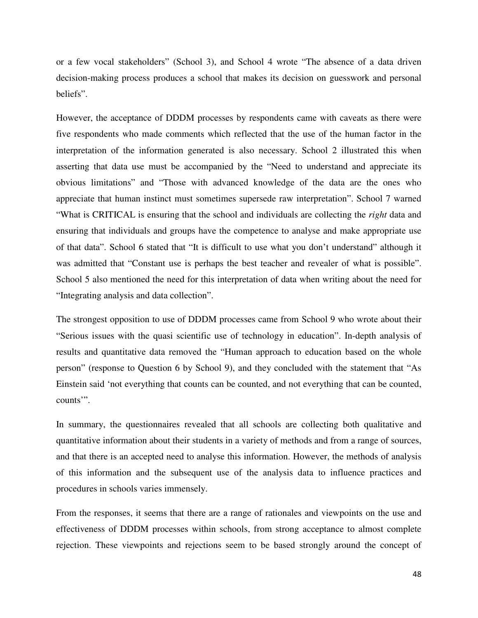or a few vocal stakeholders" (School 3), and School 4 wrote "The absence of a data driven decision-making process produces a school that makes its decision on guesswork and personal beliefs".

However, the acceptance of DDDM processes by respondents came with caveats as there were five respondents who made comments which reflected that the use of the human factor in the interpretation of the information generated is also necessary. School 2 illustrated this when asserting that data use must be accompanied by the "Need to understand and appreciate its obvious limitations" and "Those with advanced knowledge of the data are the ones who appreciate that human instinct must sometimes supersede raw interpretation". School 7 warned "What is CRITICAL is ensuring that the school and individuals are collecting the *right* data and ensuring that individuals and groups have the competence to analyse and make appropriate use of that data". School 6 stated that "It is difficult to use what you don't understand" although it was admitted that "Constant use is perhaps the best teacher and revealer of what is possible". School 5 also mentioned the need for this interpretation of data when writing about the need for "Integrating analysis and data collection".

The strongest opposition to use of DDDM processes came from School 9 who wrote about their "Serious issues with the quasi scientific use of technology in education". In-depth analysis of results and quantitative data removed the "Human approach to education based on the whole person" (response to Question 6 by School 9), and they concluded with the statement that "As Einstein said 'not everything that counts can be counted, and not everything that can be counted, counts'".

In summary, the questionnaires revealed that all schools are collecting both qualitative and quantitative information about their students in a variety of methods and from a range of sources, and that there is an accepted need to analyse this information. However, the methods of analysis of this information and the subsequent use of the analysis data to influence practices and procedures in schools varies immensely.

From the responses, it seems that there are a range of rationales and viewpoints on the use and effectiveness of DDDM processes within schools, from strong acceptance to almost complete rejection. These viewpoints and rejections seem to be based strongly around the concept of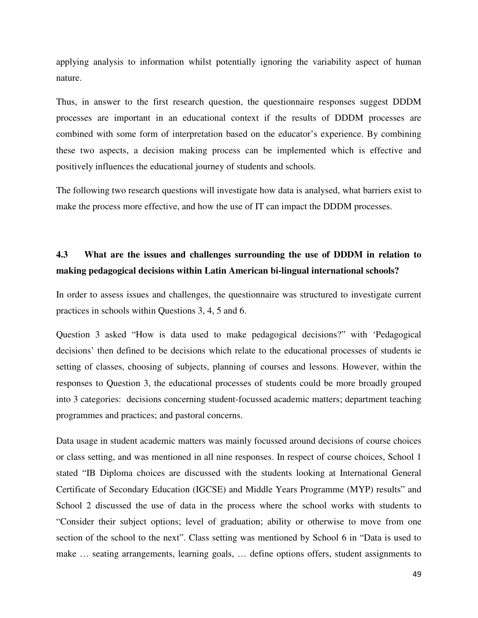applying analysis to information whilst potentially ignoring the variability aspect of human nature.

Thus, in answer to the first research question, the questionnaire responses suggest DDDM processes are important in an educational context if the results of DDDM processes are combined with some form of interpretation based on the educator's experience. By combining these two aspects, a decision making process can be implemented which is effective and positively influences the educational journey of students and schools.

The following two research questions will investigate how data is analysed, what barriers exist to make the process more effective, and how the use of IT can impact the DDDM processes.

## **4.3 What are the issues and challenges surrounding the use of DDDM in relation to making pedagogical decisions within Latin American bi-lingual international schools?**

In order to assess issues and challenges, the questionnaire was structured to investigate current practices in schools within Questions 3, 4, 5 and 6.

Question 3 asked "How is data used to make pedagogical decisions?" with 'Pedagogical decisions' then defined to be decisions which relate to the educational processes of students ie setting of classes, choosing of subjects, planning of courses and lessons. However, within the responses to Question 3, the educational processes of students could be more broadly grouped into 3 categories: decisions concerning student-focussed academic matters; department teaching programmes and practices; and pastoral concerns.

Data usage in student academic matters was mainly focussed around decisions of course choices or class setting, and was mentioned in all nine responses. In respect of course choices, School 1 stated "IB Diploma choices are discussed with the students looking at International General Certificate of Secondary Education (IGCSE) and Middle Years Programme (MYP) results" and School 2 discussed the use of data in the process where the school works with students to "Consider their subject options; level of graduation; ability or otherwise to move from one section of the school to the next". Class setting was mentioned by School 6 in "Data is used to make … seating arrangements, learning goals, … define options offers, student assignments to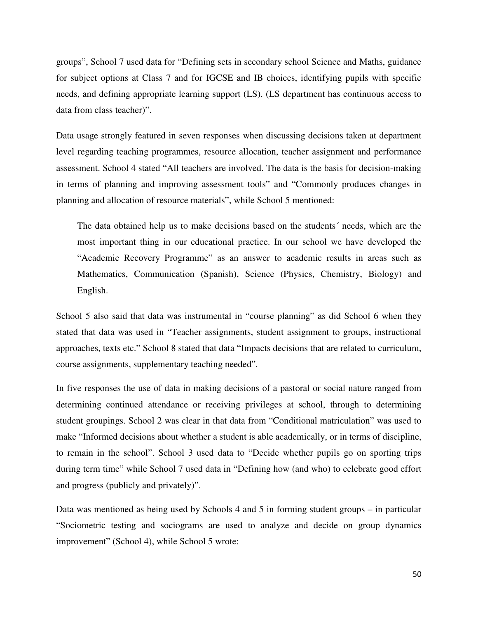groups", School 7 used data for "Defining sets in secondary school Science and Maths, guidance for subject options at Class 7 and for IGCSE and IB choices, identifying pupils with specific needs, and defining appropriate learning support (LS). (LS department has continuous access to data from class teacher)".

Data usage strongly featured in seven responses when discussing decisions taken at department level regarding teaching programmes, resource allocation, teacher assignment and performance assessment. School 4 stated "All teachers are involved. The data is the basis for decision-making in terms of planning and improving assessment tools" and "Commonly produces changes in planning and allocation of resource materials", while School 5 mentioned:

The data obtained help us to make decisions based on the students´ needs, which are the most important thing in our educational practice. In our school we have developed the "Academic Recovery Programme" as an answer to academic results in areas such as Mathematics, Communication (Spanish), Science (Physics, Chemistry, Biology) and English.

School 5 also said that data was instrumental in "course planning" as did School 6 when they stated that data was used in "Teacher assignments, student assignment to groups, instructional approaches, texts etc." School 8 stated that data "Impacts decisions that are related to curriculum, course assignments, supplementary teaching needed".

In five responses the use of data in making decisions of a pastoral or social nature ranged from determining continued attendance or receiving privileges at school, through to determining student groupings. School 2 was clear in that data from "Conditional matriculation" was used to make "Informed decisions about whether a student is able academically, or in terms of discipline, to remain in the school". School 3 used data to "Decide whether pupils go on sporting trips during term time" while School 7 used data in "Defining how (and who) to celebrate good effort and progress (publicly and privately)".

Data was mentioned as being used by Schools 4 and 5 in forming student groups – in particular "Sociometric testing and sociograms are used to analyze and decide on group dynamics improvement" (School 4), while School 5 wrote: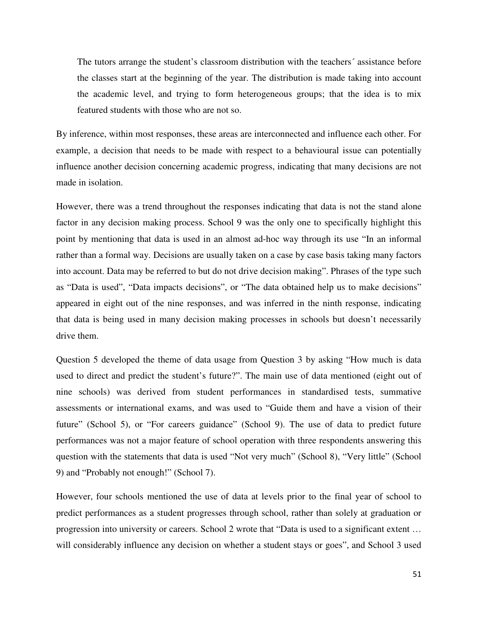The tutors arrange the student's classroom distribution with the teachers´ assistance before the classes start at the beginning of the year. The distribution is made taking into account the academic level, and trying to form heterogeneous groups; that the idea is to mix featured students with those who are not so.

By inference, within most responses, these areas are interconnected and influence each other. For example, a decision that needs to be made with respect to a behavioural issue can potentially influence another decision concerning academic progress, indicating that many decisions are not made in isolation.

However, there was a trend throughout the responses indicating that data is not the stand alone factor in any decision making process. School 9 was the only one to specifically highlight this point by mentioning that data is used in an almost ad-hoc way through its use "In an informal rather than a formal way. Decisions are usually taken on a case by case basis taking many factors into account. Data may be referred to but do not drive decision making". Phrases of the type such as "Data is used", "Data impacts decisions", or "The data obtained help us to make decisions" appeared in eight out of the nine responses, and was inferred in the ninth response, indicating that data is being used in many decision making processes in schools but doesn't necessarily drive them.

Question 5 developed the theme of data usage from Question 3 by asking "How much is data used to direct and predict the student's future?". The main use of data mentioned (eight out of nine schools) was derived from student performances in standardised tests, summative assessments or international exams, and was used to "Guide them and have a vision of their future" (School 5), or "For careers guidance" (School 9). The use of data to predict future performances was not a major feature of school operation with three respondents answering this question with the statements that data is used "Not very much" (School 8), "Very little" (School 9) and "Probably not enough!" (School 7).

However, four schools mentioned the use of data at levels prior to the final year of school to predict performances as a student progresses through school, rather than solely at graduation or progression into university or careers. School 2 wrote that "Data is used to a significant extent … will considerably influence any decision on whether a student stays or goes", and School 3 used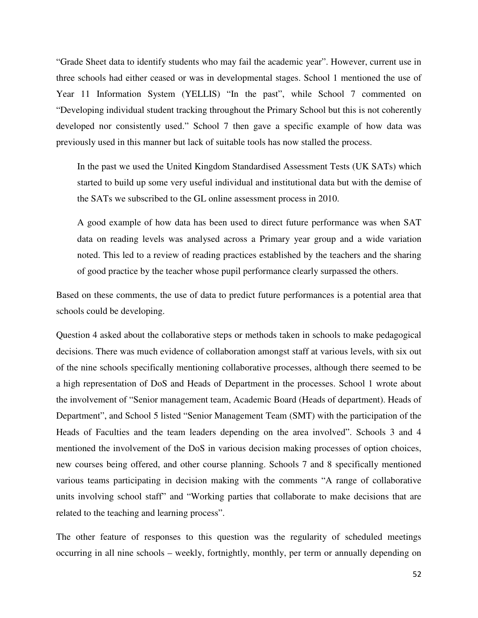"Grade Sheet data to identify students who may fail the academic year". However, current use in three schools had either ceased or was in developmental stages. School 1 mentioned the use of Year 11 Information System (YELLIS) "In the past", while School 7 commented on "Developing individual student tracking throughout the Primary School but this is not coherently developed nor consistently used." School 7 then gave a specific example of how data was previously used in this manner but lack of suitable tools has now stalled the process.

In the past we used the United Kingdom Standardised Assessment Tests (UK SATs) which started to build up some very useful individual and institutional data but with the demise of the SATs we subscribed to the GL online assessment process in 2010.

A good example of how data has been used to direct future performance was when SAT data on reading levels was analysed across a Primary year group and a wide variation noted. This led to a review of reading practices established by the teachers and the sharing of good practice by the teacher whose pupil performance clearly surpassed the others.

Based on these comments, the use of data to predict future performances is a potential area that schools could be developing.

Question 4 asked about the collaborative steps or methods taken in schools to make pedagogical decisions. There was much evidence of collaboration amongst staff at various levels, with six out of the nine schools specifically mentioning collaborative processes, although there seemed to be a high representation of DoS and Heads of Department in the processes. School 1 wrote about the involvement of "Senior management team, Academic Board (Heads of department). Heads of Department", and School 5 listed "Senior Management Team (SMT) with the participation of the Heads of Faculties and the team leaders depending on the area involved". Schools 3 and 4 mentioned the involvement of the DoS in various decision making processes of option choices, new courses being offered, and other course planning. Schools 7 and 8 specifically mentioned various teams participating in decision making with the comments "A range of collaborative units involving school staff" and "Working parties that collaborate to make decisions that are related to the teaching and learning process".

The other feature of responses to this question was the regularity of scheduled meetings occurring in all nine schools – weekly, fortnightly, monthly, per term or annually depending on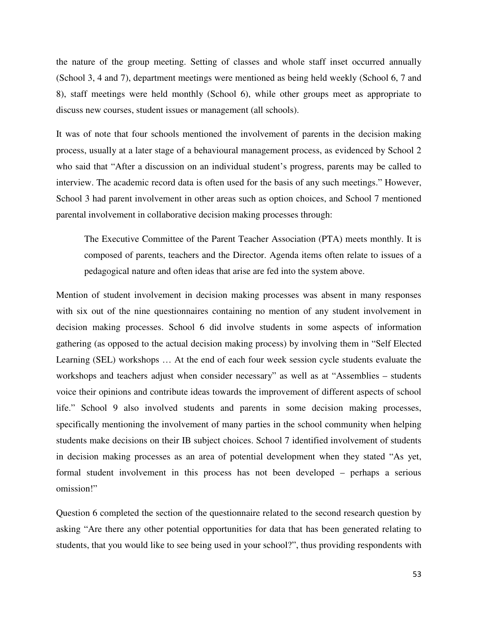the nature of the group meeting. Setting of classes and whole staff inset occurred annually (School 3, 4 and 7), department meetings were mentioned as being held weekly (School 6, 7 and 8), staff meetings were held monthly (School 6), while other groups meet as appropriate to discuss new courses, student issues or management (all schools).

It was of note that four schools mentioned the involvement of parents in the decision making process, usually at a later stage of a behavioural management process, as evidenced by School 2 who said that "After a discussion on an individual student's progress, parents may be called to interview. The academic record data is often used for the basis of any such meetings." However, School 3 had parent involvement in other areas such as option choices, and School 7 mentioned parental involvement in collaborative decision making processes through:

The Executive Committee of the Parent Teacher Association (PTA) meets monthly. It is composed of parents, teachers and the Director. Agenda items often relate to issues of a pedagogical nature and often ideas that arise are fed into the system above.

Mention of student involvement in decision making processes was absent in many responses with six out of the nine questionnaires containing no mention of any student involvement in decision making processes. School 6 did involve students in some aspects of information gathering (as opposed to the actual decision making process) by involving them in "Self Elected Learning (SEL) workshops … At the end of each four week session cycle students evaluate the workshops and teachers adjust when consider necessary" as well as at "Assemblies – students voice their opinions and contribute ideas towards the improvement of different aspects of school life." School 9 also involved students and parents in some decision making processes, specifically mentioning the involvement of many parties in the school community when helping students make decisions on their IB subject choices. School 7 identified involvement of students in decision making processes as an area of potential development when they stated "As yet, formal student involvement in this process has not been developed – perhaps a serious omission!"

Question 6 completed the section of the questionnaire related to the second research question by asking "Are there any other potential opportunities for data that has been generated relating to students, that you would like to see being used in your school?", thus providing respondents with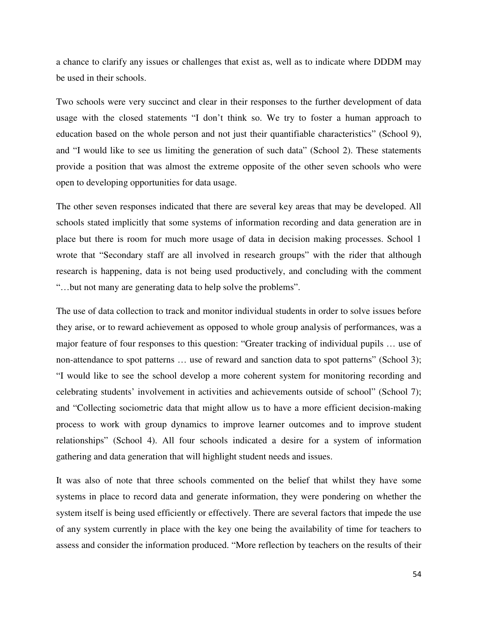a chance to clarify any issues or challenges that exist as, well as to indicate where DDDM may be used in their schools.

Two schools were very succinct and clear in their responses to the further development of data usage with the closed statements "I don't think so. We try to foster a human approach to education based on the whole person and not just their quantifiable characteristics" (School 9), and "I would like to see us limiting the generation of such data" (School 2). These statements provide a position that was almost the extreme opposite of the other seven schools who were open to developing opportunities for data usage.

The other seven responses indicated that there are several key areas that may be developed. All schools stated implicitly that some systems of information recording and data generation are in place but there is room for much more usage of data in decision making processes. School 1 wrote that "Secondary staff are all involved in research groups" with the rider that although research is happening, data is not being used productively, and concluding with the comment "…but not many are generating data to help solve the problems".

The use of data collection to track and monitor individual students in order to solve issues before they arise, or to reward achievement as opposed to whole group analysis of performances, was a major feature of four responses to this question: "Greater tracking of individual pupils … use of non-attendance to spot patterns ... use of reward and sanction data to spot patterns" (School 3); "I would like to see the school develop a more coherent system for monitoring recording and celebrating students' involvement in activities and achievements outside of school" (School 7); and "Collecting sociometric data that might allow us to have a more efficient decision-making process to work with group dynamics to improve learner outcomes and to improve student relationships" (School 4). All four schools indicated a desire for a system of information gathering and data generation that will highlight student needs and issues.

It was also of note that three schools commented on the belief that whilst they have some systems in place to record data and generate information, they were pondering on whether the system itself is being used efficiently or effectively. There are several factors that impede the use of any system currently in place with the key one being the availability of time for teachers to assess and consider the information produced. "More reflection by teachers on the results of their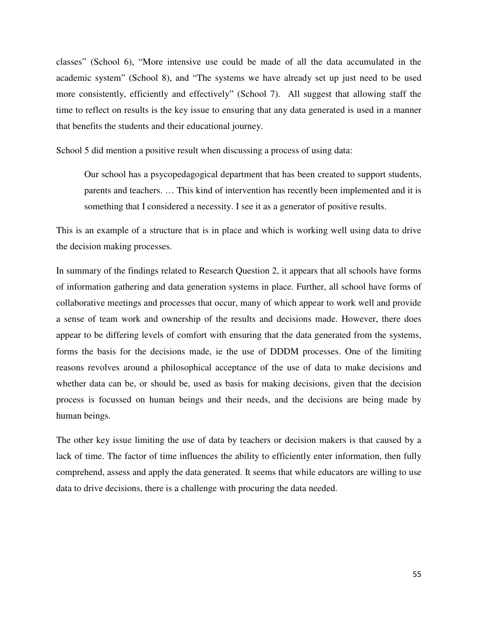classes" (School 6), "More intensive use could be made of all the data accumulated in the academic system" (School 8), and "The systems we have already set up just need to be used more consistently, efficiently and effectively" (School 7). All suggest that allowing staff the time to reflect on results is the key issue to ensuring that any data generated is used in a manner that benefits the students and their educational journey.

School 5 did mention a positive result when discussing a process of using data:

Our school has a psycopedagogical department that has been created to support students, parents and teachers. … This kind of intervention has recently been implemented and it is something that I considered a necessity. I see it as a generator of positive results.

This is an example of a structure that is in place and which is working well using data to drive the decision making processes.

In summary of the findings related to Research Question 2, it appears that all schools have forms of information gathering and data generation systems in place. Further, all school have forms of collaborative meetings and processes that occur, many of which appear to work well and provide a sense of team work and ownership of the results and decisions made. However, there does appear to be differing levels of comfort with ensuring that the data generated from the systems, forms the basis for the decisions made, ie the use of DDDM processes. One of the limiting reasons revolves around a philosophical acceptance of the use of data to make decisions and whether data can be, or should be, used as basis for making decisions, given that the decision process is focussed on human beings and their needs, and the decisions are being made by human beings.

The other key issue limiting the use of data by teachers or decision makers is that caused by a lack of time. The factor of time influences the ability to efficiently enter information, then fully comprehend, assess and apply the data generated. It seems that while educators are willing to use data to drive decisions, there is a challenge with procuring the data needed.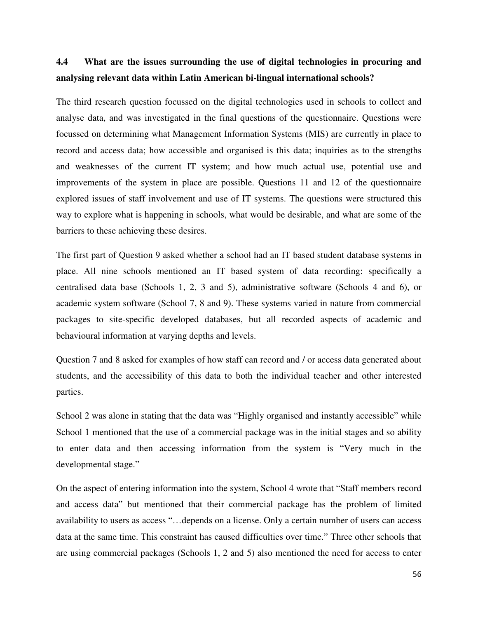## **4.4 What are the issues surrounding the use of digital technologies in procuring and analysing relevant data within Latin American bi-lingual international schools?**

The third research question focussed on the digital technologies used in schools to collect and analyse data, and was investigated in the final questions of the questionnaire. Questions were focussed on determining what Management Information Systems (MIS) are currently in place to record and access data; how accessible and organised is this data; inquiries as to the strengths and weaknesses of the current IT system; and how much actual use, potential use and improvements of the system in place are possible. Questions 11 and 12 of the questionnaire explored issues of staff involvement and use of IT systems. The questions were structured this way to explore what is happening in schools, what would be desirable, and what are some of the barriers to these achieving these desires.

The first part of Question 9 asked whether a school had an IT based student database systems in place. All nine schools mentioned an IT based system of data recording: specifically a centralised data base (Schools 1, 2, 3 and 5), administrative software (Schools 4 and 6), or academic system software (School 7, 8 and 9). These systems varied in nature from commercial packages to site-specific developed databases, but all recorded aspects of academic and behavioural information at varying depths and levels.

Question 7 and 8 asked for examples of how staff can record and / or access data generated about students, and the accessibility of this data to both the individual teacher and other interested parties.

School 2 was alone in stating that the data was "Highly organised and instantly accessible" while School 1 mentioned that the use of a commercial package was in the initial stages and so ability to enter data and then accessing information from the system is "Very much in the developmental stage."

On the aspect of entering information into the system, School 4 wrote that "Staff members record and access data" but mentioned that their commercial package has the problem of limited availability to users as access "…depends on a license. Only a certain number of users can access data at the same time. This constraint has caused difficulties over time." Three other schools that are using commercial packages (Schools 1, 2 and 5) also mentioned the need for access to enter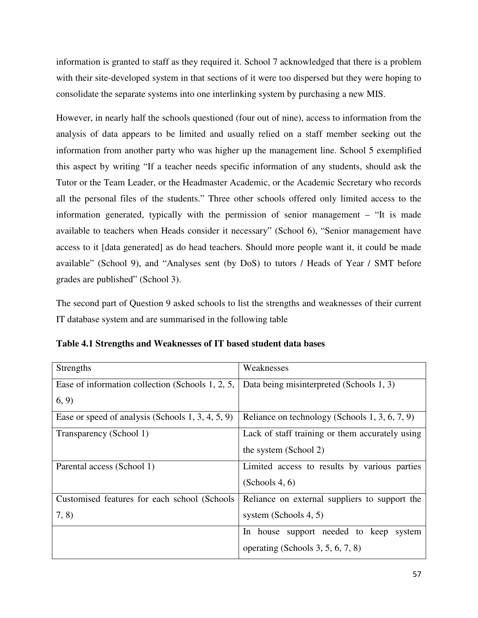information is granted to staff as they required it. School 7 acknowledged that there is a problem with their site-developed system in that sections of it were too dispersed but they were hoping to consolidate the separate systems into one interlinking system by purchasing a new MIS.

However, in nearly half the schools questioned (four out of nine), access to information from the analysis of data appears to be limited and usually relied on a staff member seeking out the information from another party who was higher up the management line. School 5 exemplified this aspect by writing "If a teacher needs specific information of any students, should ask the Tutor or the Team Leader, or the Headmaster Academic, or the Academic Secretary who records all the personal files of the students." Three other schools offered only limited access to the information generated, typically with the permission of senior management – "It is made available to teachers when Heads consider it necessary" (School 6), "Senior management have access to it [data generated] as do head teachers. Should more people want it, it could be made available" (School 9), and "Analyses sent (by DoS) to tutors / Heads of Year / SMT before grades are published" (School 3).

The second part of Question 9 asked schools to list the strengths and weaknesses of their current IT database system and are summarised in the following table

|  |  | Table 4.1 Strengths and Weaknesses of IT based student data bases |
|--|--|-------------------------------------------------------------------|
|--|--|-------------------------------------------------------------------|

| Strengths                                         | Weaknesses                                      |
|---------------------------------------------------|-------------------------------------------------|
| Ease of information collection (Schools 1, 2, 5,  | Data being misinterpreted (Schools 1, 3)        |
| (6, 9)                                            |                                                 |
| Ease or speed of analysis (Schools 1, 3, 4, 5, 9) | Reliance on technology (Schools 1, 3, 6, 7, 9)  |
| Transparency (School 1)                           | Lack of staff training or them accurately using |
|                                                   | the system (School 2)                           |
| Parental access (School 1)                        | Limited access to results by various parties    |
|                                                   | (Schools 4, 6)                                  |
| Customised features for each school (Schools      | Reliance on external suppliers to support the   |
| 7, 8)                                             | system (Schools $4, 5$ )                        |
|                                                   | In house support needed to keep<br>system       |
|                                                   | operating (Schools 3, 5, 6, 7, 8)               |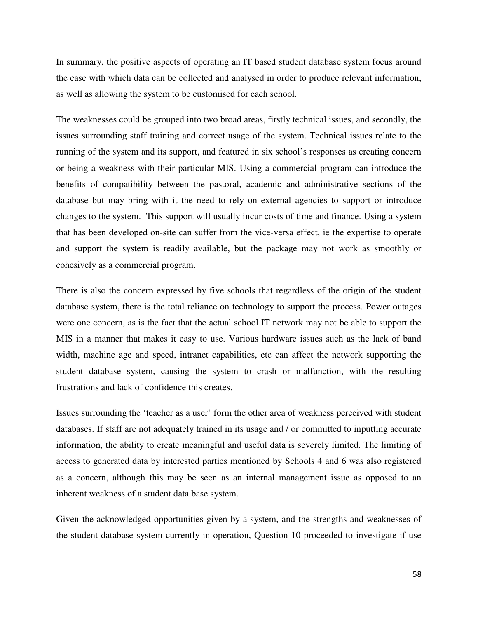In summary, the positive aspects of operating an IT based student database system focus around the ease with which data can be collected and analysed in order to produce relevant information, as well as allowing the system to be customised for each school.

The weaknesses could be grouped into two broad areas, firstly technical issues, and secondly, the issues surrounding staff training and correct usage of the system. Technical issues relate to the running of the system and its support, and featured in six school's responses as creating concern or being a weakness with their particular MIS. Using a commercial program can introduce the benefits of compatibility between the pastoral, academic and administrative sections of the database but may bring with it the need to rely on external agencies to support or introduce changes to the system. This support will usually incur costs of time and finance. Using a system that has been developed on-site can suffer from the vice-versa effect, ie the expertise to operate and support the system is readily available, but the package may not work as smoothly or cohesively as a commercial program.

There is also the concern expressed by five schools that regardless of the origin of the student database system, there is the total reliance on technology to support the process. Power outages were one concern, as is the fact that the actual school IT network may not be able to support the MIS in a manner that makes it easy to use. Various hardware issues such as the lack of band width, machine age and speed, intranet capabilities, etc can affect the network supporting the student database system, causing the system to crash or malfunction, with the resulting frustrations and lack of confidence this creates.

Issues surrounding the 'teacher as a user' form the other area of weakness perceived with student databases. If staff are not adequately trained in its usage and / or committed to inputting accurate information, the ability to create meaningful and useful data is severely limited. The limiting of access to generated data by interested parties mentioned by Schools 4 and 6 was also registered as a concern, although this may be seen as an internal management issue as opposed to an inherent weakness of a student data base system.

Given the acknowledged opportunities given by a system, and the strengths and weaknesses of the student database system currently in operation, Question 10 proceeded to investigate if use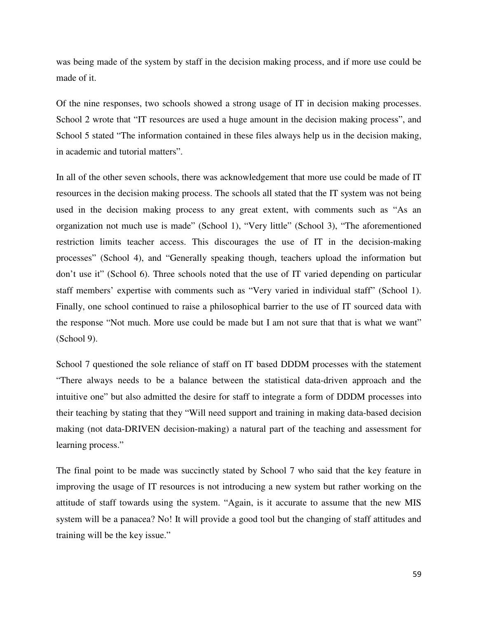was being made of the system by staff in the decision making process, and if more use could be made of it.

Of the nine responses, two schools showed a strong usage of IT in decision making processes. School 2 wrote that "IT resources are used a huge amount in the decision making process", and School 5 stated "The information contained in these files always help us in the decision making, in academic and tutorial matters".

In all of the other seven schools, there was acknowledgement that more use could be made of IT resources in the decision making process. The schools all stated that the IT system was not being used in the decision making process to any great extent, with comments such as "As an organization not much use is made" (School 1), "Very little" (School 3), "The aforementioned restriction limits teacher access. This discourages the use of IT in the decision-making processes" (School 4), and "Generally speaking though, teachers upload the information but don't use it" (School 6). Three schools noted that the use of IT varied depending on particular staff members' expertise with comments such as "Very varied in individual staff" (School 1). Finally, one school continued to raise a philosophical barrier to the use of IT sourced data with the response "Not much. More use could be made but I am not sure that that is what we want" (School 9).

School 7 questioned the sole reliance of staff on IT based DDDM processes with the statement "There always needs to be a balance between the statistical data-driven approach and the intuitive one" but also admitted the desire for staff to integrate a form of DDDM processes into their teaching by stating that they "Will need support and training in making data-based decision making (not data-DRIVEN decision-making) a natural part of the teaching and assessment for learning process."

The final point to be made was succinctly stated by School 7 who said that the key feature in improving the usage of IT resources is not introducing a new system but rather working on the attitude of staff towards using the system. "Again, is it accurate to assume that the new MIS system will be a panacea? No! It will provide a good tool but the changing of staff attitudes and training will be the key issue."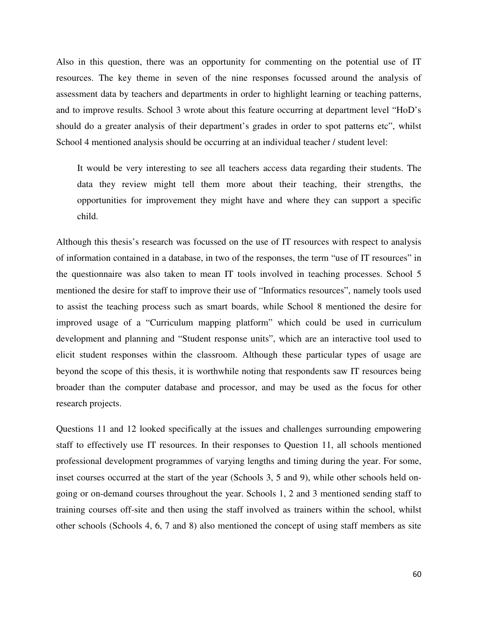Also in this question, there was an opportunity for commenting on the potential use of IT resources. The key theme in seven of the nine responses focussed around the analysis of assessment data by teachers and departments in order to highlight learning or teaching patterns, and to improve results. School 3 wrote about this feature occurring at department level "HoD's should do a greater analysis of their department's grades in order to spot patterns etc", whilst School 4 mentioned analysis should be occurring at an individual teacher / student level:

It would be very interesting to see all teachers access data regarding their students. The data they review might tell them more about their teaching, their strengths, the opportunities for improvement they might have and where they can support a specific child.

Although this thesis's research was focussed on the use of IT resources with respect to analysis of information contained in a database, in two of the responses, the term "use of IT resources" in the questionnaire was also taken to mean IT tools involved in teaching processes. School 5 mentioned the desire for staff to improve their use of "Informatics resources", namely tools used to assist the teaching process such as smart boards, while School 8 mentioned the desire for improved usage of a "Curriculum mapping platform" which could be used in curriculum development and planning and "Student response units", which are an interactive tool used to elicit student responses within the classroom. Although these particular types of usage are beyond the scope of this thesis, it is worthwhile noting that respondents saw IT resources being broader than the computer database and processor, and may be used as the focus for other research projects.

Questions 11 and 12 looked specifically at the issues and challenges surrounding empowering staff to effectively use IT resources. In their responses to Question 11, all schools mentioned professional development programmes of varying lengths and timing during the year. For some, inset courses occurred at the start of the year (Schools 3, 5 and 9), while other schools held ongoing or on-demand courses throughout the year. Schools 1, 2 and 3 mentioned sending staff to training courses off-site and then using the staff involved as trainers within the school, whilst other schools (Schools 4, 6, 7 and 8) also mentioned the concept of using staff members as site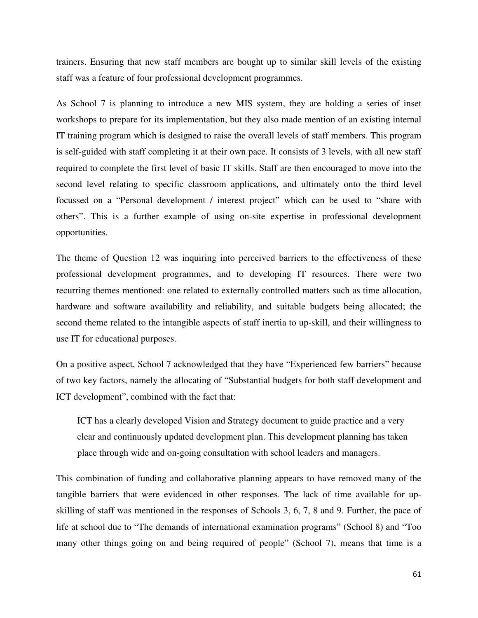trainers. Ensuring that new staff members are bought up to similar skill levels of the existing staff was a feature of four professional development programmes.

As School 7 is planning to introduce a new MIS system, they are holding a series of inset workshops to prepare for its implementation, but they also made mention of an existing internal IT training program which is designed to raise the overall levels of staff members. This program is self-guided with staff completing it at their own pace. It consists of 3 levels, with all new staff required to complete the first level of basic IT skills. Staff are then encouraged to move into the second level relating to specific classroom applications, and ultimately onto the third level focussed on a "Personal development / interest project" which can be used to "share with others". This is a further example of using on-site expertise in professional development opportunities.

The theme of Question 12 was inquiring into perceived barriers to the effectiveness of these professional development programmes, and to developing IT resources. There were two recurring themes mentioned: one related to externally controlled matters such as time allocation, hardware and software availability and reliability, and suitable budgets being allocated; the second theme related to the intangible aspects of staff inertia to up-skill, and their willingness to use IT for educational purposes.

On a positive aspect, School 7 acknowledged that they have "Experienced few barriers" because of two key factors, namely the allocating of "Substantial budgets for both staff development and ICT development", combined with the fact that:

ICT has a clearly developed Vision and Strategy document to guide practice and a very clear and continuously updated development plan. This development planning has taken place through wide and on-going consultation with school leaders and managers.

This combination of funding and collaborative planning appears to have removed many of the tangible barriers that were evidenced in other responses. The lack of time available for upskilling of staff was mentioned in the responses of Schools 3, 6, 7, 8 and 9. Further, the pace of life at school due to "The demands of international examination programs" (School 8) and "Too many other things going on and being required of people" (School 7), means that time is a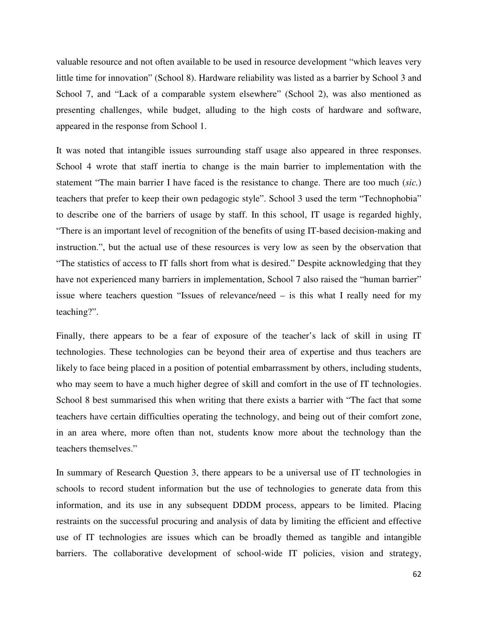valuable resource and not often available to be used in resource development "which leaves very little time for innovation" (School 8). Hardware reliability was listed as a barrier by School 3 and School 7, and "Lack of a comparable system elsewhere" (School 2), was also mentioned as presenting challenges, while budget, alluding to the high costs of hardware and software, appeared in the response from School 1.

It was noted that intangible issues surrounding staff usage also appeared in three responses. School 4 wrote that staff inertia to change is the main barrier to implementation with the statement "The main barrier I have faced is the resistance to change. There are too much (*sic.*) teachers that prefer to keep their own pedagogic style". School 3 used the term "Technophobia" to describe one of the barriers of usage by staff. In this school, IT usage is regarded highly, "There is an important level of recognition of the benefits of using IT-based decision-making and instruction.", but the actual use of these resources is very low as seen by the observation that "The statistics of access to IT falls short from what is desired." Despite acknowledging that they have not experienced many barriers in implementation, School 7 also raised the "human barrier" issue where teachers question "Issues of relevance/need – is this what I really need for my teaching?".

Finally, there appears to be a fear of exposure of the teacher's lack of skill in using IT technologies. These technologies can be beyond their area of expertise and thus teachers are likely to face being placed in a position of potential embarrassment by others, including students, who may seem to have a much higher degree of skill and comfort in the use of IT technologies. School 8 best summarised this when writing that there exists a barrier with "The fact that some teachers have certain difficulties operating the technology, and being out of their comfort zone, in an area where, more often than not, students know more about the technology than the teachers themselves."

In summary of Research Question 3, there appears to be a universal use of IT technologies in schools to record student information but the use of technologies to generate data from this information, and its use in any subsequent DDDM process, appears to be limited. Placing restraints on the successful procuring and analysis of data by limiting the efficient and effective use of IT technologies are issues which can be broadly themed as tangible and intangible barriers. The collaborative development of school-wide IT policies, vision and strategy,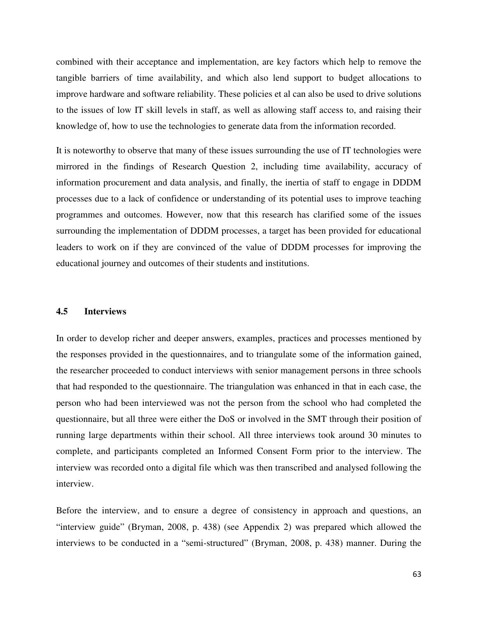combined with their acceptance and implementation, are key factors which help to remove the tangible barriers of time availability, and which also lend support to budget allocations to improve hardware and software reliability. These policies et al can also be used to drive solutions to the issues of low IT skill levels in staff, as well as allowing staff access to, and raising their knowledge of, how to use the technologies to generate data from the information recorded.

It is noteworthy to observe that many of these issues surrounding the use of IT technologies were mirrored in the findings of Research Question 2, including time availability, accuracy of information procurement and data analysis, and finally, the inertia of staff to engage in DDDM processes due to a lack of confidence or understanding of its potential uses to improve teaching programmes and outcomes. However, now that this research has clarified some of the issues surrounding the implementation of DDDM processes, a target has been provided for educational leaders to work on if they are convinced of the value of DDDM processes for improving the educational journey and outcomes of their students and institutions.

#### **4.5 Interviews**

In order to develop richer and deeper answers, examples, practices and processes mentioned by the responses provided in the questionnaires, and to triangulate some of the information gained, the researcher proceeded to conduct interviews with senior management persons in three schools that had responded to the questionnaire. The triangulation was enhanced in that in each case, the person who had been interviewed was not the person from the school who had completed the questionnaire, but all three were either the DoS or involved in the SMT through their position of running large departments within their school. All three interviews took around 30 minutes to complete, and participants completed an Informed Consent Form prior to the interview. The interview was recorded onto a digital file which was then transcribed and analysed following the interview.

Before the interview, and to ensure a degree of consistency in approach and questions, an "interview guide" (Bryman, 2008, p. 438) (see Appendix 2) was prepared which allowed the interviews to be conducted in a "semi-structured" (Bryman, 2008, p. 438) manner. During the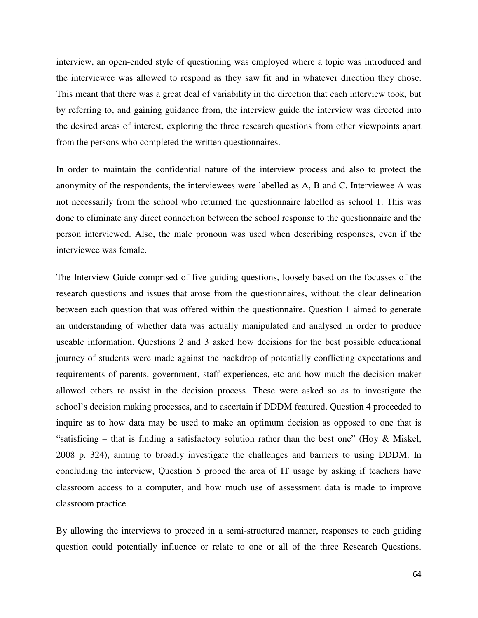interview, an open-ended style of questioning was employed where a topic was introduced and the interviewee was allowed to respond as they saw fit and in whatever direction they chose. This meant that there was a great deal of variability in the direction that each interview took, but by referring to, and gaining guidance from, the interview guide the interview was directed into the desired areas of interest, exploring the three research questions from other viewpoints apart from the persons who completed the written questionnaires.

In order to maintain the confidential nature of the interview process and also to protect the anonymity of the respondents, the interviewees were labelled as A, B and C. Interviewee A was not necessarily from the school who returned the questionnaire labelled as school 1. This was done to eliminate any direct connection between the school response to the questionnaire and the person interviewed. Also, the male pronoun was used when describing responses, even if the interviewee was female.

The Interview Guide comprised of five guiding questions, loosely based on the focusses of the research questions and issues that arose from the questionnaires, without the clear delineation between each question that was offered within the questionnaire. Question 1 aimed to generate an understanding of whether data was actually manipulated and analysed in order to produce useable information. Questions 2 and 3 asked how decisions for the best possible educational journey of students were made against the backdrop of potentially conflicting expectations and requirements of parents, government, staff experiences, etc and how much the decision maker allowed others to assist in the decision process. These were asked so as to investigate the school's decision making processes, and to ascertain if DDDM featured. Question 4 proceeded to inquire as to how data may be used to make an optimum decision as opposed to one that is "satisficing – that is finding a satisfactory solution rather than the best one" (Hoy & Miskel, 2008 p. 324), aiming to broadly investigate the challenges and barriers to using DDDM. In concluding the interview, Question 5 probed the area of IT usage by asking if teachers have classroom access to a computer, and how much use of assessment data is made to improve classroom practice.

By allowing the interviews to proceed in a semi-structured manner, responses to each guiding question could potentially influence or relate to one or all of the three Research Questions.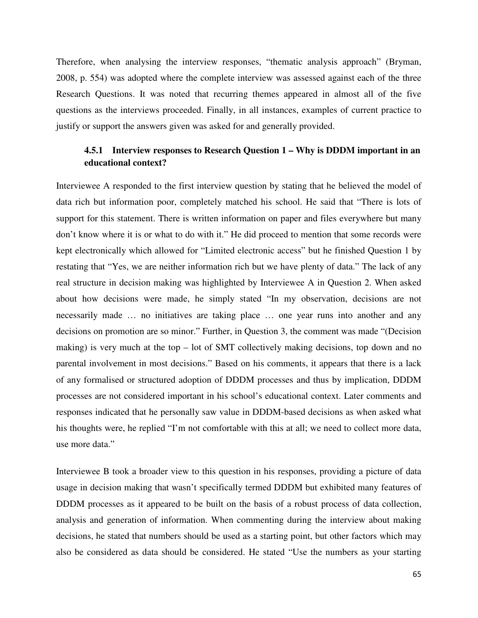Therefore, when analysing the interview responses, "thematic analysis approach" (Bryman, 2008, p. 554) was adopted where the complete interview was assessed against each of the three Research Questions. It was noted that recurring themes appeared in almost all of the five questions as the interviews proceeded. Finally, in all instances, examples of current practice to justify or support the answers given was asked for and generally provided.

## **4.5.1 Interview responses to Research Question 1 – Why is DDDM important in an educational context?**

Interviewee A responded to the first interview question by stating that he believed the model of data rich but information poor, completely matched his school. He said that "There is lots of support for this statement. There is written information on paper and files everywhere but many don't know where it is or what to do with it." He did proceed to mention that some records were kept electronically which allowed for "Limited electronic access" but he finished Question 1 by restating that "Yes, we are neither information rich but we have plenty of data." The lack of any real structure in decision making was highlighted by Interviewee A in Question 2. When asked about how decisions were made, he simply stated "In my observation, decisions are not necessarily made ... no initiatives are taking place ... one year runs into another and any decisions on promotion are so minor." Further, in Question 3, the comment was made "(Decision making) is very much at the top – lot of SMT collectively making decisions, top down and no parental involvement in most decisions." Based on his comments, it appears that there is a lack of any formalised or structured adoption of DDDM processes and thus by implication, DDDM processes are not considered important in his school's educational context. Later comments and responses indicated that he personally saw value in DDDM-based decisions as when asked what his thoughts were, he replied "I'm not comfortable with this at all; we need to collect more data, use more data."

Interviewee B took a broader view to this question in his responses, providing a picture of data usage in decision making that wasn't specifically termed DDDM but exhibited many features of DDDM processes as it appeared to be built on the basis of a robust process of data collection, analysis and generation of information. When commenting during the interview about making decisions, he stated that numbers should be used as a starting point, but other factors which may also be considered as data should be considered. He stated "Use the numbers as your starting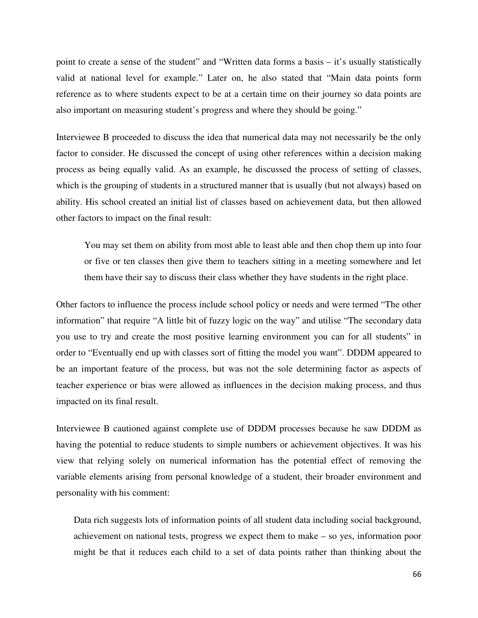point to create a sense of the student" and "Written data forms a basis – it's usually statistically valid at national level for example." Later on, he also stated that "Main data points form reference as to where students expect to be at a certain time on their journey so data points are also important on measuring student's progress and where they should be going."

Interviewee B proceeded to discuss the idea that numerical data may not necessarily be the only factor to consider. He discussed the concept of using other references within a decision making process as being equally valid. As an example, he discussed the process of setting of classes, which is the grouping of students in a structured manner that is usually (but not always) based on ability. His school created an initial list of classes based on achievement data, but then allowed other factors to impact on the final result:

 You may set them on ability from most able to least able and then chop them up into four or five or ten classes then give them to teachers sitting in a meeting somewhere and let them have their say to discuss their class whether they have students in the right place.

Other factors to influence the process include school policy or needs and were termed "The other information" that require "A little bit of fuzzy logic on the way" and utilise "The secondary data you use to try and create the most positive learning environment you can for all students" in order to "Eventually end up with classes sort of fitting the model you want". DDDM appeared to be an important feature of the process, but was not the sole determining factor as aspects of teacher experience or bias were allowed as influences in the decision making process, and thus impacted on its final result.

Interviewee B cautioned against complete use of DDDM processes because he saw DDDM as having the potential to reduce students to simple numbers or achievement objectives. It was his view that relying solely on numerical information has the potential effect of removing the variable elements arising from personal knowledge of a student, their broader environment and personality with his comment:

Data rich suggests lots of information points of all student data including social background, achievement on national tests, progress we expect them to make – so yes, information poor might be that it reduces each child to a set of data points rather than thinking about the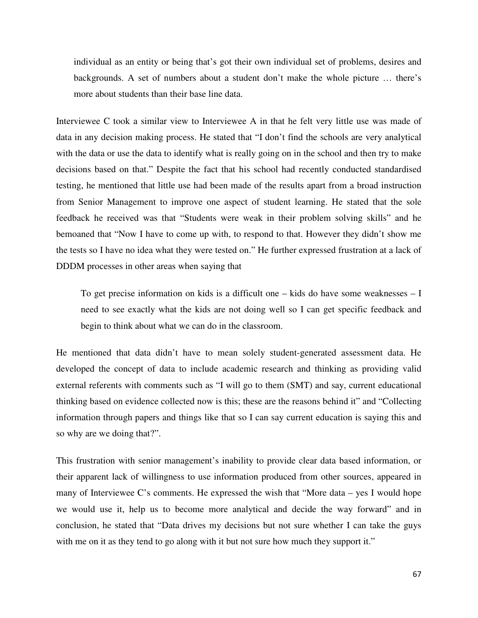individual as an entity or being that's got their own individual set of problems, desires and backgrounds. A set of numbers about a student don't make the whole picture … there's more about students than their base line data.

Interviewee C took a similar view to Interviewee A in that he felt very little use was made of data in any decision making process. He stated that "I don't find the schools are very analytical with the data or use the data to identify what is really going on in the school and then try to make decisions based on that." Despite the fact that his school had recently conducted standardised testing, he mentioned that little use had been made of the results apart from a broad instruction from Senior Management to improve one aspect of student learning. He stated that the sole feedback he received was that "Students were weak in their problem solving skills" and he bemoaned that "Now I have to come up with, to respond to that. However they didn't show me the tests so I have no idea what they were tested on." He further expressed frustration at a lack of DDDM processes in other areas when saying that

To get precise information on kids is a difficult one – kids do have some weaknesses – I need to see exactly what the kids are not doing well so I can get specific feedback and begin to think about what we can do in the classroom.

He mentioned that data didn't have to mean solely student-generated assessment data. He developed the concept of data to include academic research and thinking as providing valid external referents with comments such as "I will go to them (SMT) and say, current educational thinking based on evidence collected now is this; these are the reasons behind it" and "Collecting information through papers and things like that so I can say current education is saying this and so why are we doing that?".

This frustration with senior management's inability to provide clear data based information, or their apparent lack of willingness to use information produced from other sources, appeared in many of Interviewee C's comments. He expressed the wish that "More data – yes I would hope we would use it, help us to become more analytical and decide the way forward" and in conclusion, he stated that "Data drives my decisions but not sure whether I can take the guys with me on it as they tend to go along with it but not sure how much they support it."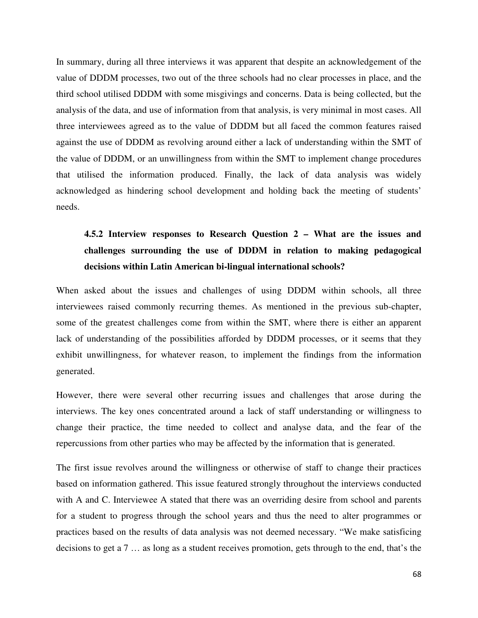In summary, during all three interviews it was apparent that despite an acknowledgement of the value of DDDM processes, two out of the three schools had no clear processes in place, and the third school utilised DDDM with some misgivings and concerns. Data is being collected, but the analysis of the data, and use of information from that analysis, is very minimal in most cases. All three interviewees agreed as to the value of DDDM but all faced the common features raised against the use of DDDM as revolving around either a lack of understanding within the SMT of the value of DDDM, or an unwillingness from within the SMT to implement change procedures that utilised the information produced. Finally, the lack of data analysis was widely acknowledged as hindering school development and holding back the meeting of students' needs.

# **4.5.2 Interview responses to Research Question 2 – What are the issues and challenges surrounding the use of DDDM in relation to making pedagogical decisions within Latin American bi-lingual international schools?**

When asked about the issues and challenges of using DDDM within schools, all three interviewees raised commonly recurring themes. As mentioned in the previous sub-chapter, some of the greatest challenges come from within the SMT, where there is either an apparent lack of understanding of the possibilities afforded by DDDM processes, or it seems that they exhibit unwillingness, for whatever reason, to implement the findings from the information generated.

However, there were several other recurring issues and challenges that arose during the interviews. The key ones concentrated around a lack of staff understanding or willingness to change their practice, the time needed to collect and analyse data, and the fear of the repercussions from other parties who may be affected by the information that is generated.

The first issue revolves around the willingness or otherwise of staff to change their practices based on information gathered. This issue featured strongly throughout the interviews conducted with A and C. Interviewee A stated that there was an overriding desire from school and parents for a student to progress through the school years and thus the need to alter programmes or practices based on the results of data analysis was not deemed necessary. "We make satisficing decisions to get a 7 … as long as a student receives promotion, gets through to the end, that's the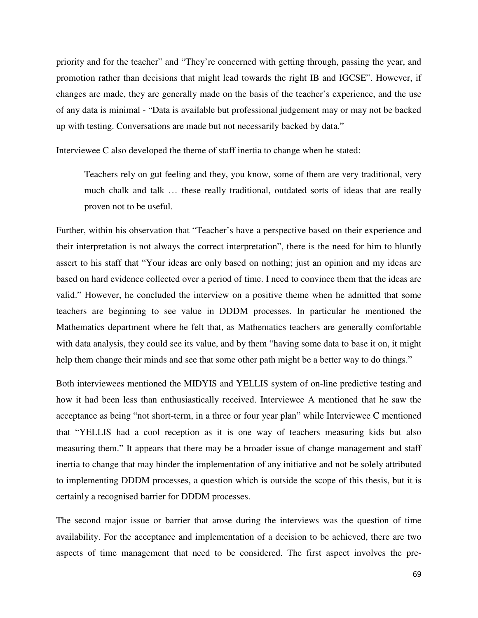priority and for the teacher" and "They're concerned with getting through, passing the year, and promotion rather than decisions that might lead towards the right IB and IGCSE". However, if changes are made, they are generally made on the basis of the teacher's experience, and the use of any data is minimal - "Data is available but professional judgement may or may not be backed up with testing. Conversations are made but not necessarily backed by data."

Interviewee C also developed the theme of staff inertia to change when he stated:

Teachers rely on gut feeling and they, you know, some of them are very traditional, very much chalk and talk … these really traditional, outdated sorts of ideas that are really proven not to be useful.

Further, within his observation that "Teacher's have a perspective based on their experience and their interpretation is not always the correct interpretation", there is the need for him to bluntly assert to his staff that "Your ideas are only based on nothing; just an opinion and my ideas are based on hard evidence collected over a period of time. I need to convince them that the ideas are valid." However, he concluded the interview on a positive theme when he admitted that some teachers are beginning to see value in DDDM processes. In particular he mentioned the Mathematics department where he felt that, as Mathematics teachers are generally comfortable with data analysis, they could see its value, and by them "having some data to base it on, it might help them change their minds and see that some other path might be a better way to do things."

Both interviewees mentioned the MIDYIS and YELLIS system of on-line predictive testing and how it had been less than enthusiastically received. Interviewee A mentioned that he saw the acceptance as being "not short-term, in a three or four year plan" while Interviewee C mentioned that "YELLIS had a cool reception as it is one way of teachers measuring kids but also measuring them." It appears that there may be a broader issue of change management and staff inertia to change that may hinder the implementation of any initiative and not be solely attributed to implementing DDDM processes, a question which is outside the scope of this thesis, but it is certainly a recognised barrier for DDDM processes.

The second major issue or barrier that arose during the interviews was the question of time availability. For the acceptance and implementation of a decision to be achieved, there are two aspects of time management that need to be considered. The first aspect involves the pre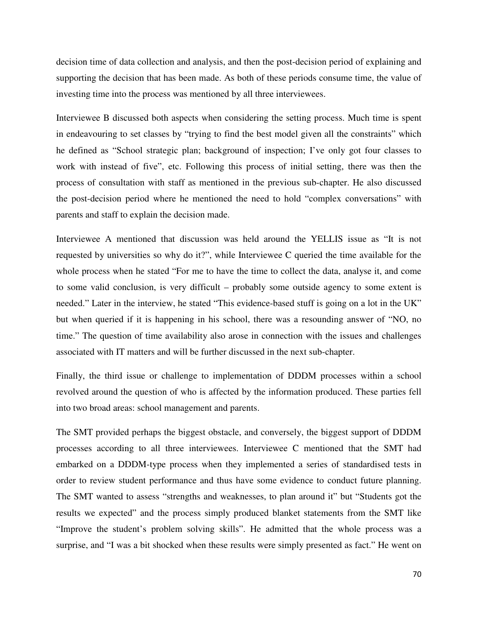decision time of data collection and analysis, and then the post-decision period of explaining and supporting the decision that has been made. As both of these periods consume time, the value of investing time into the process was mentioned by all three interviewees.

Interviewee B discussed both aspects when considering the setting process. Much time is spent in endeavouring to set classes by "trying to find the best model given all the constraints" which he defined as "School strategic plan; background of inspection; I've only got four classes to work with instead of five", etc. Following this process of initial setting, there was then the process of consultation with staff as mentioned in the previous sub-chapter. He also discussed the post-decision period where he mentioned the need to hold "complex conversations" with parents and staff to explain the decision made.

Interviewee A mentioned that discussion was held around the YELLIS issue as "It is not requested by universities so why do it?", while Interviewee C queried the time available for the whole process when he stated "For me to have the time to collect the data, analyse it, and come to some valid conclusion, is very difficult – probably some outside agency to some extent is needed." Later in the interview, he stated "This evidence-based stuff is going on a lot in the UK" but when queried if it is happening in his school, there was a resounding answer of "NO, no time." The question of time availability also arose in connection with the issues and challenges associated with IT matters and will be further discussed in the next sub-chapter.

Finally, the third issue or challenge to implementation of DDDM processes within a school revolved around the question of who is affected by the information produced. These parties fell into two broad areas: school management and parents.

The SMT provided perhaps the biggest obstacle, and conversely, the biggest support of DDDM processes according to all three interviewees. Interviewee C mentioned that the SMT had embarked on a DDDM-type process when they implemented a series of standardised tests in order to review student performance and thus have some evidence to conduct future planning. The SMT wanted to assess "strengths and weaknesses, to plan around it" but "Students got the results we expected" and the process simply produced blanket statements from the SMT like "Improve the student's problem solving skills". He admitted that the whole process was a surprise, and "I was a bit shocked when these results were simply presented as fact." He went on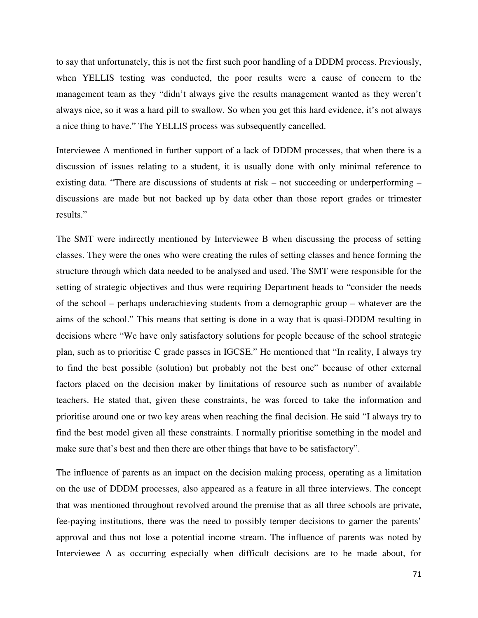to say that unfortunately, this is not the first such poor handling of a DDDM process. Previously, when YELLIS testing was conducted, the poor results were a cause of concern to the management team as they "didn't always give the results management wanted as they weren't always nice, so it was a hard pill to swallow. So when you get this hard evidence, it's not always a nice thing to have." The YELLIS process was subsequently cancelled.

Interviewee A mentioned in further support of a lack of DDDM processes, that when there is a discussion of issues relating to a student, it is usually done with only minimal reference to existing data. "There are discussions of students at risk – not succeeding or underperforming – discussions are made but not backed up by data other than those report grades or trimester results."

The SMT were indirectly mentioned by Interviewee B when discussing the process of setting classes. They were the ones who were creating the rules of setting classes and hence forming the structure through which data needed to be analysed and used. The SMT were responsible for the setting of strategic objectives and thus were requiring Department heads to "consider the needs of the school – perhaps underachieving students from a demographic group – whatever are the aims of the school." This means that setting is done in a way that is quasi-DDDM resulting in decisions where "We have only satisfactory solutions for people because of the school strategic plan, such as to prioritise C grade passes in IGCSE." He mentioned that "In reality, I always try to find the best possible (solution) but probably not the best one" because of other external factors placed on the decision maker by limitations of resource such as number of available teachers. He stated that, given these constraints, he was forced to take the information and prioritise around one or two key areas when reaching the final decision. He said "I always try to find the best model given all these constraints. I normally prioritise something in the model and make sure that's best and then there are other things that have to be satisfactory".

The influence of parents as an impact on the decision making process, operating as a limitation on the use of DDDM processes, also appeared as a feature in all three interviews. The concept that was mentioned throughout revolved around the premise that as all three schools are private, fee-paying institutions, there was the need to possibly temper decisions to garner the parents' approval and thus not lose a potential income stream. The influence of parents was noted by Interviewee A as occurring especially when difficult decisions are to be made about, for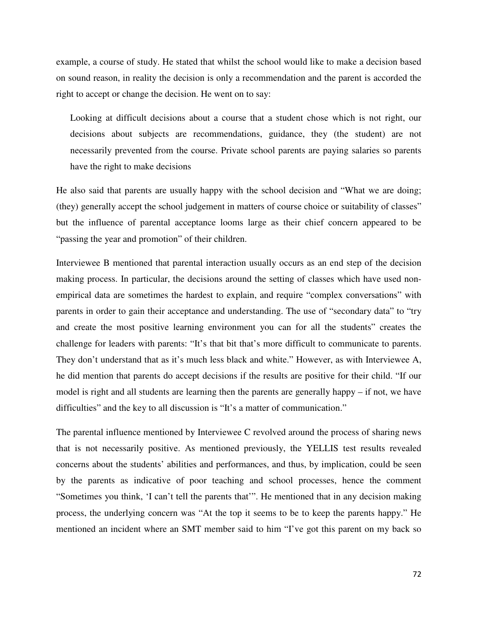example, a course of study. He stated that whilst the school would like to make a decision based on sound reason, in reality the decision is only a recommendation and the parent is accorded the right to accept or change the decision. He went on to say:

Looking at difficult decisions about a course that a student chose which is not right, our decisions about subjects are recommendations, guidance, they (the student) are not necessarily prevented from the course. Private school parents are paying salaries so parents have the right to make decisions

He also said that parents are usually happy with the school decision and "What we are doing; (they) generally accept the school judgement in matters of course choice or suitability of classes" but the influence of parental acceptance looms large as their chief concern appeared to be "passing the year and promotion" of their children.

Interviewee B mentioned that parental interaction usually occurs as an end step of the decision making process. In particular, the decisions around the setting of classes which have used nonempirical data are sometimes the hardest to explain, and require "complex conversations" with parents in order to gain their acceptance and understanding. The use of "secondary data" to "try and create the most positive learning environment you can for all the students" creates the challenge for leaders with parents: "It's that bit that's more difficult to communicate to parents. They don't understand that as it's much less black and white." However, as with Interviewee A, he did mention that parents do accept decisions if the results are positive for their child. "If our model is right and all students are learning then the parents are generally happy – if not, we have difficulties" and the key to all discussion is "It's a matter of communication."

The parental influence mentioned by Interviewee C revolved around the process of sharing news that is not necessarily positive. As mentioned previously, the YELLIS test results revealed concerns about the students' abilities and performances, and thus, by implication, could be seen by the parents as indicative of poor teaching and school processes, hence the comment "Sometimes you think, 'I can't tell the parents that'". He mentioned that in any decision making process, the underlying concern was "At the top it seems to be to keep the parents happy." He mentioned an incident where an SMT member said to him "I've got this parent on my back so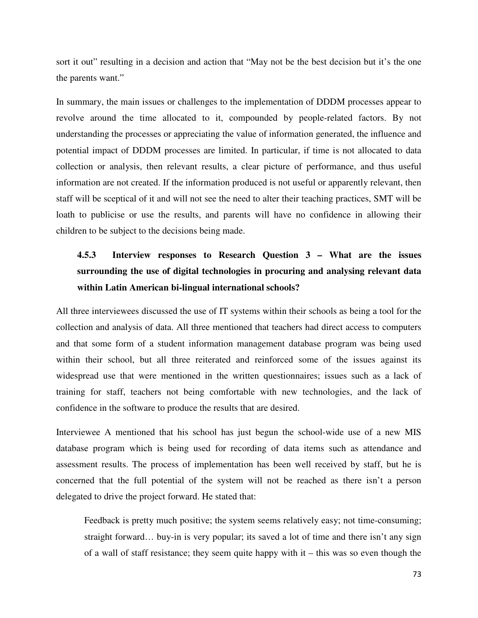sort it out" resulting in a decision and action that "May not be the best decision but it's the one the parents want."

In summary, the main issues or challenges to the implementation of DDDM processes appear to revolve around the time allocated to it, compounded by people-related factors. By not understanding the processes or appreciating the value of information generated, the influence and potential impact of DDDM processes are limited. In particular, if time is not allocated to data collection or analysis, then relevant results, a clear picture of performance, and thus useful information are not created. If the information produced is not useful or apparently relevant, then staff will be sceptical of it and will not see the need to alter their teaching practices, SMT will be loath to publicise or use the results, and parents will have no confidence in allowing their children to be subject to the decisions being made.

# **4.5.3 Interview responses to Research Question 3 – What are the issues surrounding the use of digital technologies in procuring and analysing relevant data within Latin American bi-lingual international schools?**

All three interviewees discussed the use of IT systems within their schools as being a tool for the collection and analysis of data. All three mentioned that teachers had direct access to computers and that some form of a student information management database program was being used within their school, but all three reiterated and reinforced some of the issues against its widespread use that were mentioned in the written questionnaires; issues such as a lack of training for staff, teachers not being comfortable with new technologies, and the lack of confidence in the software to produce the results that are desired.

Interviewee A mentioned that his school has just begun the school-wide use of a new MIS database program which is being used for recording of data items such as attendance and assessment results. The process of implementation has been well received by staff, but he is concerned that the full potential of the system will not be reached as there isn't a person delegated to drive the project forward. He stated that:

Feedback is pretty much positive; the system seems relatively easy; not time-consuming; straight forward… buy-in is very popular; its saved a lot of time and there isn't any sign of a wall of staff resistance; they seem quite happy with it – this was so even though the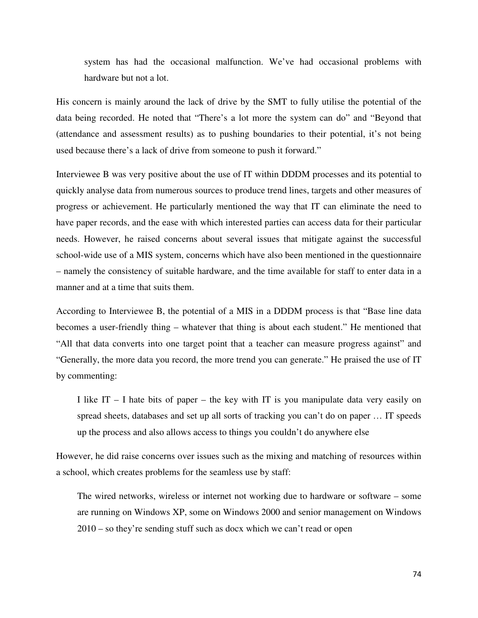system has had the occasional malfunction. We've had occasional problems with hardware but not a lot.

His concern is mainly around the lack of drive by the SMT to fully utilise the potential of the data being recorded. He noted that "There's a lot more the system can do" and "Beyond that (attendance and assessment results) as to pushing boundaries to their potential, it's not being used because there's a lack of drive from someone to push it forward."

Interviewee B was very positive about the use of IT within DDDM processes and its potential to quickly analyse data from numerous sources to produce trend lines, targets and other measures of progress or achievement. He particularly mentioned the way that IT can eliminate the need to have paper records, and the ease with which interested parties can access data for their particular needs. However, he raised concerns about several issues that mitigate against the successful school-wide use of a MIS system, concerns which have also been mentioned in the questionnaire – namely the consistency of suitable hardware, and the time available for staff to enter data in a manner and at a time that suits them.

According to Interviewee B, the potential of a MIS in a DDDM process is that "Base line data becomes a user-friendly thing – whatever that thing is about each student." He mentioned that "All that data converts into one target point that a teacher can measure progress against" and "Generally, the more data you record, the more trend you can generate." He praised the use of IT by commenting:

I like  $IT - I$  hate bits of paper – the key with IT is you manipulate data very easily on spread sheets, databases and set up all sorts of tracking you can't do on paper … IT speeds up the process and also allows access to things you couldn't do anywhere else

However, he did raise concerns over issues such as the mixing and matching of resources within a school, which creates problems for the seamless use by staff:

The wired networks, wireless or internet not working due to hardware or software – some are running on Windows XP, some on Windows 2000 and senior management on Windows 2010 – so they're sending stuff such as docx which we can't read or open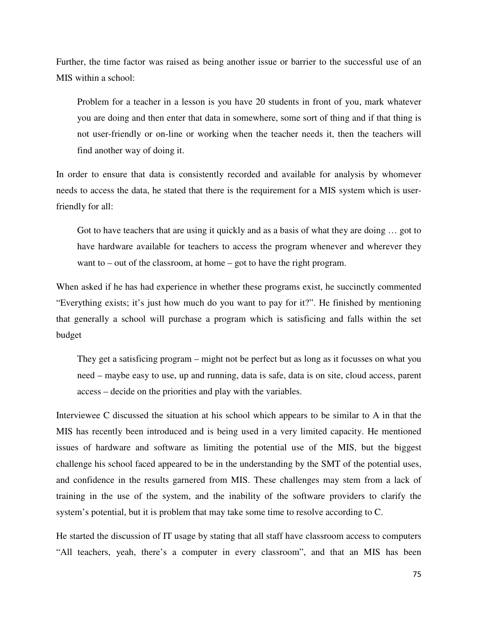Further, the time factor was raised as being another issue or barrier to the successful use of an MIS within a school:

Problem for a teacher in a lesson is you have 20 students in front of you, mark whatever you are doing and then enter that data in somewhere, some sort of thing and if that thing is not user-friendly or on-line or working when the teacher needs it, then the teachers will find another way of doing it.

In order to ensure that data is consistently recorded and available for analysis by whomever needs to access the data, he stated that there is the requirement for a MIS system which is userfriendly for all:

Got to have teachers that are using it quickly and as a basis of what they are doing ... got to have hardware available for teachers to access the program whenever and wherever they want to – out of the classroom, at home – got to have the right program.

When asked if he has had experience in whether these programs exist, he succinctly commented "Everything exists; it's just how much do you want to pay for it?". He finished by mentioning that generally a school will purchase a program which is satisficing and falls within the set budget

They get a satisficing program – might not be perfect but as long as it focusses on what you need – maybe easy to use, up and running, data is safe, data is on site, cloud access, parent access – decide on the priorities and play with the variables.

Interviewee C discussed the situation at his school which appears to be similar to A in that the MIS has recently been introduced and is being used in a very limited capacity. He mentioned issues of hardware and software as limiting the potential use of the MIS, but the biggest challenge his school faced appeared to be in the understanding by the SMT of the potential uses, and confidence in the results garnered from MIS. These challenges may stem from a lack of training in the use of the system, and the inability of the software providers to clarify the system's potential, but it is problem that may take some time to resolve according to C.

He started the discussion of IT usage by stating that all staff have classroom access to computers "All teachers, yeah, there's a computer in every classroom", and that an MIS has been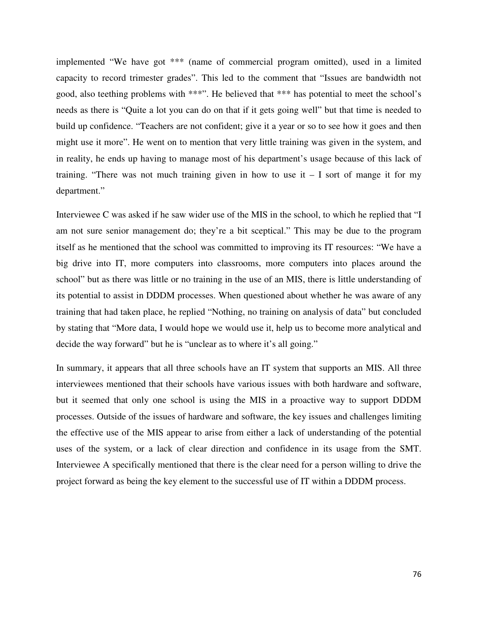implemented "We have got \*\*\* (name of commercial program omitted), used in a limited capacity to record trimester grades". This led to the comment that "Issues are bandwidth not good, also teething problems with \*\*\*". He believed that \*\*\* has potential to meet the school's needs as there is "Quite a lot you can do on that if it gets going well" but that time is needed to build up confidence. "Teachers are not confident; give it a year or so to see how it goes and then might use it more". He went on to mention that very little training was given in the system, and in reality, he ends up having to manage most of his department's usage because of this lack of training. "There was not much training given in how to use it  $-1$  sort of mange it for my department."

Interviewee C was asked if he saw wider use of the MIS in the school, to which he replied that "I am not sure senior management do; they're a bit sceptical." This may be due to the program itself as he mentioned that the school was committed to improving its IT resources: "We have a big drive into IT, more computers into classrooms, more computers into places around the school" but as there was little or no training in the use of an MIS, there is little understanding of its potential to assist in DDDM processes. When questioned about whether he was aware of any training that had taken place, he replied "Nothing, no training on analysis of data" but concluded by stating that "More data, I would hope we would use it, help us to become more analytical and decide the way forward" but he is "unclear as to where it's all going."

In summary, it appears that all three schools have an IT system that supports an MIS. All three interviewees mentioned that their schools have various issues with both hardware and software, but it seemed that only one school is using the MIS in a proactive way to support DDDM processes. Outside of the issues of hardware and software, the key issues and challenges limiting the effective use of the MIS appear to arise from either a lack of understanding of the potential uses of the system, or a lack of clear direction and confidence in its usage from the SMT. Interviewee A specifically mentioned that there is the clear need for a person willing to drive the project forward as being the key element to the successful use of IT within a DDDM process.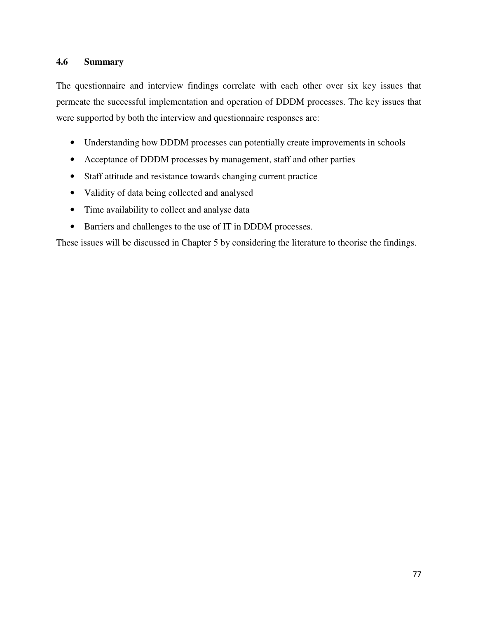## **4.6 Summary**

The questionnaire and interview findings correlate with each other over six key issues that permeate the successful implementation and operation of DDDM processes. The key issues that were supported by both the interview and questionnaire responses are:

- Understanding how DDDM processes can potentially create improvements in schools
- Acceptance of DDDM processes by management, staff and other parties
- Staff attitude and resistance towards changing current practice
- Validity of data being collected and analysed
- Time availability to collect and analyse data
- Barriers and challenges to the use of IT in DDDM processes.

These issues will be discussed in Chapter 5 by considering the literature to theorise the findings.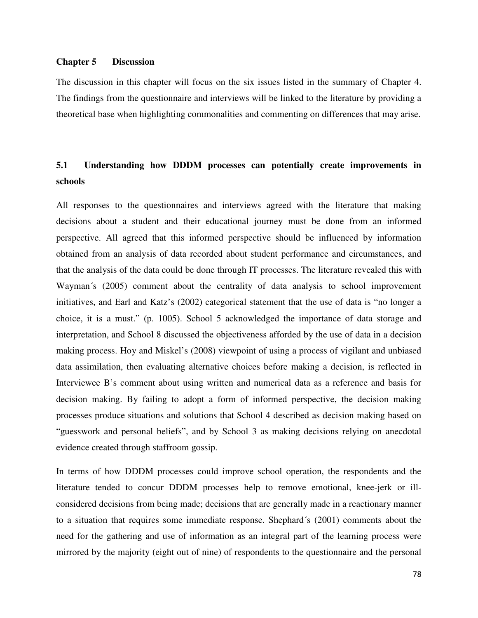## **Chapter 5 Discussion**

The discussion in this chapter will focus on the six issues listed in the summary of Chapter 4. The findings from the questionnaire and interviews will be linked to the literature by providing a theoretical base when highlighting commonalities and commenting on differences that may arise.

# **5.1 Understanding how DDDM processes can potentially create improvements in schools**

All responses to the questionnaires and interviews agreed with the literature that making decisions about a student and their educational journey must be done from an informed perspective. All agreed that this informed perspective should be influenced by information obtained from an analysis of data recorded about student performance and circumstances, and that the analysis of the data could be done through IT processes. The literature revealed this with Wayman´s (2005) comment about the centrality of data analysis to school improvement initiatives, and Earl and Katz's (2002) categorical statement that the use of data is "no longer a choice, it is a must." (p. 1005). School 5 acknowledged the importance of data storage and interpretation, and School 8 discussed the objectiveness afforded by the use of data in a decision making process. Hoy and Miskel's (2008) viewpoint of using a process of vigilant and unbiased data assimilation, then evaluating alternative choices before making a decision, is reflected in Interviewee B's comment about using written and numerical data as a reference and basis for decision making. By failing to adopt a form of informed perspective, the decision making processes produce situations and solutions that School 4 described as decision making based on "guesswork and personal beliefs", and by School 3 as making decisions relying on anecdotal evidence created through staffroom gossip.

In terms of how DDDM processes could improve school operation, the respondents and the literature tended to concur DDDM processes help to remove emotional, knee-jerk or illconsidered decisions from being made; decisions that are generally made in a reactionary manner to a situation that requires some immediate response. Shephard´s (2001) comments about the need for the gathering and use of information as an integral part of the learning process were mirrored by the majority (eight out of nine) of respondents to the questionnaire and the personal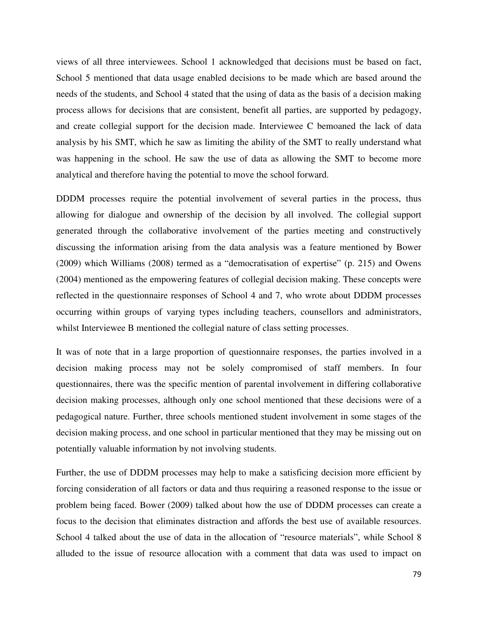views of all three interviewees. School 1 acknowledged that decisions must be based on fact, School 5 mentioned that data usage enabled decisions to be made which are based around the needs of the students, and School 4 stated that the using of data as the basis of a decision making process allows for decisions that are consistent, benefit all parties, are supported by pedagogy, and create collegial support for the decision made. Interviewee C bemoaned the lack of data analysis by his SMT, which he saw as limiting the ability of the SMT to really understand what was happening in the school. He saw the use of data as allowing the SMT to become more analytical and therefore having the potential to move the school forward.

DDDM processes require the potential involvement of several parties in the process, thus allowing for dialogue and ownership of the decision by all involved. The collegial support generated through the collaborative involvement of the parties meeting and constructively discussing the information arising from the data analysis was a feature mentioned by Bower (2009) which Williams (2008) termed as a "democratisation of expertise" (p. 215) and Owens (2004) mentioned as the empowering features of collegial decision making. These concepts were reflected in the questionnaire responses of School 4 and 7, who wrote about DDDM processes occurring within groups of varying types including teachers, counsellors and administrators, whilst Interviewee B mentioned the collegial nature of class setting processes.

It was of note that in a large proportion of questionnaire responses, the parties involved in a decision making process may not be solely compromised of staff members. In four questionnaires, there was the specific mention of parental involvement in differing collaborative decision making processes, although only one school mentioned that these decisions were of a pedagogical nature. Further, three schools mentioned student involvement in some stages of the decision making process, and one school in particular mentioned that they may be missing out on potentially valuable information by not involving students.

Further, the use of DDDM processes may help to make a satisficing decision more efficient by forcing consideration of all factors or data and thus requiring a reasoned response to the issue or problem being faced. Bower (2009) talked about how the use of DDDM processes can create a focus to the decision that eliminates distraction and affords the best use of available resources. School 4 talked about the use of data in the allocation of "resource materials", while School 8 alluded to the issue of resource allocation with a comment that data was used to impact on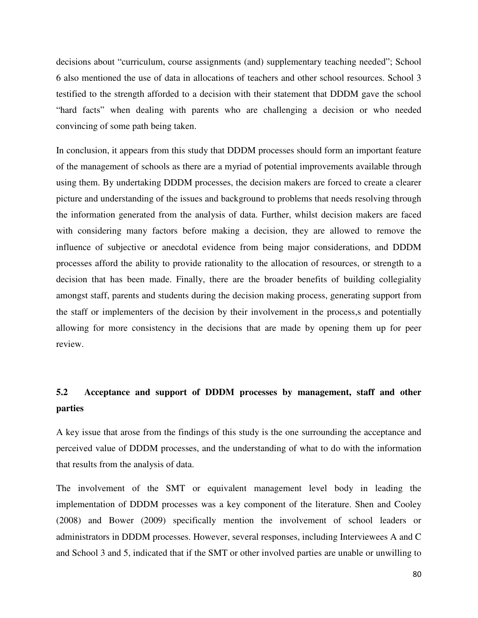decisions about "curriculum, course assignments (and) supplementary teaching needed"; School 6 also mentioned the use of data in allocations of teachers and other school resources. School 3 testified to the strength afforded to a decision with their statement that DDDM gave the school "hard facts" when dealing with parents who are challenging a decision or who needed convincing of some path being taken.

In conclusion, it appears from this study that DDDM processes should form an important feature of the management of schools as there are a myriad of potential improvements available through using them. By undertaking DDDM processes, the decision makers are forced to create a clearer picture and understanding of the issues and background to problems that needs resolving through the information generated from the analysis of data. Further, whilst decision makers are faced with considering many factors before making a decision, they are allowed to remove the influence of subjective or anecdotal evidence from being major considerations, and DDDM processes afford the ability to provide rationality to the allocation of resources, or strength to a decision that has been made. Finally, there are the broader benefits of building collegiality amongst staff, parents and students during the decision making process, generating support from the staff or implementers of the decision by their involvement in the process,s and potentially allowing for more consistency in the decisions that are made by opening them up for peer review.

# **5.2 Acceptance and support of DDDM processes by management, staff and other parties**

A key issue that arose from the findings of this study is the one surrounding the acceptance and perceived value of DDDM processes, and the understanding of what to do with the information that results from the analysis of data.

The involvement of the SMT or equivalent management level body in leading the implementation of DDDM processes was a key component of the literature. Shen and Cooley (2008) and Bower (2009) specifically mention the involvement of school leaders or administrators in DDDM processes. However, several responses, including Interviewees A and C and School 3 and 5, indicated that if the SMT or other involved parties are unable or unwilling to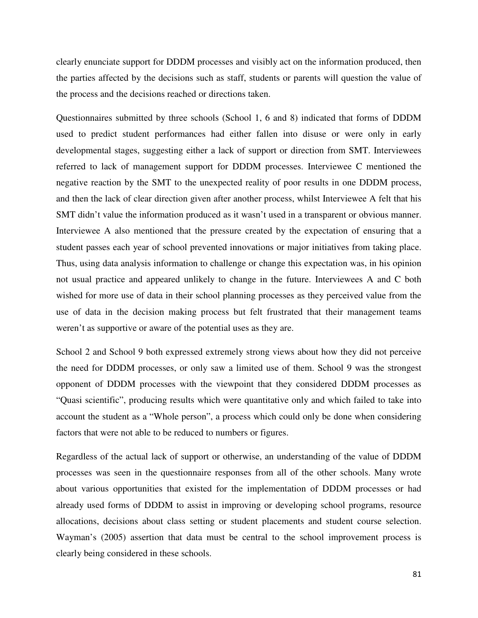clearly enunciate support for DDDM processes and visibly act on the information produced, then the parties affected by the decisions such as staff, students or parents will question the value of the process and the decisions reached or directions taken.

Questionnaires submitted by three schools (School 1, 6 and 8) indicated that forms of DDDM used to predict student performances had either fallen into disuse or were only in early developmental stages, suggesting either a lack of support or direction from SMT. Interviewees referred to lack of management support for DDDM processes. Interviewee C mentioned the negative reaction by the SMT to the unexpected reality of poor results in one DDDM process, and then the lack of clear direction given after another process, whilst Interviewee A felt that his SMT didn't value the information produced as it wasn't used in a transparent or obvious manner. Interviewee A also mentioned that the pressure created by the expectation of ensuring that a student passes each year of school prevented innovations or major initiatives from taking place. Thus, using data analysis information to challenge or change this expectation was, in his opinion not usual practice and appeared unlikely to change in the future. Interviewees A and C both wished for more use of data in their school planning processes as they perceived value from the use of data in the decision making process but felt frustrated that their management teams weren't as supportive or aware of the potential uses as they are.

School 2 and School 9 both expressed extremely strong views about how they did not perceive the need for DDDM processes, or only saw a limited use of them. School 9 was the strongest opponent of DDDM processes with the viewpoint that they considered DDDM processes as "Quasi scientific", producing results which were quantitative only and which failed to take into account the student as a "Whole person", a process which could only be done when considering factors that were not able to be reduced to numbers or figures.

Regardless of the actual lack of support or otherwise, an understanding of the value of DDDM processes was seen in the questionnaire responses from all of the other schools. Many wrote about various opportunities that existed for the implementation of DDDM processes or had already used forms of DDDM to assist in improving or developing school programs, resource allocations, decisions about class setting or student placements and student course selection. Wayman's (2005) assertion that data must be central to the school improvement process is clearly being considered in these schools.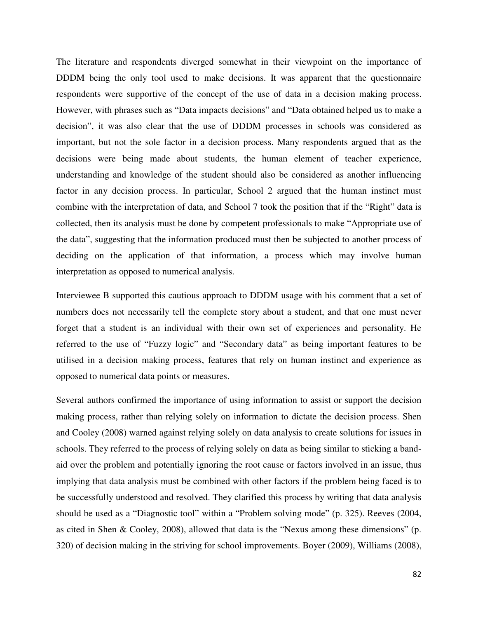The literature and respondents diverged somewhat in their viewpoint on the importance of DDDM being the only tool used to make decisions. It was apparent that the questionnaire respondents were supportive of the concept of the use of data in a decision making process. However, with phrases such as "Data impacts decisions" and "Data obtained helped us to make a decision", it was also clear that the use of DDDM processes in schools was considered as important, but not the sole factor in a decision process. Many respondents argued that as the decisions were being made about students, the human element of teacher experience, understanding and knowledge of the student should also be considered as another influencing factor in any decision process. In particular, School 2 argued that the human instinct must combine with the interpretation of data, and School 7 took the position that if the "Right" data is collected, then its analysis must be done by competent professionals to make "Appropriate use of the data", suggesting that the information produced must then be subjected to another process of deciding on the application of that information, a process which may involve human interpretation as opposed to numerical analysis.

Interviewee B supported this cautious approach to DDDM usage with his comment that a set of numbers does not necessarily tell the complete story about a student, and that one must never forget that a student is an individual with their own set of experiences and personality. He referred to the use of "Fuzzy logic" and "Secondary data" as being important features to be utilised in a decision making process, features that rely on human instinct and experience as opposed to numerical data points or measures.

Several authors confirmed the importance of using information to assist or support the decision making process, rather than relying solely on information to dictate the decision process. Shen and Cooley (2008) warned against relying solely on data analysis to create solutions for issues in schools. They referred to the process of relying solely on data as being similar to sticking a bandaid over the problem and potentially ignoring the root cause or factors involved in an issue, thus implying that data analysis must be combined with other factors if the problem being faced is to be successfully understood and resolved. They clarified this process by writing that data analysis should be used as a "Diagnostic tool" within a "Problem solving mode" (p. 325). Reeves (2004, as cited in Shen & Cooley, 2008), allowed that data is the "Nexus among these dimensions" (p. 320) of decision making in the striving for school improvements. Boyer (2009), Williams (2008),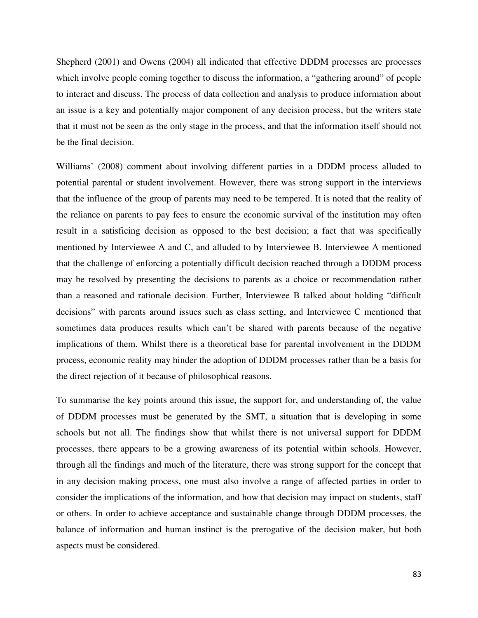Shepherd (2001) and Owens (2004) all indicated that effective DDDM processes are processes which involve people coming together to discuss the information, a "gathering around" of people to interact and discuss. The process of data collection and analysis to produce information about an issue is a key and potentially major component of any decision process, but the writers state that it must not be seen as the only stage in the process, and that the information itself should not be the final decision.

Williams' (2008) comment about involving different parties in a DDDM process alluded to potential parental or student involvement. However, there was strong support in the interviews that the influence of the group of parents may need to be tempered. It is noted that the reality of the reliance on parents to pay fees to ensure the economic survival of the institution may often result in a satisficing decision as opposed to the best decision; a fact that was specifically mentioned by Interviewee A and C, and alluded to by Interviewee B. Interviewee A mentioned that the challenge of enforcing a potentially difficult decision reached through a DDDM process may be resolved by presenting the decisions to parents as a choice or recommendation rather than a reasoned and rationale decision. Further, Interviewee B talked about holding "difficult decisions" with parents around issues such as class setting, and Interviewee C mentioned that sometimes data produces results which can't be shared with parents because of the negative implications of them. Whilst there is a theoretical base for parental involvement in the DDDM process, economic reality may hinder the adoption of DDDM processes rather than be a basis for the direct rejection of it because of philosophical reasons.

To summarise the key points around this issue, the support for, and understanding of, the value of DDDM processes must be generated by the SMT, a situation that is developing in some schools but not all. The findings show that whilst there is not universal support for DDDM processes, there appears to be a growing awareness of its potential within schools. However, through all the findings and much of the literature, there was strong support for the concept that in any decision making process, one must also involve a range of affected parties in order to consider the implications of the information, and how that decision may impact on students, staff or others. In order to achieve acceptance and sustainable change through DDDM processes, the balance of information and human instinct is the prerogative of the decision maker, but both aspects must be considered.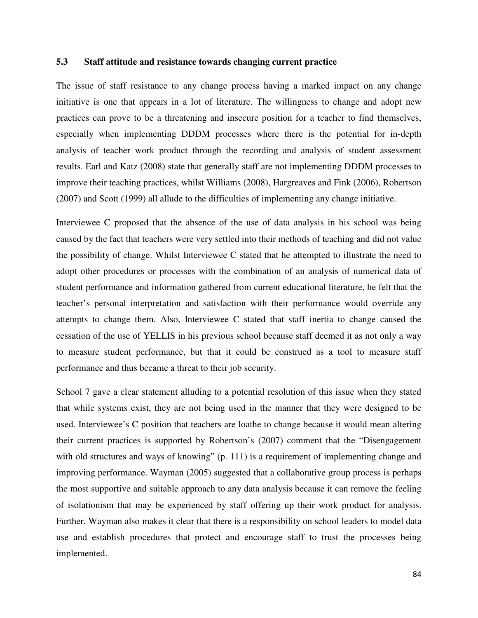## **5.3 Staff attitude and resistance towards changing current practice**

The issue of staff resistance to any change process having a marked impact on any change initiative is one that appears in a lot of literature. The willingness to change and adopt new practices can prove to be a threatening and insecure position for a teacher to find themselves, especially when implementing DDDM processes where there is the potential for in-depth analysis of teacher work product through the recording and analysis of student assessment results. Earl and Katz (2008) state that generally staff are not implementing DDDM processes to improve their teaching practices, whilst Williams (2008), Hargreaves and Fink (2006), Robertson (2007) and Scott (1999) all allude to the difficulties of implementing any change initiative.

Interviewee C proposed that the absence of the use of data analysis in his school was being caused by the fact that teachers were very settled into their methods of teaching and did not value the possibility of change. Whilst Interviewee C stated that he attempted to illustrate the need to adopt other procedures or processes with the combination of an analysis of numerical data of student performance and information gathered from current educational literature, he felt that the teacher's personal interpretation and satisfaction with their performance would override any attempts to change them. Also, Interviewee C stated that staff inertia to change caused the cessation of the use of YELLIS in his previous school because staff deemed it as not only a way to measure student performance, but that it could be construed as a tool to measure staff performance and thus became a threat to their job security.

School 7 gave a clear statement alluding to a potential resolution of this issue when they stated that while systems exist, they are not being used in the manner that they were designed to be used. Interviewee's C position that teachers are loathe to change because it would mean altering their current practices is supported by Robertson's (2007) comment that the "Disengagement with old structures and ways of knowing" (p. 111) is a requirement of implementing change and improving performance. Wayman (2005) suggested that a collaborative group process is perhaps the most supportive and suitable approach to any data analysis because it can remove the feeling of isolationism that may be experienced by staff offering up their work product for analysis. Further, Wayman also makes it clear that there is a responsibility on school leaders to model data use and establish procedures that protect and encourage staff to trust the processes being implemented.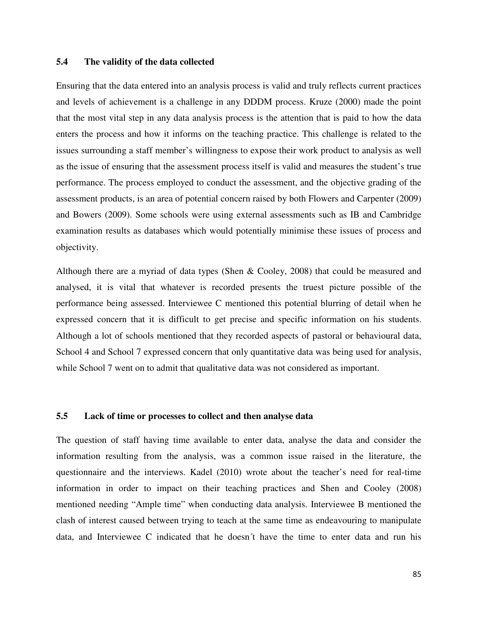## **5.4 The validity of the data collected**

Ensuring that the data entered into an analysis process is valid and truly reflects current practices and levels of achievement is a challenge in any DDDM process. Kruze (2000) made the point that the most vital step in any data analysis process is the attention that is paid to how the data enters the process and how it informs on the teaching practice. This challenge is related to the issues surrounding a staff member's willingness to expose their work product to analysis as well as the issue of ensuring that the assessment process itself is valid and measures the student's true performance. The process employed to conduct the assessment, and the objective grading of the assessment products, is an area of potential concern raised by both Flowers and Carpenter (2009) and Bowers (2009). Some schools were using external assessments such as IB and Cambridge examination results as databases which would potentially minimise these issues of process and objectivity.

Although there are a myriad of data types (Shen & Cooley, 2008) that could be measured and analysed, it is vital that whatever is recorded presents the truest picture possible of the performance being assessed. Interviewee C mentioned this potential blurring of detail when he expressed concern that it is difficult to get precise and specific information on his students. Although a lot of schools mentioned that they recorded aspects of pastoral or behavioural data, School 4 and School 7 expressed concern that only quantitative data was being used for analysis, while School 7 went on to admit that qualitative data was not considered as important.

#### **5.5 Lack of time or processes to collect and then analyse data**

The question of staff having time available to enter data, analyse the data and consider the information resulting from the analysis, was a common issue raised in the literature, the questionnaire and the interviews. Kadel (2010) wrote about the teacher's need for real-time information in order to impact on their teaching practices and Shen and Cooley (2008) mentioned needing "Ample time" when conducting data analysis. Interviewee B mentioned the clash of interest caused between trying to teach at the same time as endeavouring to manipulate data, and Interviewee C indicated that he doesn´t have the time to enter data and run his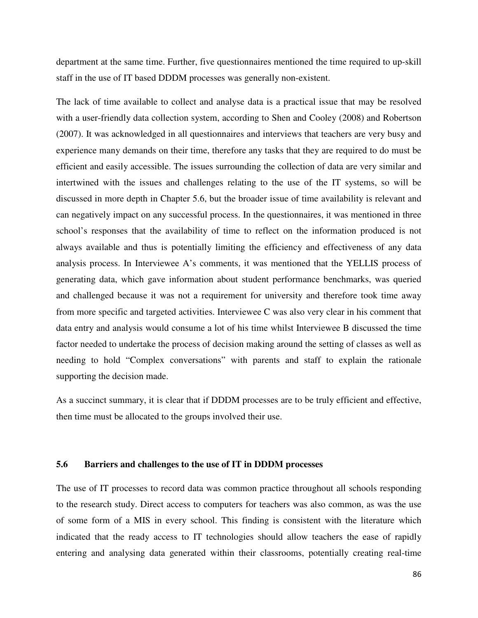department at the same time. Further, five questionnaires mentioned the time required to up-skill staff in the use of IT based DDDM processes was generally non-existent.

The lack of time available to collect and analyse data is a practical issue that may be resolved with a user-friendly data collection system, according to Shen and Cooley (2008) and Robertson (2007). It was acknowledged in all questionnaires and interviews that teachers are very busy and experience many demands on their time, therefore any tasks that they are required to do must be efficient and easily accessible. The issues surrounding the collection of data are very similar and intertwined with the issues and challenges relating to the use of the IT systems, so will be discussed in more depth in Chapter 5.6, but the broader issue of time availability is relevant and can negatively impact on any successful process. In the questionnaires, it was mentioned in three school's responses that the availability of time to reflect on the information produced is not always available and thus is potentially limiting the efficiency and effectiveness of any data analysis process. In Interviewee A's comments, it was mentioned that the YELLIS process of generating data, which gave information about student performance benchmarks, was queried and challenged because it was not a requirement for university and therefore took time away from more specific and targeted activities. Interviewee C was also very clear in his comment that data entry and analysis would consume a lot of his time whilst Interviewee B discussed the time factor needed to undertake the process of decision making around the setting of classes as well as needing to hold "Complex conversations" with parents and staff to explain the rationale supporting the decision made.

As a succinct summary, it is clear that if DDDM processes are to be truly efficient and effective, then time must be allocated to the groups involved their use.

## **5.6 Barriers and challenges to the use of IT in DDDM processes**

The use of IT processes to record data was common practice throughout all schools responding to the research study. Direct access to computers for teachers was also common, as was the use of some form of a MIS in every school. This finding is consistent with the literature which indicated that the ready access to IT technologies should allow teachers the ease of rapidly entering and analysing data generated within their classrooms, potentially creating real-time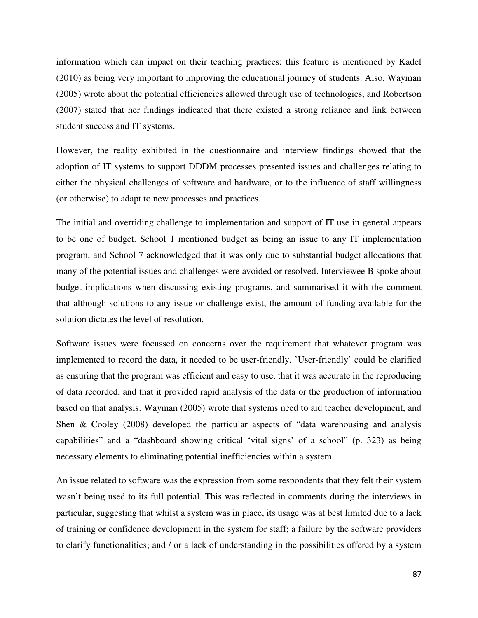information which can impact on their teaching practices; this feature is mentioned by Kadel (2010) as being very important to improving the educational journey of students. Also, Wayman (2005) wrote about the potential efficiencies allowed through use of technologies, and Robertson (2007) stated that her findings indicated that there existed a strong reliance and link between student success and IT systems.

However, the reality exhibited in the questionnaire and interview findings showed that the adoption of IT systems to support DDDM processes presented issues and challenges relating to either the physical challenges of software and hardware, or to the influence of staff willingness (or otherwise) to adapt to new processes and practices.

The initial and overriding challenge to implementation and support of IT use in general appears to be one of budget. School 1 mentioned budget as being an issue to any IT implementation program, and School 7 acknowledged that it was only due to substantial budget allocations that many of the potential issues and challenges were avoided or resolved. Interviewee B spoke about budget implications when discussing existing programs, and summarised it with the comment that although solutions to any issue or challenge exist, the amount of funding available for the solution dictates the level of resolution.

Software issues were focussed on concerns over the requirement that whatever program was implemented to record the data, it needed to be user-friendly. 'User-friendly' could be clarified as ensuring that the program was efficient and easy to use, that it was accurate in the reproducing of data recorded, and that it provided rapid analysis of the data or the production of information based on that analysis. Wayman (2005) wrote that systems need to aid teacher development, and Shen & Cooley (2008) developed the particular aspects of "data warehousing and analysis capabilities" and a "dashboard showing critical 'vital signs' of a school" (p. 323) as being necessary elements to eliminating potential inefficiencies within a system.

An issue related to software was the expression from some respondents that they felt their system wasn't being used to its full potential. This was reflected in comments during the interviews in particular, suggesting that whilst a system was in place, its usage was at best limited due to a lack of training or confidence development in the system for staff; a failure by the software providers to clarify functionalities; and / or a lack of understanding in the possibilities offered by a system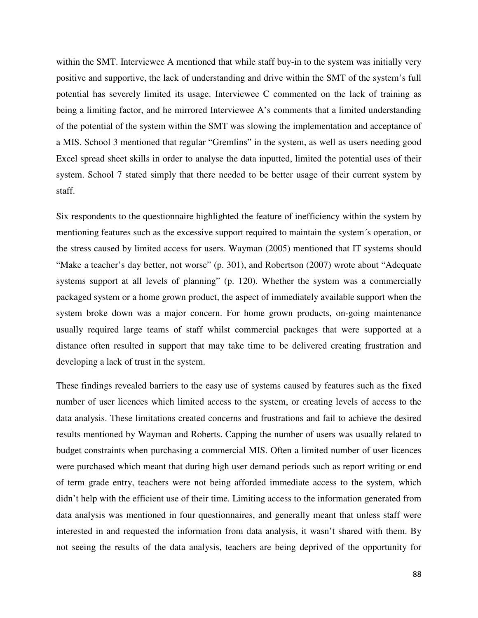within the SMT. Interviewee A mentioned that while staff buy-in to the system was initially very positive and supportive, the lack of understanding and drive within the SMT of the system's full potential has severely limited its usage. Interviewee C commented on the lack of training as being a limiting factor, and he mirrored Interviewee A's comments that a limited understanding of the potential of the system within the SMT was slowing the implementation and acceptance of a MIS. School 3 mentioned that regular "Gremlins" in the system, as well as users needing good Excel spread sheet skills in order to analyse the data inputted, limited the potential uses of their system. School 7 stated simply that there needed to be better usage of their current system by staff.

Six respondents to the questionnaire highlighted the feature of inefficiency within the system by mentioning features such as the excessive support required to maintain the system´s operation, or the stress caused by limited access for users. Wayman (2005) mentioned that IT systems should "Make a teacher's day better, not worse" (p. 301), and Robertson (2007) wrote about "Adequate systems support at all levels of planning" (p. 120). Whether the system was a commercially packaged system or a home grown product, the aspect of immediately available support when the system broke down was a major concern. For home grown products, on-going maintenance usually required large teams of staff whilst commercial packages that were supported at a distance often resulted in support that may take time to be delivered creating frustration and developing a lack of trust in the system.

These findings revealed barriers to the easy use of systems caused by features such as the fixed number of user licences which limited access to the system, or creating levels of access to the data analysis. These limitations created concerns and frustrations and fail to achieve the desired results mentioned by Wayman and Roberts. Capping the number of users was usually related to budget constraints when purchasing a commercial MIS. Often a limited number of user licences were purchased which meant that during high user demand periods such as report writing or end of term grade entry, teachers were not being afforded immediate access to the system, which didn't help with the efficient use of their time. Limiting access to the information generated from data analysis was mentioned in four questionnaires, and generally meant that unless staff were interested in and requested the information from data analysis, it wasn't shared with them. By not seeing the results of the data analysis, teachers are being deprived of the opportunity for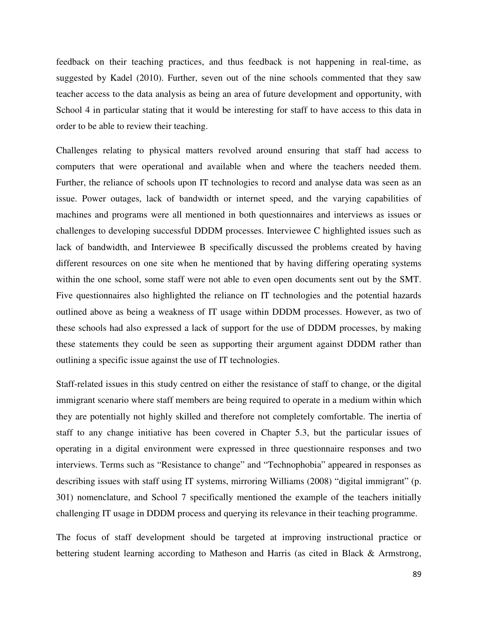feedback on their teaching practices, and thus feedback is not happening in real-time, as suggested by Kadel (2010). Further, seven out of the nine schools commented that they saw teacher access to the data analysis as being an area of future development and opportunity, with School 4 in particular stating that it would be interesting for staff to have access to this data in order to be able to review their teaching.

Challenges relating to physical matters revolved around ensuring that staff had access to computers that were operational and available when and where the teachers needed them. Further, the reliance of schools upon IT technologies to record and analyse data was seen as an issue. Power outages, lack of bandwidth or internet speed, and the varying capabilities of machines and programs were all mentioned in both questionnaires and interviews as issues or challenges to developing successful DDDM processes. Interviewee C highlighted issues such as lack of bandwidth, and Interviewee B specifically discussed the problems created by having different resources on one site when he mentioned that by having differing operating systems within the one school, some staff were not able to even open documents sent out by the SMT. Five questionnaires also highlighted the reliance on IT technologies and the potential hazards outlined above as being a weakness of IT usage within DDDM processes. However, as two of these schools had also expressed a lack of support for the use of DDDM processes, by making these statements they could be seen as supporting their argument against DDDM rather than outlining a specific issue against the use of IT technologies.

Staff-related issues in this study centred on either the resistance of staff to change, or the digital immigrant scenario where staff members are being required to operate in a medium within which they are potentially not highly skilled and therefore not completely comfortable. The inertia of staff to any change initiative has been covered in Chapter 5.3, but the particular issues of operating in a digital environment were expressed in three questionnaire responses and two interviews. Terms such as "Resistance to change" and "Technophobia" appeared in responses as describing issues with staff using IT systems, mirroring Williams (2008) "digital immigrant" (p. 301) nomenclature, and School 7 specifically mentioned the example of the teachers initially challenging IT usage in DDDM process and querying its relevance in their teaching programme.

The focus of staff development should be targeted at improving instructional practice or bettering student learning according to Matheson and Harris (as cited in Black & Armstrong,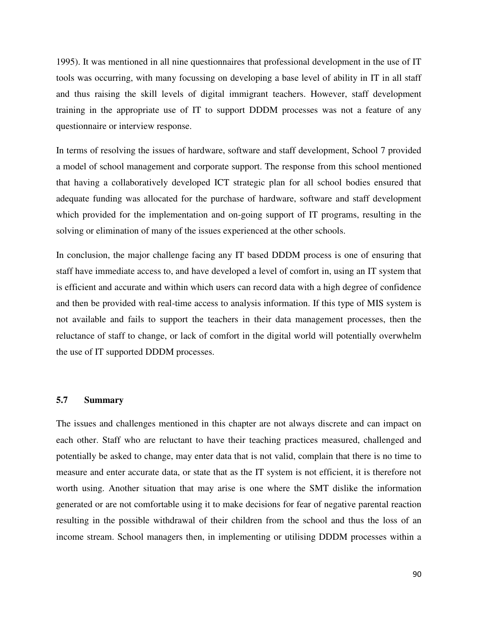1995). It was mentioned in all nine questionnaires that professional development in the use of IT tools was occurring, with many focussing on developing a base level of ability in IT in all staff and thus raising the skill levels of digital immigrant teachers. However, staff development training in the appropriate use of IT to support DDDM processes was not a feature of any questionnaire or interview response.

In terms of resolving the issues of hardware, software and staff development, School 7 provided a model of school management and corporate support. The response from this school mentioned that having a collaboratively developed ICT strategic plan for all school bodies ensured that adequate funding was allocated for the purchase of hardware, software and staff development which provided for the implementation and on-going support of IT programs, resulting in the solving or elimination of many of the issues experienced at the other schools.

In conclusion, the major challenge facing any IT based DDDM process is one of ensuring that staff have immediate access to, and have developed a level of comfort in, using an IT system that is efficient and accurate and within which users can record data with a high degree of confidence and then be provided with real-time access to analysis information. If this type of MIS system is not available and fails to support the teachers in their data management processes, then the reluctance of staff to change, or lack of comfort in the digital world will potentially overwhelm the use of IT supported DDDM processes.

## **5.7 Summary**

The issues and challenges mentioned in this chapter are not always discrete and can impact on each other. Staff who are reluctant to have their teaching practices measured, challenged and potentially be asked to change, may enter data that is not valid, complain that there is no time to measure and enter accurate data, or state that as the IT system is not efficient, it is therefore not worth using. Another situation that may arise is one where the SMT dislike the information generated or are not comfortable using it to make decisions for fear of negative parental reaction resulting in the possible withdrawal of their children from the school and thus the loss of an income stream. School managers then, in implementing or utilising DDDM processes within a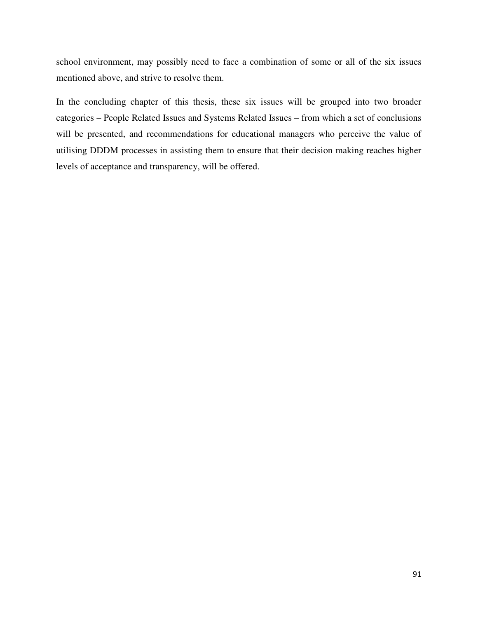school environment, may possibly need to face a combination of some or all of the six issues mentioned above, and strive to resolve them.

In the concluding chapter of this thesis, these six issues will be grouped into two broader categories – People Related Issues and Systems Related Issues – from which a set of conclusions will be presented, and recommendations for educational managers who perceive the value of utilising DDDM processes in assisting them to ensure that their decision making reaches higher levels of acceptance and transparency, will be offered.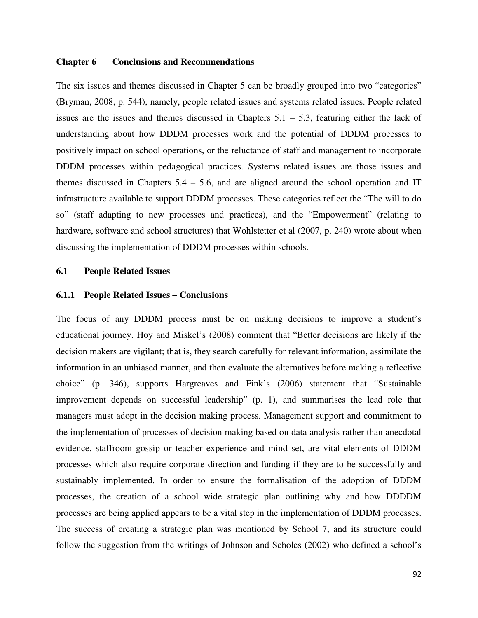#### **Chapter 6 Conclusions and Recommendations**

The six issues and themes discussed in Chapter 5 can be broadly grouped into two "categories" (Bryman, 2008, p. 544), namely, people related issues and systems related issues. People related issues are the issues and themes discussed in Chapters  $5.1 - 5.3$ , featuring either the lack of understanding about how DDDM processes work and the potential of DDDM processes to positively impact on school operations, or the reluctance of staff and management to incorporate DDDM processes within pedagogical practices. Systems related issues are those issues and themes discussed in Chapters 5.4 – 5.6, and are aligned around the school operation and IT infrastructure available to support DDDM processes. These categories reflect the "The will to do so" (staff adapting to new processes and practices), and the "Empowerment" (relating to hardware, software and school structures) that Wohlstetter et al (2007, p. 240) wrote about when discussing the implementation of DDDM processes within schools.

## **6.1 People Related Issues**

#### **6.1.1 People Related Issues – Conclusions**

The focus of any DDDM process must be on making decisions to improve a student's educational journey. Hoy and Miskel's (2008) comment that "Better decisions are likely if the decision makers are vigilant; that is, they search carefully for relevant information, assimilate the information in an unbiased manner, and then evaluate the alternatives before making a reflective choice" (p. 346), supports Hargreaves and Fink's (2006) statement that "Sustainable improvement depends on successful leadership" (p. 1), and summarises the lead role that managers must adopt in the decision making process. Management support and commitment to the implementation of processes of decision making based on data analysis rather than anecdotal evidence, staffroom gossip or teacher experience and mind set, are vital elements of DDDM processes which also require corporate direction and funding if they are to be successfully and sustainably implemented. In order to ensure the formalisation of the adoption of DDDM processes, the creation of a school wide strategic plan outlining why and how DDDDM processes are being applied appears to be a vital step in the implementation of DDDM processes. The success of creating a strategic plan was mentioned by School 7, and its structure could follow the suggestion from the writings of Johnson and Scholes (2002) who defined a school's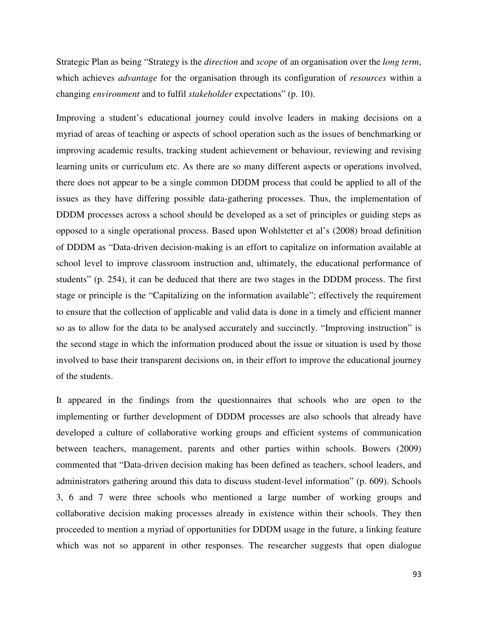Strategic Plan as being "Strategy is the *direction* and *scope* of an organisation over the *long term*, which achieves *advantage* for the organisation through its configuration of *resources* within a changing *environment* and to fulfil *stakeholder* expectations" (p. 10).

Improving a student's educational journey could involve leaders in making decisions on a myriad of areas of teaching or aspects of school operation such as the issues of benchmarking or improving academic results, tracking student achievement or behaviour, reviewing and revising learning units or curriculum etc. As there are so many different aspects or operations involved, there does not appear to be a single common DDDM process that could be applied to all of the issues as they have differing possible data-gathering processes. Thus, the implementation of DDDM processes across a school should be developed as a set of principles or guiding steps as opposed to a single operational process. Based upon Wohlstetter et al's (2008) broad definition of DDDM as "Data-driven decision-making is an effort to capitalize on information available at school level to improve classroom instruction and, ultimately, the educational performance of students" (p. 254), it can be deduced that there are two stages in the DDDM process. The first stage or principle is the "Capitalizing on the information available"; effectively the requirement to ensure that the collection of applicable and valid data is done in a timely and efficient manner so as to allow for the data to be analysed accurately and succinctly. "Improving instruction" is the second stage in which the information produced about the issue or situation is used by those involved to base their transparent decisions on, in their effort to improve the educational journey of the students.

It appeared in the findings from the questionnaires that schools who are open to the implementing or further development of DDDM processes are also schools that already have developed a culture of collaborative working groups and efficient systems of communication between teachers, management, parents and other parties within schools. Bowers (2009) commented that "Data-driven decision making has been defined as teachers, school leaders, and administrators gathering around this data to discuss student-level information" (p. 609). Schools 3, 6 and 7 were three schools who mentioned a large number of working groups and collaborative decision making processes already in existence within their schools. They then proceeded to mention a myriad of opportunities for DDDM usage in the future, a linking feature which was not so apparent in other responses. The researcher suggests that open dialogue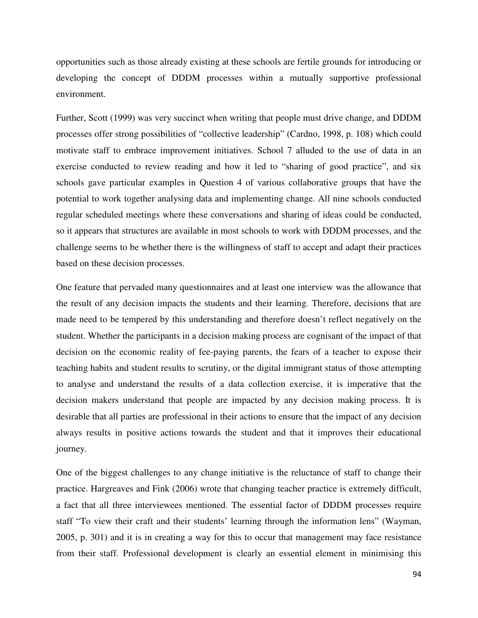opportunities such as those already existing at these schools are fertile grounds for introducing or developing the concept of DDDM processes within a mutually supportive professional environment.

Further, Scott (1999) was very succinct when writing that people must drive change, and DDDM processes offer strong possibilities of "collective leadership" (Cardno, 1998, p. 108) which could motivate staff to embrace improvement initiatives. School 7 alluded to the use of data in an exercise conducted to review reading and how it led to "sharing of good practice", and six schools gave particular examples in Question 4 of various collaborative groups that have the potential to work together analysing data and implementing change. All nine schools conducted regular scheduled meetings where these conversations and sharing of ideas could be conducted, so it appears that structures are available in most schools to work with DDDM processes, and the challenge seems to be whether there is the willingness of staff to accept and adapt their practices based on these decision processes.

One feature that pervaded many questionnaires and at least one interview was the allowance that the result of any decision impacts the students and their learning. Therefore, decisions that are made need to be tempered by this understanding and therefore doesn't reflect negatively on the student. Whether the participants in a decision making process are cognisant of the impact of that decision on the economic reality of fee-paying parents, the fears of a teacher to expose their teaching habits and student results to scrutiny, or the digital immigrant status of those attempting to analyse and understand the results of a data collection exercise, it is imperative that the decision makers understand that people are impacted by any decision making process. It is desirable that all parties are professional in their actions to ensure that the impact of any decision always results in positive actions towards the student and that it improves their educational journey.

One of the biggest challenges to any change initiative is the reluctance of staff to change their practice. Hargreaves and Fink (2006) wrote that changing teacher practice is extremely difficult, a fact that all three interviewees mentioned. The essential factor of DDDM processes require staff "To view their craft and their students' learning through the information lens" (Wayman, 2005, p. 301) and it is in creating a way for this to occur that management may face resistance from their staff. Professional development is clearly an essential element in minimising this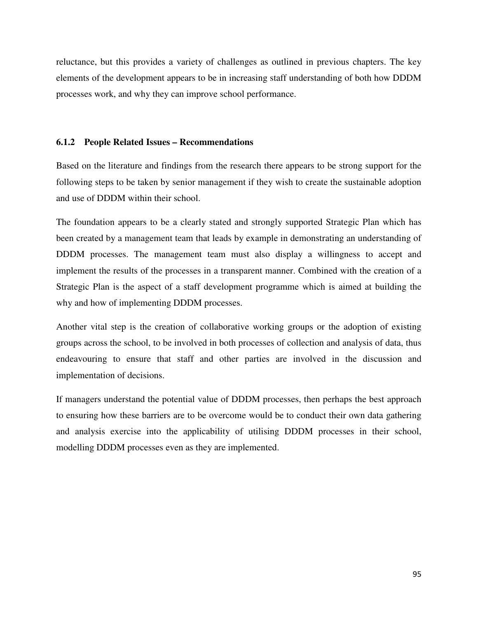reluctance, but this provides a variety of challenges as outlined in previous chapters. The key elements of the development appears to be in increasing staff understanding of both how DDDM processes work, and why they can improve school performance.

## **6.1.2 People Related Issues – Recommendations**

Based on the literature and findings from the research there appears to be strong support for the following steps to be taken by senior management if they wish to create the sustainable adoption and use of DDDM within their school.

The foundation appears to be a clearly stated and strongly supported Strategic Plan which has been created by a management team that leads by example in demonstrating an understanding of DDDM processes. The management team must also display a willingness to accept and implement the results of the processes in a transparent manner. Combined with the creation of a Strategic Plan is the aspect of a staff development programme which is aimed at building the why and how of implementing DDDM processes.

Another vital step is the creation of collaborative working groups or the adoption of existing groups across the school, to be involved in both processes of collection and analysis of data, thus endeavouring to ensure that staff and other parties are involved in the discussion and implementation of decisions.

If managers understand the potential value of DDDM processes, then perhaps the best approach to ensuring how these barriers are to be overcome would be to conduct their own data gathering and analysis exercise into the applicability of utilising DDDM processes in their school, modelling DDDM processes even as they are implemented.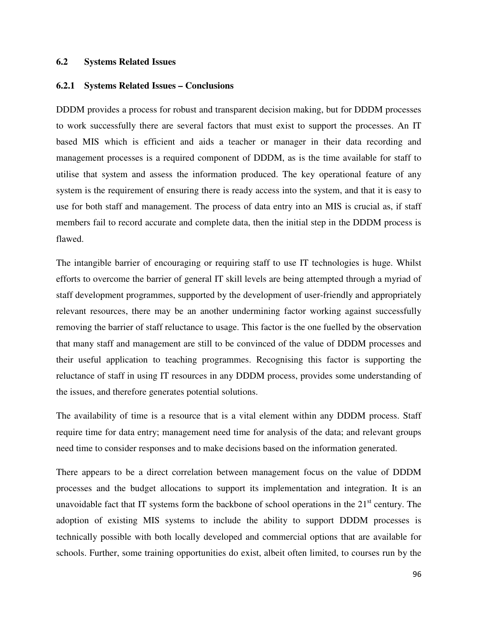## **6.2 Systems Related Issues**

#### **6.2.1 Systems Related Issues – Conclusions**

DDDM provides a process for robust and transparent decision making, but for DDDM processes to work successfully there are several factors that must exist to support the processes. An IT based MIS which is efficient and aids a teacher or manager in their data recording and management processes is a required component of DDDM, as is the time available for staff to utilise that system and assess the information produced. The key operational feature of any system is the requirement of ensuring there is ready access into the system, and that it is easy to use for both staff and management. The process of data entry into an MIS is crucial as, if staff members fail to record accurate and complete data, then the initial step in the DDDM process is flawed.

The intangible barrier of encouraging or requiring staff to use IT technologies is huge. Whilst efforts to overcome the barrier of general IT skill levels are being attempted through a myriad of staff development programmes, supported by the development of user-friendly and appropriately relevant resources, there may be an another undermining factor working against successfully removing the barrier of staff reluctance to usage. This factor is the one fuelled by the observation that many staff and management are still to be convinced of the value of DDDM processes and their useful application to teaching programmes. Recognising this factor is supporting the reluctance of staff in using IT resources in any DDDM process, provides some understanding of the issues, and therefore generates potential solutions.

The availability of time is a resource that is a vital element within any DDDM process. Staff require time for data entry; management need time for analysis of the data; and relevant groups need time to consider responses and to make decisions based on the information generated.

There appears to be a direct correlation between management focus on the value of DDDM processes and the budget allocations to support its implementation and integration. It is an unavoidable fact that IT systems form the backbone of school operations in the  $21<sup>st</sup>$  century. The adoption of existing MIS systems to include the ability to support DDDM processes is technically possible with both locally developed and commercial options that are available for schools. Further, some training opportunities do exist, albeit often limited, to courses run by the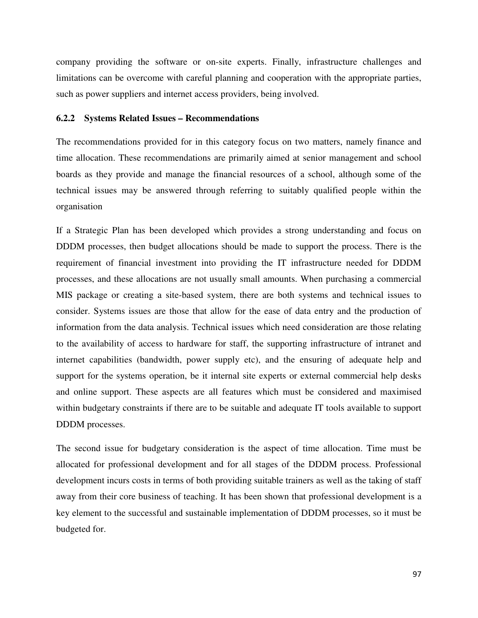company providing the software or on-site experts. Finally, infrastructure challenges and limitations can be overcome with careful planning and cooperation with the appropriate parties, such as power suppliers and internet access providers, being involved.

#### **6.2.2 Systems Related Issues – Recommendations**

The recommendations provided for in this category focus on two matters, namely finance and time allocation. These recommendations are primarily aimed at senior management and school boards as they provide and manage the financial resources of a school, although some of the technical issues may be answered through referring to suitably qualified people within the organisation

If a Strategic Plan has been developed which provides a strong understanding and focus on DDDM processes, then budget allocations should be made to support the process. There is the requirement of financial investment into providing the IT infrastructure needed for DDDM processes, and these allocations are not usually small amounts. When purchasing a commercial MIS package or creating a site-based system, there are both systems and technical issues to consider. Systems issues are those that allow for the ease of data entry and the production of information from the data analysis. Technical issues which need consideration are those relating to the availability of access to hardware for staff, the supporting infrastructure of intranet and internet capabilities (bandwidth, power supply etc), and the ensuring of adequate help and support for the systems operation, be it internal site experts or external commercial help desks and online support. These aspects are all features which must be considered and maximised within budgetary constraints if there are to be suitable and adequate IT tools available to support DDDM processes.

The second issue for budgetary consideration is the aspect of time allocation. Time must be allocated for professional development and for all stages of the DDDM process. Professional development incurs costs in terms of both providing suitable trainers as well as the taking of staff away from their core business of teaching. It has been shown that professional development is a key element to the successful and sustainable implementation of DDDM processes, so it must be budgeted for.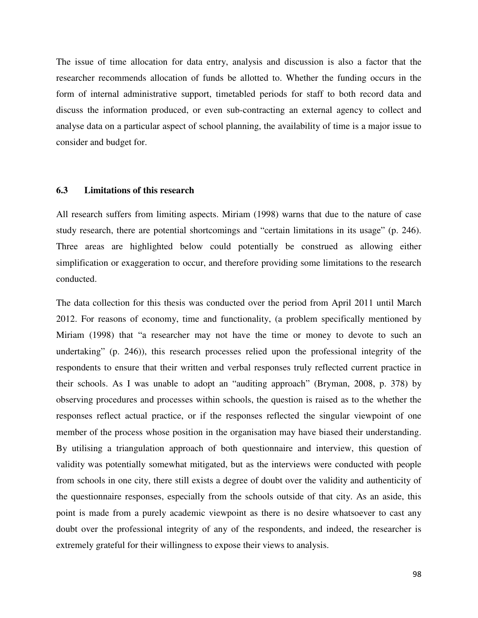The issue of time allocation for data entry, analysis and discussion is also a factor that the researcher recommends allocation of funds be allotted to. Whether the funding occurs in the form of internal administrative support, timetabled periods for staff to both record data and discuss the information produced, or even sub-contracting an external agency to collect and analyse data on a particular aspect of school planning, the availability of time is a major issue to consider and budget for.

### **6.3 Limitations of this research**

All research suffers from limiting aspects. Miriam (1998) warns that due to the nature of case study research, there are potential shortcomings and "certain limitations in its usage" (p. 246). Three areas are highlighted below could potentially be construed as allowing either simplification or exaggeration to occur, and therefore providing some limitations to the research conducted.

The data collection for this thesis was conducted over the period from April 2011 until March 2012. For reasons of economy, time and functionality, (a problem specifically mentioned by Miriam (1998) that "a researcher may not have the time or money to devote to such an undertaking" (p. 246)), this research processes relied upon the professional integrity of the respondents to ensure that their written and verbal responses truly reflected current practice in their schools. As I was unable to adopt an "auditing approach" (Bryman, 2008, p. 378) by observing procedures and processes within schools, the question is raised as to the whether the responses reflect actual practice, or if the responses reflected the singular viewpoint of one member of the process whose position in the organisation may have biased their understanding. By utilising a triangulation approach of both questionnaire and interview, this question of validity was potentially somewhat mitigated, but as the interviews were conducted with people from schools in one city, there still exists a degree of doubt over the validity and authenticity of the questionnaire responses, especially from the schools outside of that city. As an aside, this point is made from a purely academic viewpoint as there is no desire whatsoever to cast any doubt over the professional integrity of any of the respondents, and indeed, the researcher is extremely grateful for their willingness to expose their views to analysis.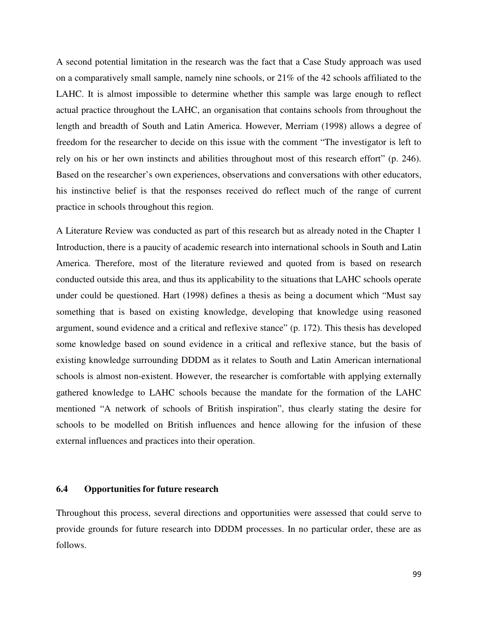A second potential limitation in the research was the fact that a Case Study approach was used on a comparatively small sample, namely nine schools, or 21% of the 42 schools affiliated to the LAHC. It is almost impossible to determine whether this sample was large enough to reflect actual practice throughout the LAHC, an organisation that contains schools from throughout the length and breadth of South and Latin America. However, Merriam (1998) allows a degree of freedom for the researcher to decide on this issue with the comment "The investigator is left to rely on his or her own instincts and abilities throughout most of this research effort" (p. 246). Based on the researcher's own experiences, observations and conversations with other educators, his instinctive belief is that the responses received do reflect much of the range of current practice in schools throughout this region.

A Literature Review was conducted as part of this research but as already noted in the Chapter 1 Introduction, there is a paucity of academic research into international schools in South and Latin America. Therefore, most of the literature reviewed and quoted from is based on research conducted outside this area, and thus its applicability to the situations that LAHC schools operate under could be questioned. Hart (1998) defines a thesis as being a document which "Must say something that is based on existing knowledge, developing that knowledge using reasoned argument, sound evidence and a critical and reflexive stance" (p. 172). This thesis has developed some knowledge based on sound evidence in a critical and reflexive stance, but the basis of existing knowledge surrounding DDDM as it relates to South and Latin American international schools is almost non-existent. However, the researcher is comfortable with applying externally gathered knowledge to LAHC schools because the mandate for the formation of the LAHC mentioned "A network of schools of British inspiration", thus clearly stating the desire for schools to be modelled on British influences and hence allowing for the infusion of these external influences and practices into their operation.

### **6.4 Opportunities for future research**

Throughout this process, several directions and opportunities were assessed that could serve to provide grounds for future research into DDDM processes. In no particular order, these are as follows.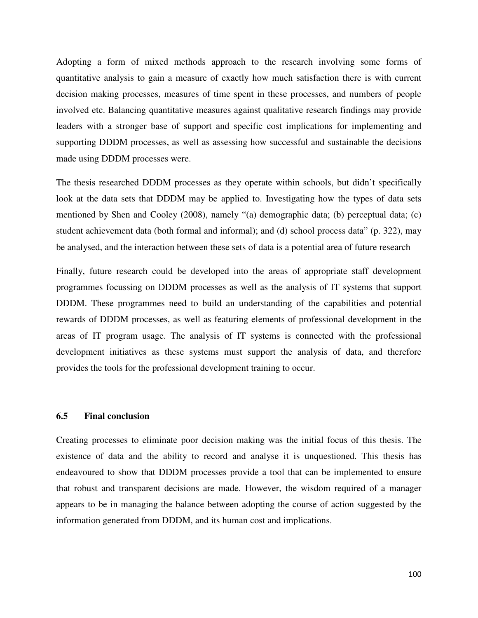Adopting a form of mixed methods approach to the research involving some forms of quantitative analysis to gain a measure of exactly how much satisfaction there is with current decision making processes, measures of time spent in these processes, and numbers of people involved etc. Balancing quantitative measures against qualitative research findings may provide leaders with a stronger base of support and specific cost implications for implementing and supporting DDDM processes, as well as assessing how successful and sustainable the decisions made using DDDM processes were.

The thesis researched DDDM processes as they operate within schools, but didn't specifically look at the data sets that DDDM may be applied to. Investigating how the types of data sets mentioned by Shen and Cooley (2008), namely "(a) demographic data; (b) perceptual data; (c) student achievement data (both formal and informal); and (d) school process data" (p. 322), may be analysed, and the interaction between these sets of data is a potential area of future research

Finally, future research could be developed into the areas of appropriate staff development programmes focussing on DDDM processes as well as the analysis of IT systems that support DDDM. These programmes need to build an understanding of the capabilities and potential rewards of DDDM processes, as well as featuring elements of professional development in the areas of IT program usage. The analysis of IT systems is connected with the professional development initiatives as these systems must support the analysis of data, and therefore provides the tools for the professional development training to occur.

#### **6.5 Final conclusion**

Creating processes to eliminate poor decision making was the initial focus of this thesis. The existence of data and the ability to record and analyse it is unquestioned. This thesis has endeavoured to show that DDDM processes provide a tool that can be implemented to ensure that robust and transparent decisions are made. However, the wisdom required of a manager appears to be in managing the balance between adopting the course of action suggested by the information generated from DDDM, and its human cost and implications.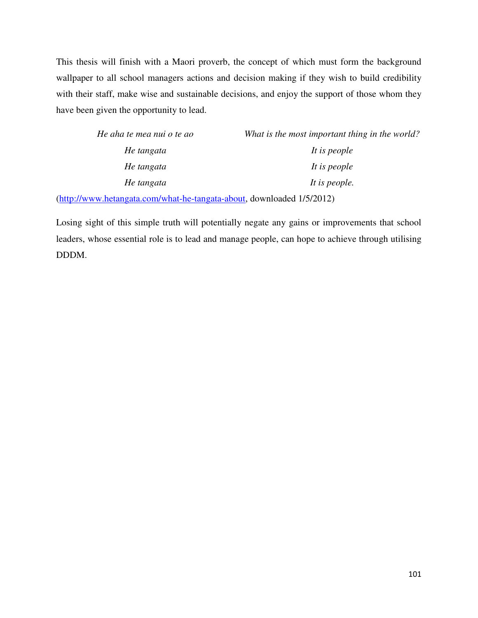This thesis will finish with a Maori proverb, the concept of which must form the background wallpaper to all school managers actions and decision making if they wish to build credibility with their staff, make wise and sustainable decisions, and enjoy the support of those whom they have been given the opportunity to lead.

| What is the most important thing in the world? |
|------------------------------------------------|
| It is people                                   |
| It is people                                   |
| It is people.                                  |
|                                                |

(http://www.hetangata.com/what-he-tangata-about, downloaded 1/5/2012)

Losing sight of this simple truth will potentially negate any gains or improvements that school leaders, whose essential role is to lead and manage people, can hope to achieve through utilising DDDM.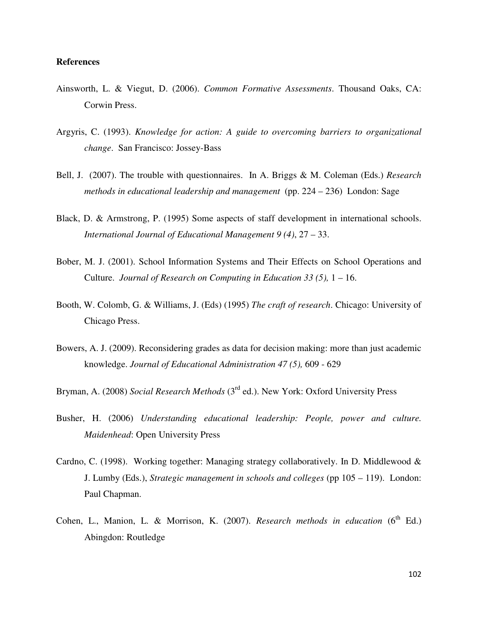### **References**

- Ainsworth, L. & Viegut, D. (2006). *Common Formative Assessments*. Thousand Oaks, CA: Corwin Press.
- Argyris, C. (1993). *Knowledge for action: A guide to overcoming barriers to organizational change*. San Francisco: Jossey-Bass
- Bell, J. (2007). The trouble with questionnaires. In A. Briggs & M. Coleman (Eds.) *Research methods in educational leadership and management* (pp. 224 – 236) London: Sage
- Black, D. & Armstrong, P. (1995) Some aspects of staff development in international schools. *International Journal of Educational Management 9 (4)*, 27 – 33.
- Bober, M. J. (2001). School Information Systems and Their Effects on School Operations and Culture. *Journal of Research on Computing in Education 33 (5),* 1 – 16.
- Booth, W. Colomb, G. & Williams, J. (Eds) (1995) *The craft of research*. Chicago: University of Chicago Press.
- Bowers, A. J. (2009). Reconsidering grades as data for decision making: more than just academic knowledge. *Journal of Educational Administration 47 (5),* 609 - 629
- Bryman, A. (2008) *Social Research Methods* (3rd ed.). New York: Oxford University Press
- Busher, H. (2006) *Understanding educational leadership: People, power and culture. Maidenhead*: Open University Press
- Cardno, C. (1998). Working together: Managing strategy collaboratively. In D. Middlewood & J. Lumby (Eds.), *Strategic management in schools and colleges* (pp 105 – 119). London: Paul Chapman.
- Cohen, L., Manion, L. & Morrison, K.  $(2007)$ . *Research methods in education*  $(6^{th}$  Ed.) Abingdon: Routledge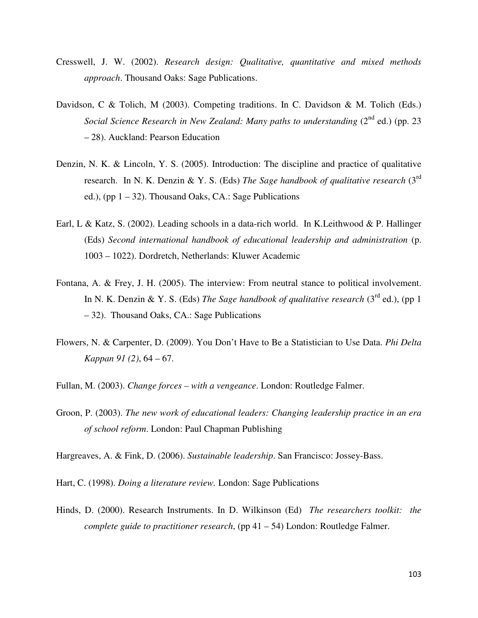- Cresswell, J. W. (2002). *Research design: Qualitative, quantitative and mixed methods approach*. Thousand Oaks: Sage Publications.
- Davidson, C & Tolich, M (2003). Competing traditions. In C. Davidson & M. Tolich (Eds.) *Social Science Research in New Zealand: Many paths to understanding* (2<sup>nd</sup> ed.) (pp. 23 – 28). Auckland: Pearson Education
- Denzin, N. K. & Lincoln, Y. S. (2005). Introduction: The discipline and practice of qualitative research. In N. K. Denzin & Y. S. (Eds) *The Sage handbook of qualitative research* (3rd ed.), (pp  $1 - 32$ ). Thousand Oaks, CA.: Sage Publications
- Earl, L & Katz, S. (2002). Leading schools in a data-rich world. In K.Leithwood & P. Hallinger (Eds) *Second international handbook of educational leadership and administration* (p. 1003 – 1022). Dordretch, Netherlands: Kluwer Academic
- Fontana, A. & Frey, J. H. (2005). The interview: From neutral stance to political involvement. In N. K. Denzin & Y. S. (Eds) *The Sage handbook of qualitative research* (3<sup>rd</sup> ed.), (pp 1 – 32). Thousand Oaks, CA.: Sage Publications
- Flowers, N. & Carpenter, D. (2009). You Don't Have to Be a Statistician to Use Data. *Phi Delta Kappan 91 (2)*, 64 – 67.
- Fullan, M. (2003). *Change forces with a vengeance*. London: Routledge Falmer.
- Groon, P. (2003). *The new work of educational leaders: Changing leadership practice in an era of school reform*. London: Paul Chapman Publishing

Hargreaves, A. & Fink, D. (2006). *Sustainable leadership*. San Francisco: Jossey-Bass.

Hart, C. (1998). *Doing a literature review.* London: Sage Publications

Hinds, D. (2000). Research Instruments. In D. Wilkinson (Ed) *The researchers toolkit: the complete guide to practitioner research*, (pp 41 – 54) London: Routledge Falmer.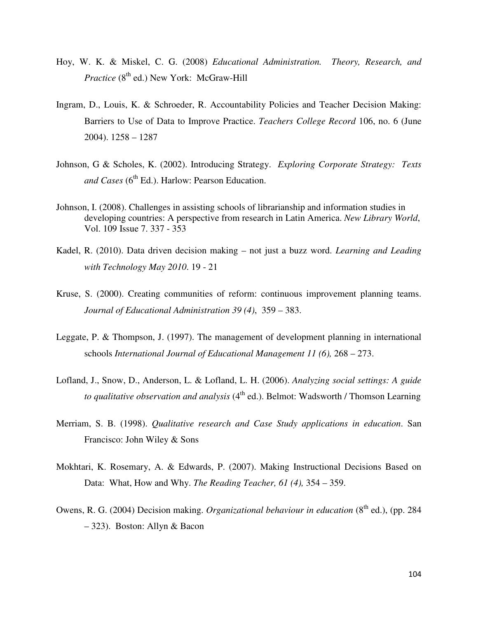- Hoy, W. K. & Miskel, C. G. (2008) *Educational Administration. Theory, Research, and Practice* (8<sup>th</sup> ed.) New York: McGraw-Hill
- Ingram, D., Louis, K. & Schroeder, R. Accountability Policies and Teacher Decision Making: Barriers to Use of Data to Improve Practice. *Teachers College Record* 106, no. 6 (June 2004). 1258 – 1287
- Johnson, G & Scholes, K. (2002). Introducing Strategy. *Exploring Corporate Strategy: Texts and Cases* (6<sup>th</sup> Ed.). Harlow: Pearson Education.
- Johnson, I. (2008). Challenges in assisting schools of librarianship and information studies in developing countries: A perspective from research in Latin America. *New Library World*, Vol. 109 Issue 7. 337 - 353
- Kadel, R. (2010). Data driven decision making not just a buzz word. *Learning and Leading with Technology May 2010*. 19 - 21
- Kruse, S. (2000). Creating communities of reform: continuous improvement planning teams. *Journal of Educational Administration 39 (4)*, 359 – 383.
- Leggate, P. & Thompson, J. (1997). The management of development planning in international schools *International Journal of Educational Management 11 (6),* 268 – 273.
- Lofland, J., Snow, D., Anderson, L. & Lofland, L. H. (2006). *Analyzing social settings: A guide to qualitative observation and analysis* (4<sup>th</sup> ed.). Belmot: Wadsworth / Thomson Learning
- Merriam, S. B. (1998). *Qualitative research and Case Study applications in education*. San Francisco: John Wiley & Sons
- Mokhtari, K. Rosemary, A. & Edwards, P. (2007). Making Instructional Decisions Based on Data: What, How and Why. *The Reading Teacher, 61 (4),* 354 – 359.
- Owens, R. G. (2004) Decision making. *Organizational behaviour in education* (8<sup>th</sup> ed.), (pp. 284 – 323). Boston: Allyn & Bacon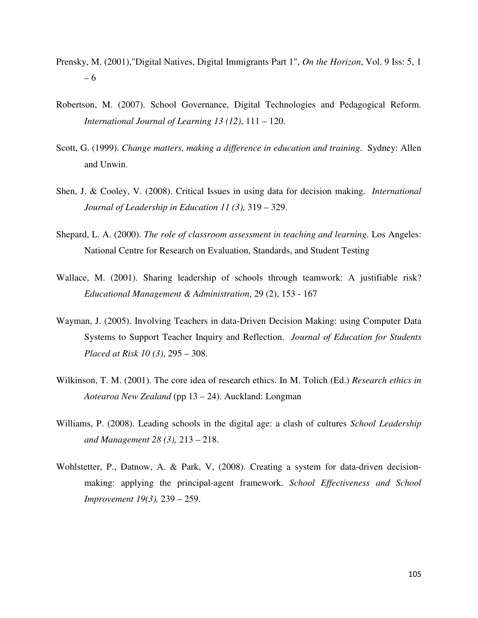- Prensky, M. (2001),"Digital Natives, Digital Immigrants Part 1", *On the Horizon*, Vol. 9 Iss: 5, 1 – 6
- Robertson, M. (2007). School Governance, Digital Technologies and Pedagogical Reform. *International Journal of Learning 13 (12)*, 111 – 120.
- Scott, G. (1999). *Change matters, making a difference in education and training*. Sydney: Allen and Unwin.
- Shen, J. & Cooley, V. (2008). Critical Issues in using data for decision making. *International Journal of Leadership in Education 11 (3),* 319 – 329.
- Shepard, L. A. (2000). *The role of classroom assessment in teaching and learning*. Los Angeles: National Centre for Research on Evaluation, Standards, and Student Testing
- Wallace, M. (2001). Sharing leadership of schools through teamwork: A justifiable risk? *Educational Management & Administration*, 29 (2), 153 - 167
- Wayman, J. (2005). Involving Teachers in data-Driven Decision Making: using Computer Data Systems to Support Teacher Inquiry and Reflection. *Journal of Education for Students Placed at Risk 10 (3)*, 295 – 308.
- Wilkinson, T. M. (2001). The core idea of research ethics. In M. Tolich (Ed.) *Research ethics in Aotearoa New Zealand* (pp 13 – 24). Auckland: Longman
- Williams, P. (2008). Leading schools in the digital age: a clash of cultures *School Leadership and Management 28 (3),* 213 – 218.
- Wohlstetter, P., Datnow, A. & Park, V, (2008). Creating a system for data-driven decisionmaking: applying the principal-agent framework. *School Effectiveness and School Improvement 19(3),* 239 – 259.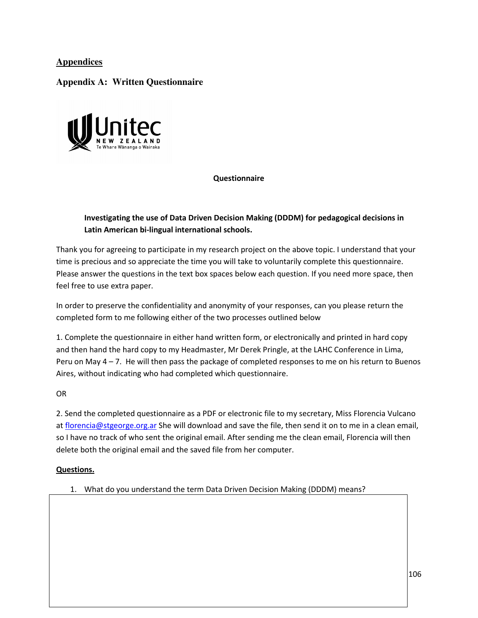## **Appendices**

## **Appendix A: Written Questionnaire**



### Questionnaire

## Investigating the use of Data Driven Decision Making (DDDM) for pedagogical decisions in Latin American bi-lingual international schools.

Thank you for agreeing to participate in my research project on the above topic. I understand that your time is precious and so appreciate the time you will take to voluntarily complete this questionnaire. Please answer the questions in the text box spaces below each question. If you need more space, then feel free to use extra paper.

In order to preserve the confidentiality and anonymity of your responses, can you please return the completed form to me following either of the two processes outlined below

1. Complete the questionnaire in either hand written form, or electronically and printed in hard copy and then hand the hard copy to my Headmaster, Mr Derek Pringle, at the LAHC Conference in Lima, Peru on May 4 – 7. He will then pass the package of completed responses to me on his return to Buenos Aires, without indicating who had completed which questionnaire.

OR

2. Send the completed questionnaire as a PDF or electronic file to my secretary, Miss Florencia Vulcano at florencia@stgeorge.org.ar She will download and save the file, then send it on to me in a clean email, so I have no track of who sent the original email. After sending me the clean email, Florencia will then delete both the original email and the saved file from her computer.

### Questions.

1. What do you understand the term Data Driven Decision Making (DDDM) means?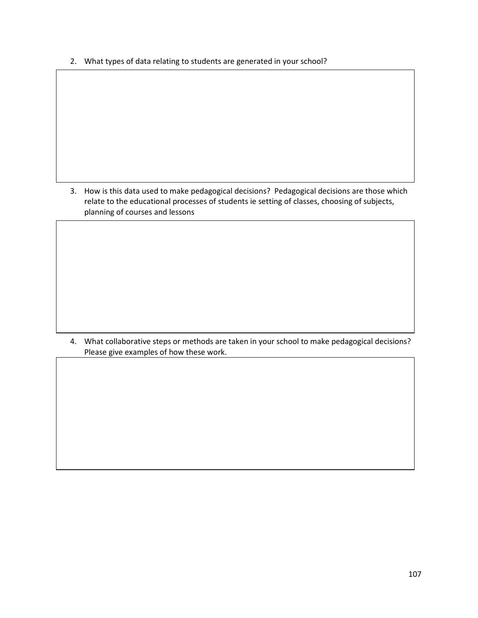2. What types of data relating to students are generated in your school?

3. How is this data used to make pedagogical decisions? Pedagogical decisions are those which relate to the educational processes of students ie setting of classes, choosing of subjects, planning of courses and lessons

4. What collaborative steps or methods are taken in your school to make pedagogical decisions? Please give examples of how these work.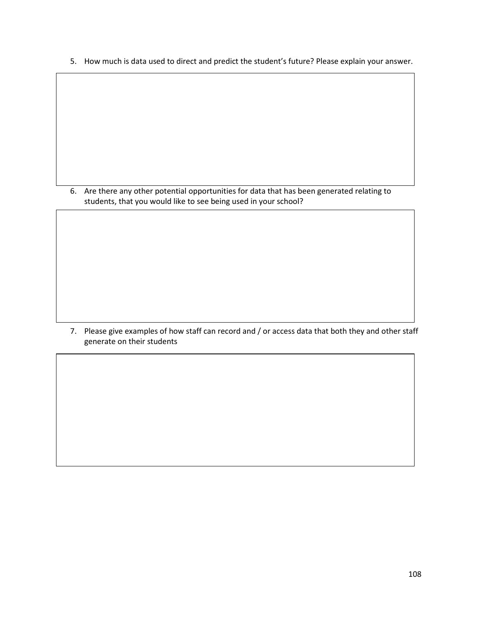5. How much is data used to direct and predict the student's future? Please explain your answer.

6. Are there any other potential opportunities for data that has been generated relating to students, that you would like to see being used in your school?

7. Please give examples of how staff can record and / or access data that both they and other staff generate on their students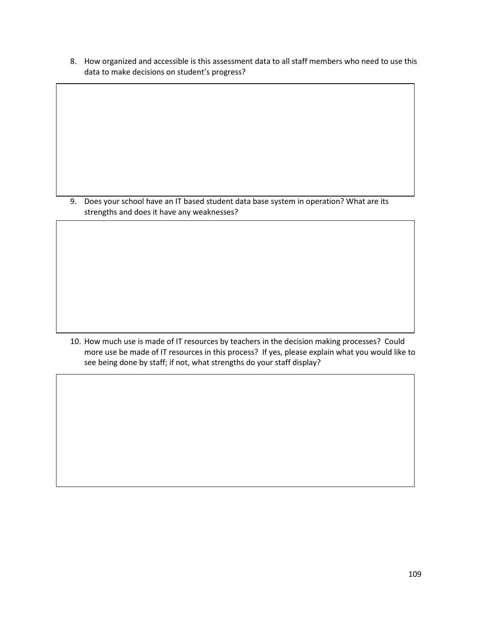8. How organized and accessible is this assessment data to all staff members who need to use this data to make decisions on student's progress?

9. Does your school have an IT based student data base system in operation? What are its strengths and does it have any weaknesses?

10. How much use is made of IT resources by teachers in the decision making processes? Could more use be made of IT resources in this process? If yes, please explain what you would like to see being done by staff; if not, what strengths do your staff display?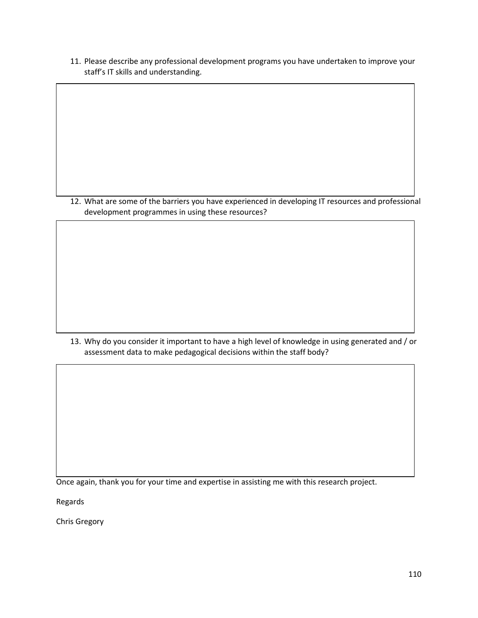11. Please describe any professional development programs you have undertaken to improve your staff's IT skills and understanding.

12. What are some of the barriers you have experienced in developing IT resources and professional development programmes in using these resources?

13. Why do you consider it important to have a high level of knowledge in using generated and / or assessment data to make pedagogical decisions within the staff body?

Once again, thank you for your time and expertise in assisting me with this research project.

Regards

Chris Gregory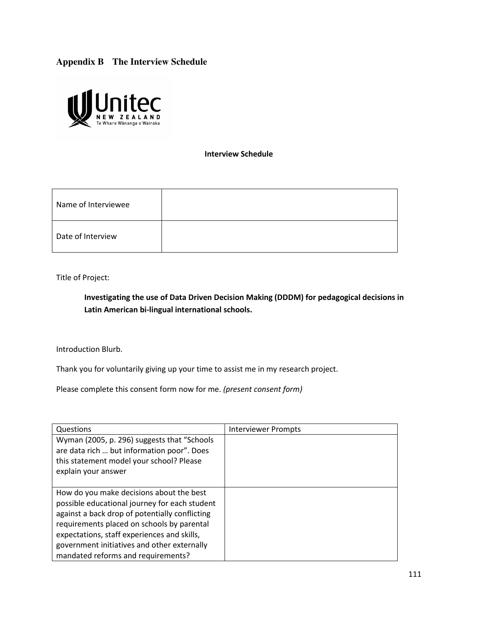# **Appendix B The Interview Schedule**



Interview Schedule

| Name of Interviewee |  |
|---------------------|--|
| Date of Interview   |  |

Title of Project:

Investigating the use of Data Driven Decision Making (DDDM) for pedagogical decisions in Latin American bi-lingual international schools.

Introduction Blurb.

Thank you for voluntarily giving up your time to assist me in my research project.

Please complete this consent form now for me. (present consent form)

| Questions                                                                                                                                                                                                                                                                                                                     | Interviewer Prompts |
|-------------------------------------------------------------------------------------------------------------------------------------------------------------------------------------------------------------------------------------------------------------------------------------------------------------------------------|---------------------|
| Wyman (2005, p. 296) suggests that "Schools<br>are data rich  but information poor". Does<br>this statement model your school? Please<br>explain your answer                                                                                                                                                                  |                     |
| How do you make decisions about the best<br>possible educational journey for each student<br>against a back drop of potentially conflicting<br>requirements placed on schools by parental<br>expectations, staff experiences and skills,<br>government initiatives and other externally<br>mandated reforms and requirements? |                     |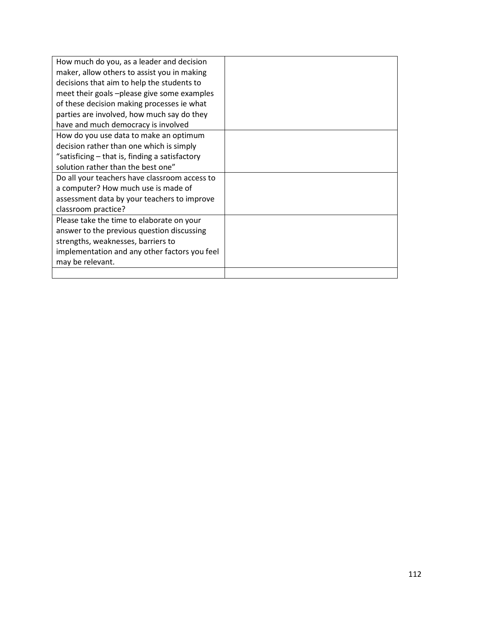| How much do you, as a leader and decision      |  |
|------------------------------------------------|--|
| maker, allow others to assist you in making    |  |
| decisions that aim to help the students to     |  |
| meet their goals -please give some examples    |  |
| of these decision making processes ie what     |  |
| parties are involved, how much say do they     |  |
| have and much democracy is involved            |  |
| How do you use data to make an optimum         |  |
| decision rather than one which is simply       |  |
| "satisficing – that is, finding a satisfactory |  |
| solution rather than the best one"             |  |
| Do all your teachers have classroom access to  |  |
| a computer? How much use is made of            |  |
| assessment data by your teachers to improve    |  |
| classroom practice?                            |  |
| Please take the time to elaborate on your      |  |
| answer to the previous question discussing     |  |
| strengths, weaknesses, barriers to             |  |
| implementation and any other factors you feel  |  |
| may be relevant.                               |  |
|                                                |  |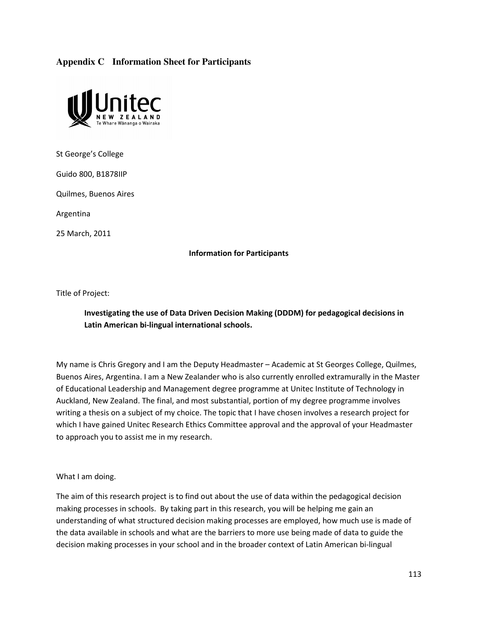# **Appendix C Information Sheet for Participants**



St George's College

Guido 800, B1878IIP

Quilmes, Buenos Aires

Argentina

25 March, 2011

#### Information for Participants

Title of Project:

# Investigating the use of Data Driven Decision Making (DDDM) for pedagogical decisions in Latin American bi-lingual international schools.

My name is Chris Gregory and I am the Deputy Headmaster – Academic at St Georges College, Quilmes, Buenos Aires, Argentina. I am a New Zealander who is also currently enrolled extramurally in the Master of Educational Leadership and Management degree programme at Unitec Institute of Technology in Auckland, New Zealand. The final, and most substantial, portion of my degree programme involves writing a thesis on a subject of my choice. The topic that I have chosen involves a research project for which I have gained Unitec Research Ethics Committee approval and the approval of your Headmaster to approach you to assist me in my research.

What I am doing.

The aim of this research project is to find out about the use of data within the pedagogical decision making processes in schools. By taking part in this research, you will be helping me gain an understanding of what structured decision making processes are employed, how much use is made of the data available in schools and what are the barriers to more use being made of data to guide the decision making processes in your school and in the broader context of Latin American bi-lingual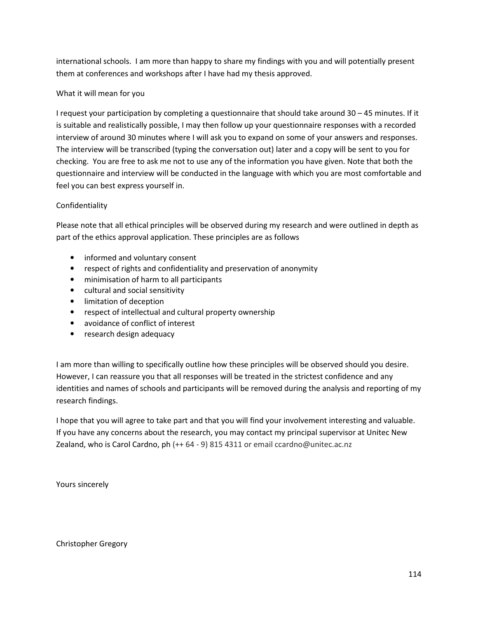international schools. I am more than happy to share my findings with you and will potentially present them at conferences and workshops after I have had my thesis approved.

### What it will mean for you

I request your participation by completing a questionnaire that should take around 30 – 45 minutes. If it is suitable and realistically possible, I may then follow up your questionnaire responses with a recorded interview of around 30 minutes where I will ask you to expand on some of your answers and responses. The interview will be transcribed (typing the conversation out) later and a copy will be sent to you for checking. You are free to ask me not to use any of the information you have given. Note that both the questionnaire and interview will be conducted in the language with which you are most comfortable and feel you can best express yourself in.

### Confidentiality

Please note that all ethical principles will be observed during my research and were outlined in depth as part of the ethics approval application. These principles are as follows

- informed and voluntary consent
- respect of rights and confidentiality and preservation of anonymity
- minimisation of harm to all participants
- cultural and social sensitivity
- limitation of deception
- respect of intellectual and cultural property ownership
- avoidance of conflict of interest
- research design adequacy

I am more than willing to specifically outline how these principles will be observed should you desire. However, I can reassure you that all responses will be treated in the strictest confidence and any identities and names of schools and participants will be removed during the analysis and reporting of my research findings.

I hope that you will agree to take part and that you will find your involvement interesting and valuable. If you have any concerns about the research, you may contact my principal supervisor at Unitec New Zealand, who is Carol Cardno, ph (++ 64 - 9) 815 4311 or email ccardno@unitec.ac.nz

Yours sincerely

Christopher Gregory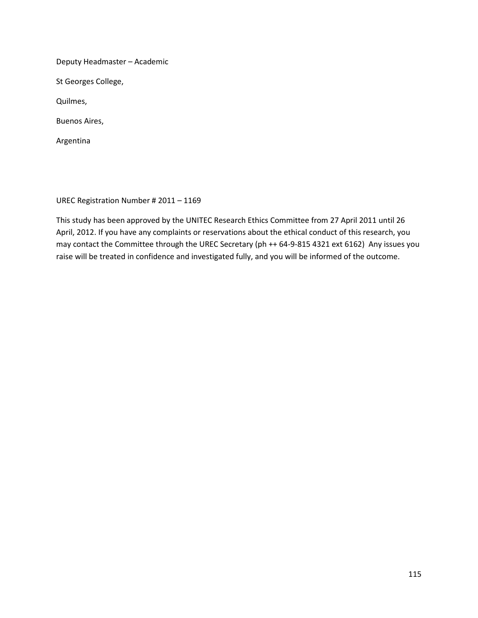Deputy Headmaster – Academic

St Georges College,

Quilmes,

Buenos Aires,

Argentina

UREC Registration Number # 2011 – 1169

This study has been approved by the UNITEC Research Ethics Committee from 27 April 2011 until 26 April, 2012. If you have any complaints or reservations about the ethical conduct of this research, you may contact the Committee through the UREC Secretary (ph ++ 64-9-815 4321 ext 6162) Any issues you raise will be treated in confidence and investigated fully, and you will be informed of the outcome.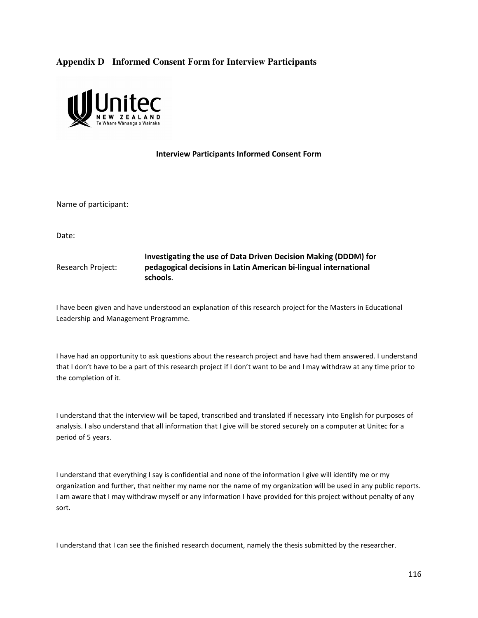# **Appendix D Informed Consent Form for Interview Participants**



#### Interview Participants Informed Consent Form

Name of participant:

Date:

Research Project: Investigating the use of Data Driven Decision Making (DDDM) for pedagogical decisions in Latin American bi-lingual international schools.

I have been given and have understood an explanation of this research project for the Masters in Educational Leadership and Management Programme.

I have had an opportunity to ask questions about the research project and have had them answered. I understand that I don't have to be a part of this research project if I don't want to be and I may withdraw at any time prior to the completion of it.

I understand that the interview will be taped, transcribed and translated if necessary into English for purposes of analysis. I also understand that all information that I give will be stored securely on a computer at Unitec for a period of 5 years.

I understand that everything I say is confidential and none of the information I give will identify me or my organization and further, that neither my name nor the name of my organization will be used in any public reports. I am aware that I may withdraw myself or any information I have provided for this project without penalty of any sort.

I understand that I can see the finished research document, namely the thesis submitted by the researcher.